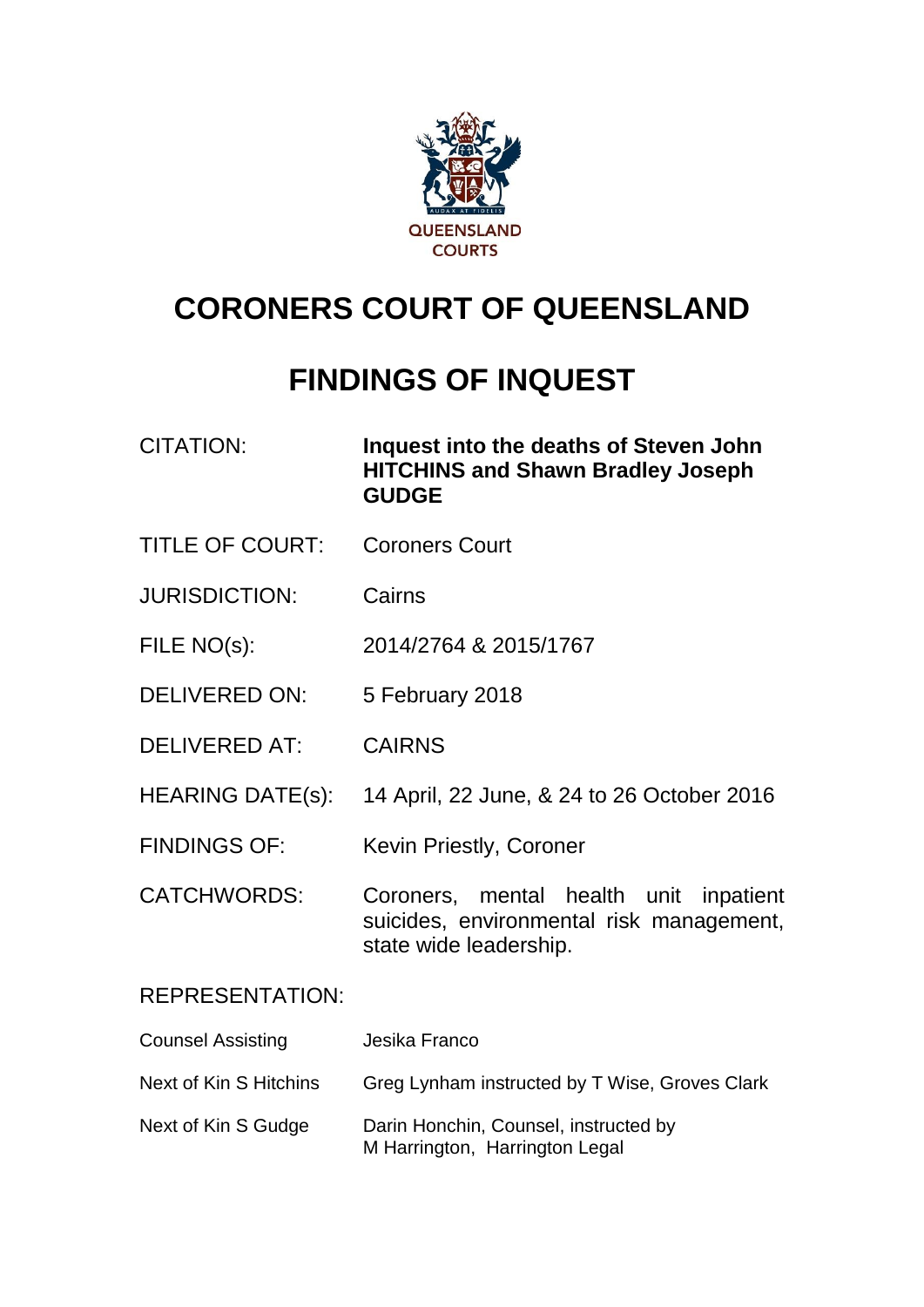

# **CORONERS COURT OF QUEENSLAND**

# **FINDINGS OF INQUEST**

| CITATION: | Inquest into the deaths of Steven John<br><b>HITCHINS and Shawn Bradley Joseph</b><br><b>GUDGE</b> |
|-----------|----------------------------------------------------------------------------------------------------|
|           |                                                                                                    |

- TITLE OF COURT: Coroners Court
- JURISDICTION: Cairns
- FILE NO(s): 2014/2764 & 2015/1767
- DELIVERED ON: 5 February 2018
- DELIVERED AT: CAIRNS
- HEARING DATE(s): 14 April, 22 June, & 24 to 26 October 2016
- FINDINGS OF: Kevin Priestly, Coroner
- CATCHWORDS: Coroners, mental health unit inpatient suicides, environmental risk management, state wide leadership.

# REPRESENTATION:

| <b>Counsel Assisting</b> | Jesika Franco                                                           |
|--------------------------|-------------------------------------------------------------------------|
| Next of Kin S Hitchins   | Greg Lynham instructed by T Wise, Groves Clark                          |
| Next of Kin S Gudge      | Darin Honchin, Counsel, instructed by<br>M Harrington, Harrington Legal |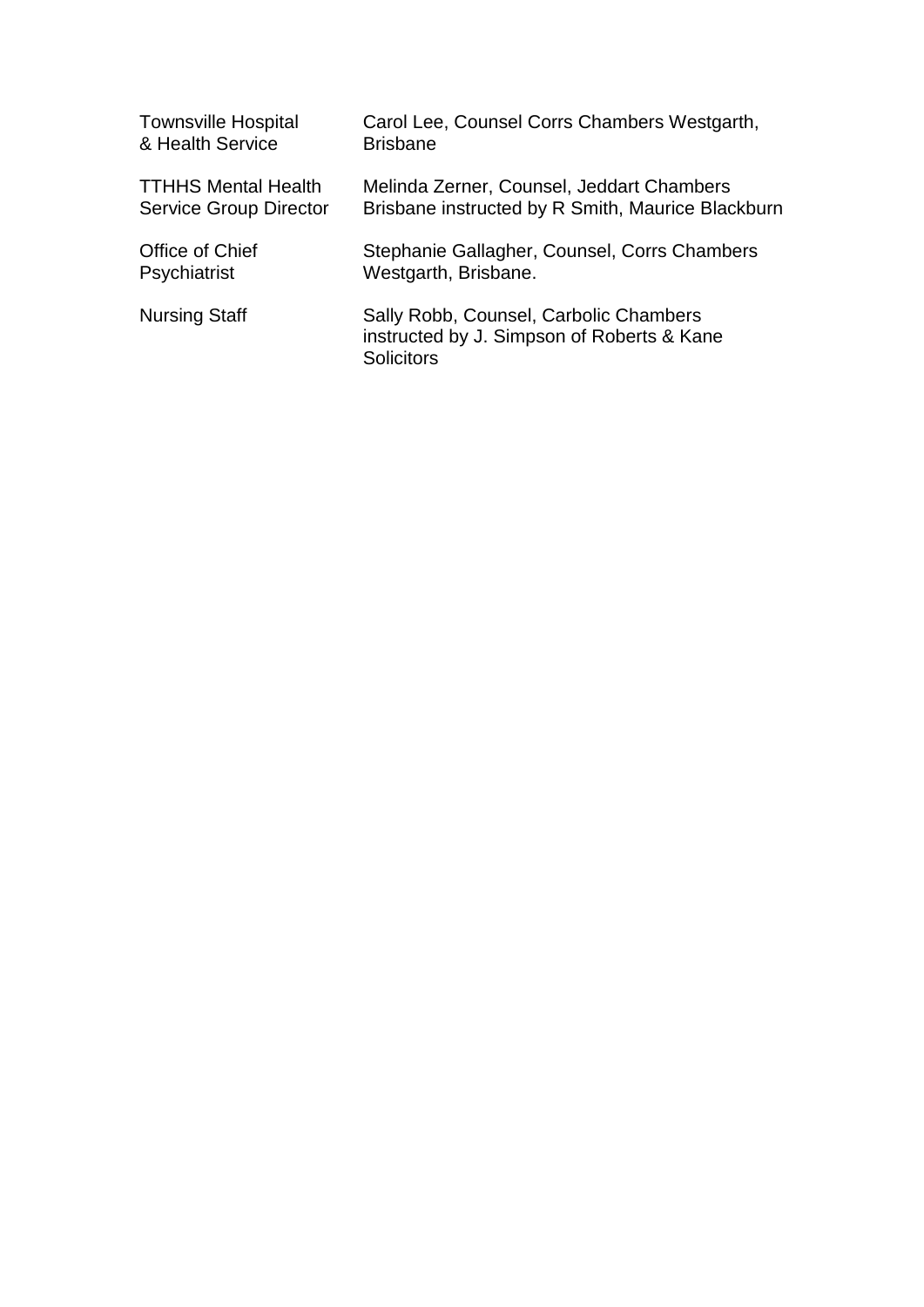| <b>Townsville Hospital</b>    | Carol Lee, Counsel Corrs Chambers Westgarth,                                                              |
|-------------------------------|-----------------------------------------------------------------------------------------------------------|
| & Health Service              | <b>Brisbane</b>                                                                                           |
| <b>TTHHS Mental Health</b>    | Melinda Zerner, Counsel, Jeddart Chambers                                                                 |
| <b>Service Group Director</b> | Brisbane instructed by R Smith, Maurice Blackburn                                                         |
| Office of Chief               | Stephanie Gallagher, Counsel, Corrs Chambers                                                              |
| Psychiatrist                  | Westgarth, Brisbane.                                                                                      |
| <b>Nursing Staff</b>          | Sally Robb, Counsel, Carbolic Chambers<br>instructed by J. Simpson of Roberts & Kane<br><b>Solicitors</b> |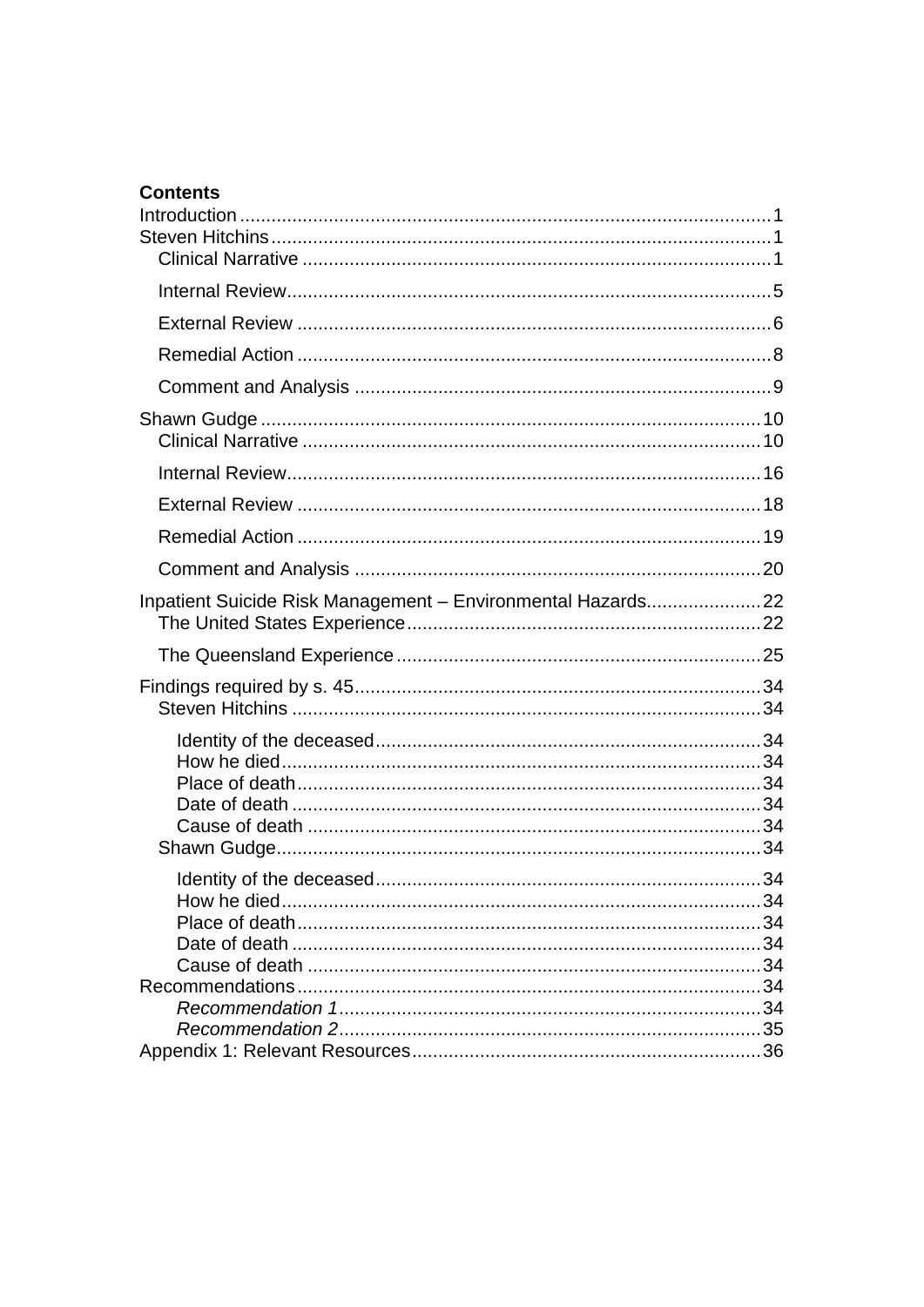# **Contents**

| Inpatient Suicide Risk Management - Environmental Hazards22 |  |
|-------------------------------------------------------------|--|
|                                                             |  |
|                                                             |  |
|                                                             |  |
|                                                             |  |
|                                                             |  |
|                                                             |  |
|                                                             |  |
|                                                             |  |
|                                                             |  |
|                                                             |  |
|                                                             |  |
|                                                             |  |
|                                                             |  |
|                                                             |  |
|                                                             |  |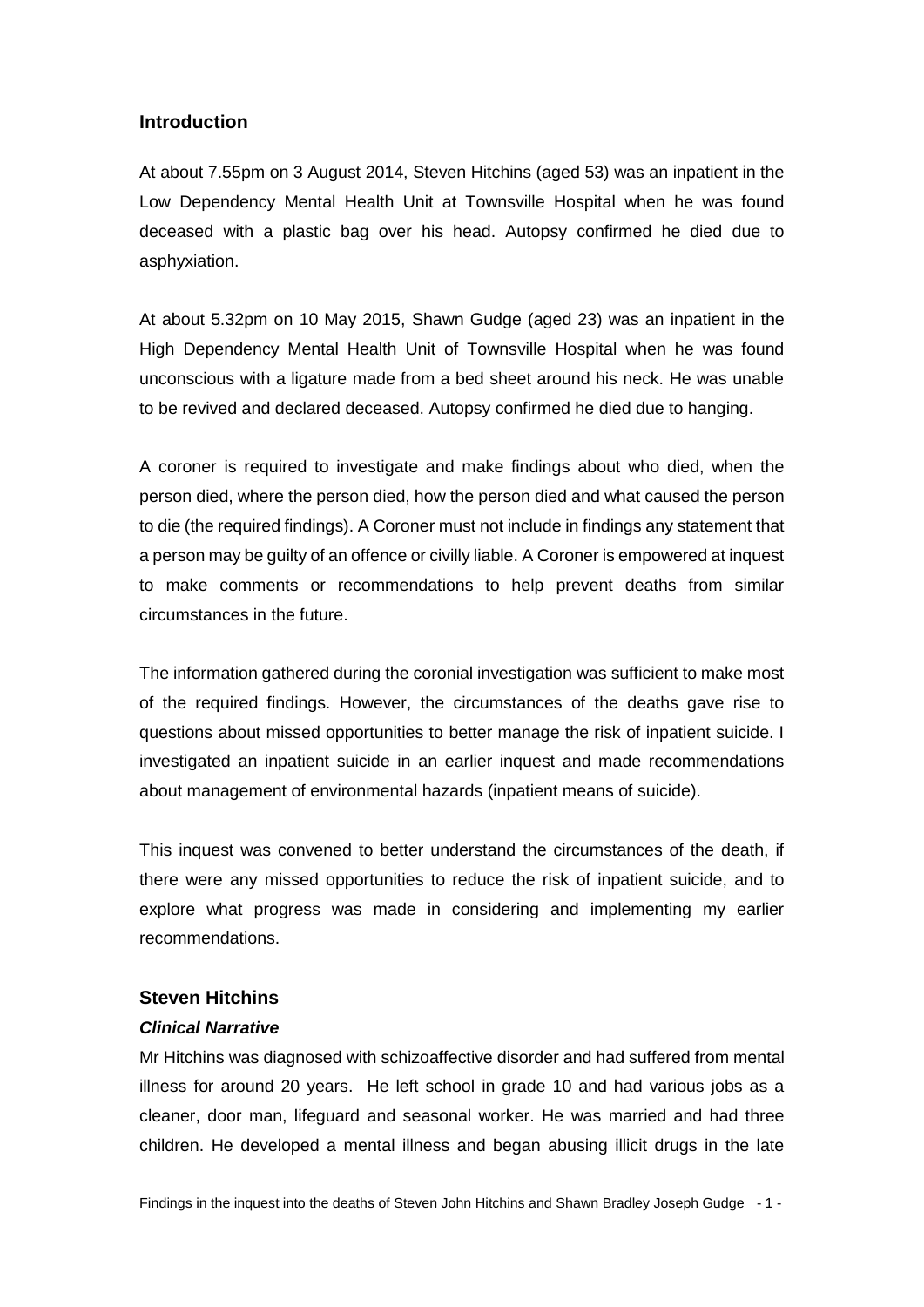## <span id="page-3-0"></span>**Introduction**

At about 7.55pm on 3 August 2014, Steven Hitchins (aged 53) was an inpatient in the Low Dependency Mental Health Unit at Townsville Hospital when he was found deceased with a plastic bag over his head. Autopsy confirmed he died due to asphyxiation.

At about 5.32pm on 10 May 2015, Shawn Gudge (aged 23) was an inpatient in the High Dependency Mental Health Unit of Townsville Hospital when he was found unconscious with a ligature made from a bed sheet around his neck. He was unable to be revived and declared deceased. Autopsy confirmed he died due to hanging.

A coroner is required to investigate and make findings about who died, when the person died, where the person died, how the person died and what caused the person to die (the required findings). A Coroner must not include in findings any statement that a person may be guilty of an offence or civilly liable. A Coroner is empowered at inquest to make comments or recommendations to help prevent deaths from similar circumstances in the future.

The information gathered during the coronial investigation was sufficient to make most of the required findings. However, the circumstances of the deaths gave rise to questions about missed opportunities to better manage the risk of inpatient suicide. I investigated an inpatient suicide in an earlier inquest and made recommendations about management of environmental hazards (inpatient means of suicide).

This inquest was convened to better understand the circumstances of the death, if there were any missed opportunities to reduce the risk of inpatient suicide, and to explore what progress was made in considering and implementing my earlier recommendations.

## <span id="page-3-1"></span>**Steven Hitchins**

#### <span id="page-3-2"></span>*Clinical Narrative*

Mr Hitchins was diagnosed with schizoaffective disorder and had suffered from mental illness for around 20 years. He left school in grade 10 and had various jobs as a cleaner, door man, lifeguard and seasonal worker. He was married and had three children. He developed a mental illness and began abusing illicit drugs in the late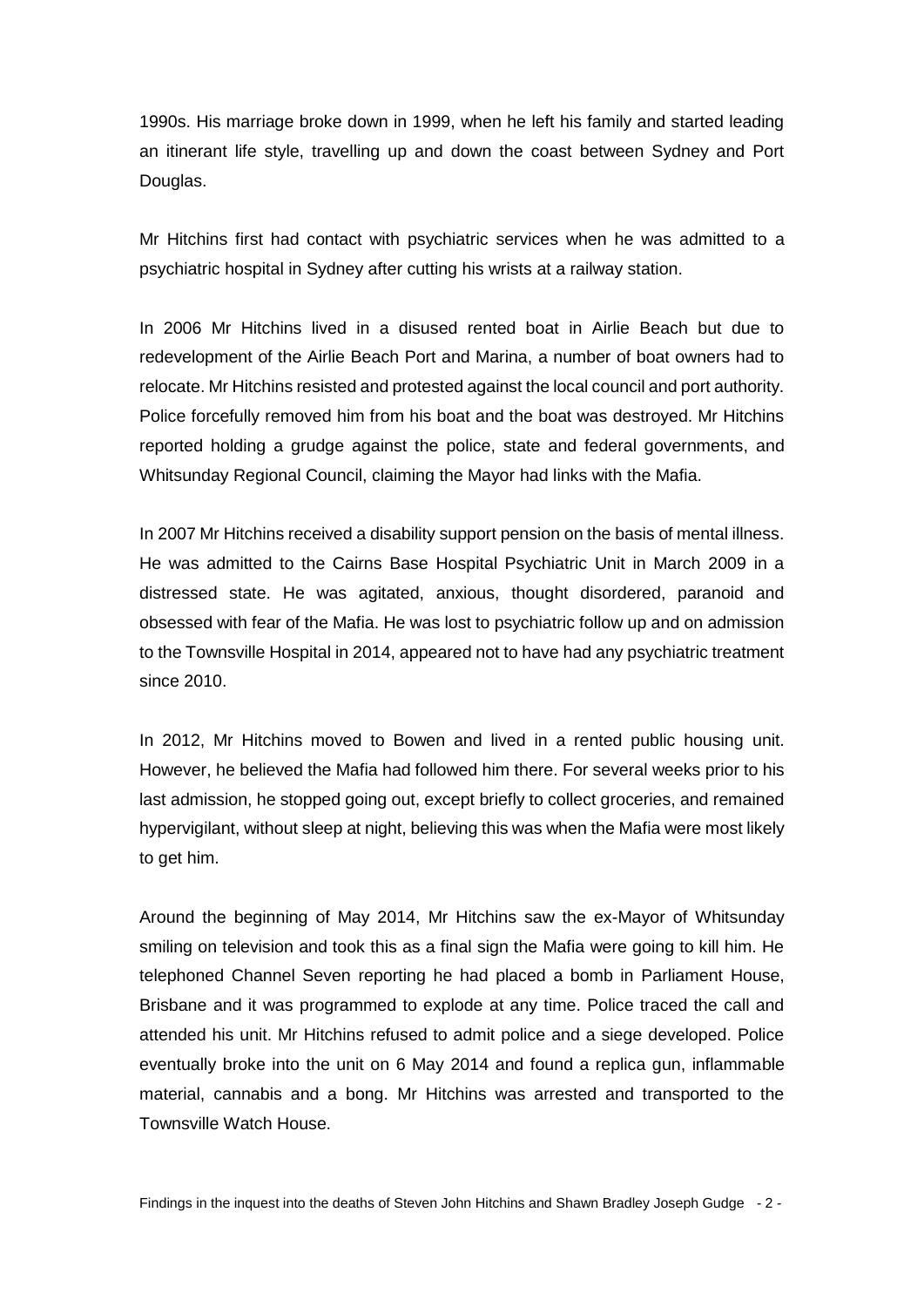1990s. His marriage broke down in 1999, when he left his family and started leading an itinerant life style, travelling up and down the coast between Sydney and Port Douglas.

Mr Hitchins first had contact with psychiatric services when he was admitted to a psychiatric hospital in Sydney after cutting his wrists at a railway station.

In 2006 Mr Hitchins lived in a disused rented boat in Airlie Beach but due to redevelopment of the Airlie Beach Port and Marina, a number of boat owners had to relocate. Mr Hitchins resisted and protested against the local council and port authority. Police forcefully removed him from his boat and the boat was destroyed. Mr Hitchins reported holding a grudge against the police, state and federal governments, and Whitsunday Regional Council, claiming the Mayor had links with the Mafia.

In 2007 Mr Hitchins received a disability support pension on the basis of mental illness. He was admitted to the Cairns Base Hospital Psychiatric Unit in March 2009 in a distressed state. He was agitated, anxious, thought disordered, paranoid and obsessed with fear of the Mafia. He was lost to psychiatric follow up and on admission to the Townsville Hospital in 2014, appeared not to have had any psychiatric treatment since 2010.

In 2012, Mr Hitchins moved to Bowen and lived in a rented public housing unit. However, he believed the Mafia had followed him there. For several weeks prior to his last admission, he stopped going out, except briefly to collect groceries, and remained hypervigilant, without sleep at night, believing this was when the Mafia were most likely to get him.

Around the beginning of May 2014, Mr Hitchins saw the ex-Mayor of Whitsunday smiling on television and took this as a final sign the Mafia were going to kill him. He telephoned Channel Seven reporting he had placed a bomb in Parliament House, Brisbane and it was programmed to explode at any time. Police traced the call and attended his unit. Mr Hitchins refused to admit police and a siege developed. Police eventually broke into the unit on 6 May 2014 and found a replica gun, inflammable material, cannabis and a bong. Mr Hitchins was arrested and transported to the Townsville Watch House.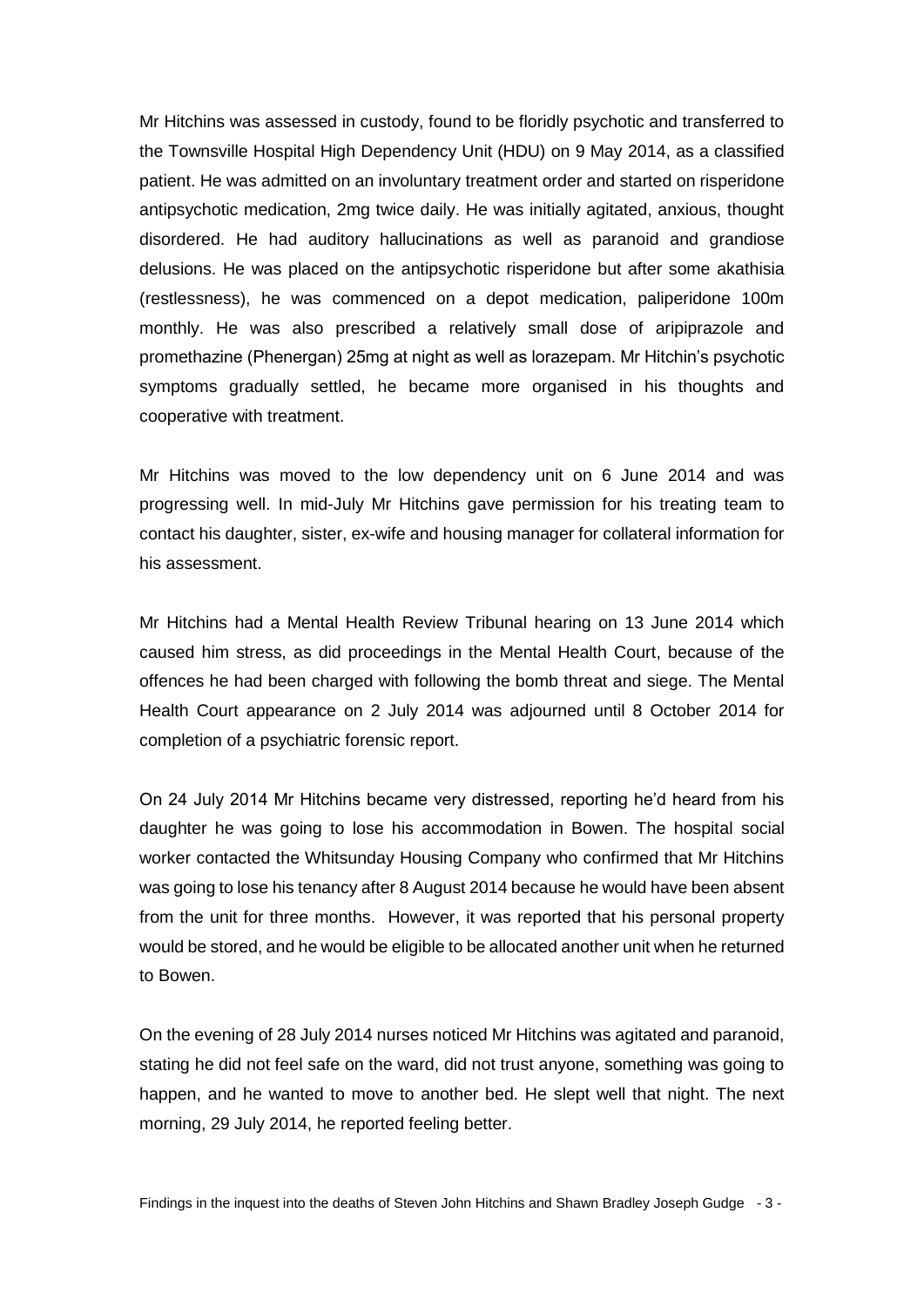Mr Hitchins was assessed in custody, found to be floridly psychotic and transferred to the Townsville Hospital High Dependency Unit (HDU) on 9 May 2014, as a classified patient. He was admitted on an involuntary treatment order and started on risperidone antipsychotic medication, 2mg twice daily. He was initially agitated, anxious, thought disordered. He had auditory hallucinations as well as paranoid and grandiose delusions. He was placed on the antipsychotic risperidone but after some akathisia (restlessness), he was commenced on a depot medication, paliperidone 100m monthly. He was also prescribed a relatively small dose of aripiprazole and promethazine (Phenergan) 25mg at night as well as lorazepam. Mr Hitchin's psychotic symptoms gradually settled, he became more organised in his thoughts and cooperative with treatment.

Mr Hitchins was moved to the low dependency unit on 6 June 2014 and was progressing well. In mid-July Mr Hitchins gave permission for his treating team to contact his daughter, sister, ex-wife and housing manager for collateral information for his assessment.

Mr Hitchins had a Mental Health Review Tribunal hearing on 13 June 2014 which caused him stress, as did proceedings in the Mental Health Court, because of the offences he had been charged with following the bomb threat and siege. The Mental Health Court appearance on 2 July 2014 was adjourned until 8 October 2014 for completion of a psychiatric forensic report.

On 24 July 2014 Mr Hitchins became very distressed, reporting he'd heard from his daughter he was going to lose his accommodation in Bowen. The hospital social worker contacted the Whitsunday Housing Company who confirmed that Mr Hitchins was going to lose his tenancy after 8 August 2014 because he would have been absent from the unit for three months. However, it was reported that his personal property would be stored, and he would be eligible to be allocated another unit when he returned to Bowen.

On the evening of 28 July 2014 nurses noticed Mr Hitchins was agitated and paranoid, stating he did not feel safe on the ward, did not trust anyone, something was going to happen, and he wanted to move to another bed. He slept well that night. The next morning, 29 July 2014, he reported feeling better.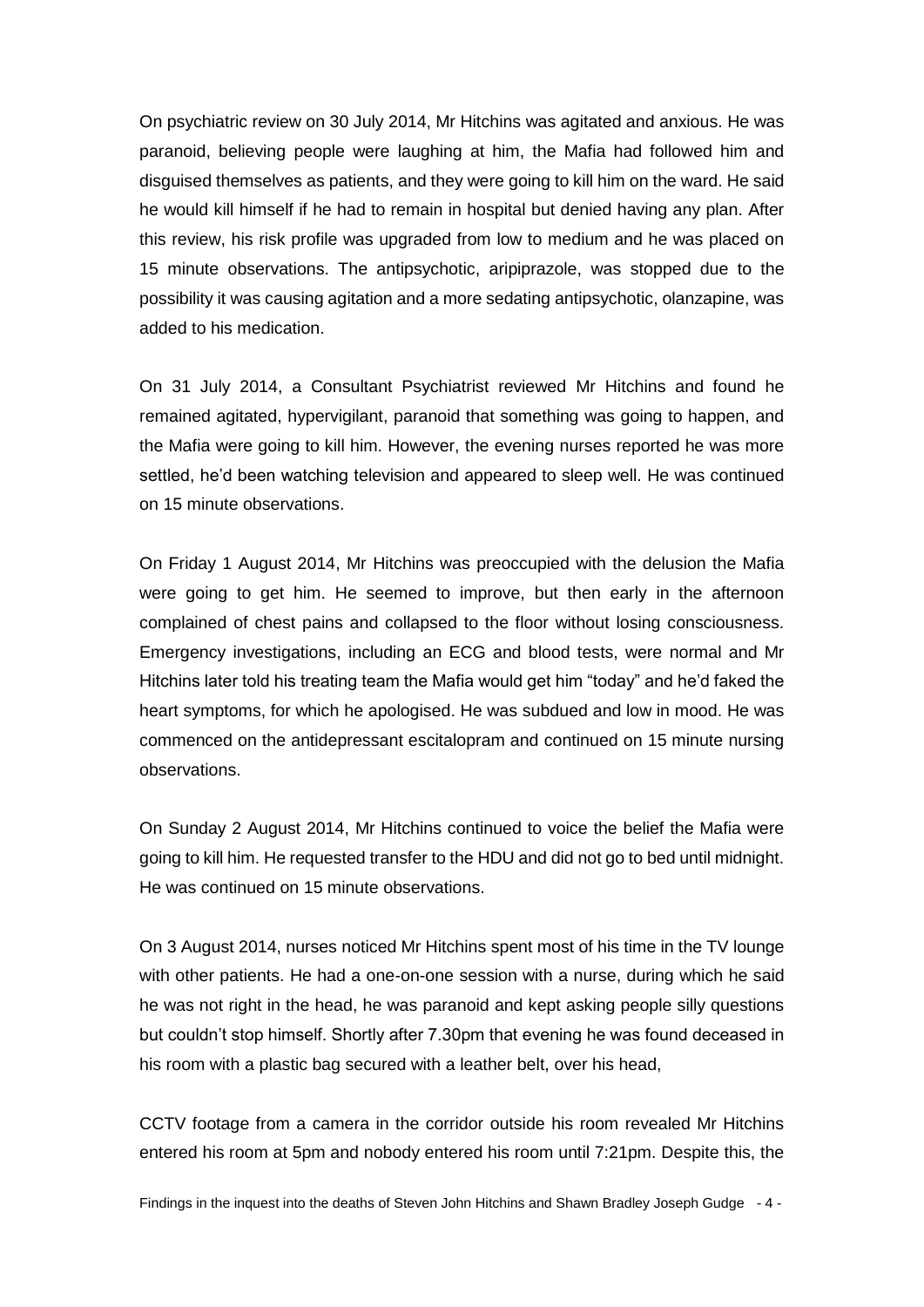On psychiatric review on 30 July 2014, Mr Hitchins was agitated and anxious. He was paranoid, believing people were laughing at him, the Mafia had followed him and disguised themselves as patients, and they were going to kill him on the ward. He said he would kill himself if he had to remain in hospital but denied having any plan. After this review, his risk profile was upgraded from low to medium and he was placed on 15 minute observations. The antipsychotic, aripiprazole, was stopped due to the possibility it was causing agitation and a more sedating antipsychotic, olanzapine, was added to his medication.

On 31 July 2014, a Consultant Psychiatrist reviewed Mr Hitchins and found he remained agitated, hypervigilant, paranoid that something was going to happen, and the Mafia were going to kill him. However, the evening nurses reported he was more settled, he'd been watching television and appeared to sleep well. He was continued on 15 minute observations.

On Friday 1 August 2014, Mr Hitchins was preoccupied with the delusion the Mafia were going to get him. He seemed to improve, but then early in the afternoon complained of chest pains and collapsed to the floor without losing consciousness. Emergency investigations, including an ECG and blood tests, were normal and Mr Hitchins later told his treating team the Mafia would get him "today" and he'd faked the heart symptoms, for which he apologised. He was subdued and low in mood. He was commenced on the antidepressant escitalopram and continued on 15 minute nursing observations.

On Sunday 2 August 2014, Mr Hitchins continued to voice the belief the Mafia were going to kill him. He requested transfer to the HDU and did not go to bed until midnight. He was continued on 15 minute observations.

On 3 August 2014, nurses noticed Mr Hitchins spent most of his time in the TV lounge with other patients. He had a one-on-one session with a nurse, during which he said he was not right in the head, he was paranoid and kept asking people silly questions but couldn't stop himself. Shortly after 7.30pm that evening he was found deceased in his room with a plastic bag secured with a leather belt, over his head,

CCTV footage from a camera in the corridor outside his room revealed Mr Hitchins entered his room at 5pm and nobody entered his room until 7:21pm. Despite this, the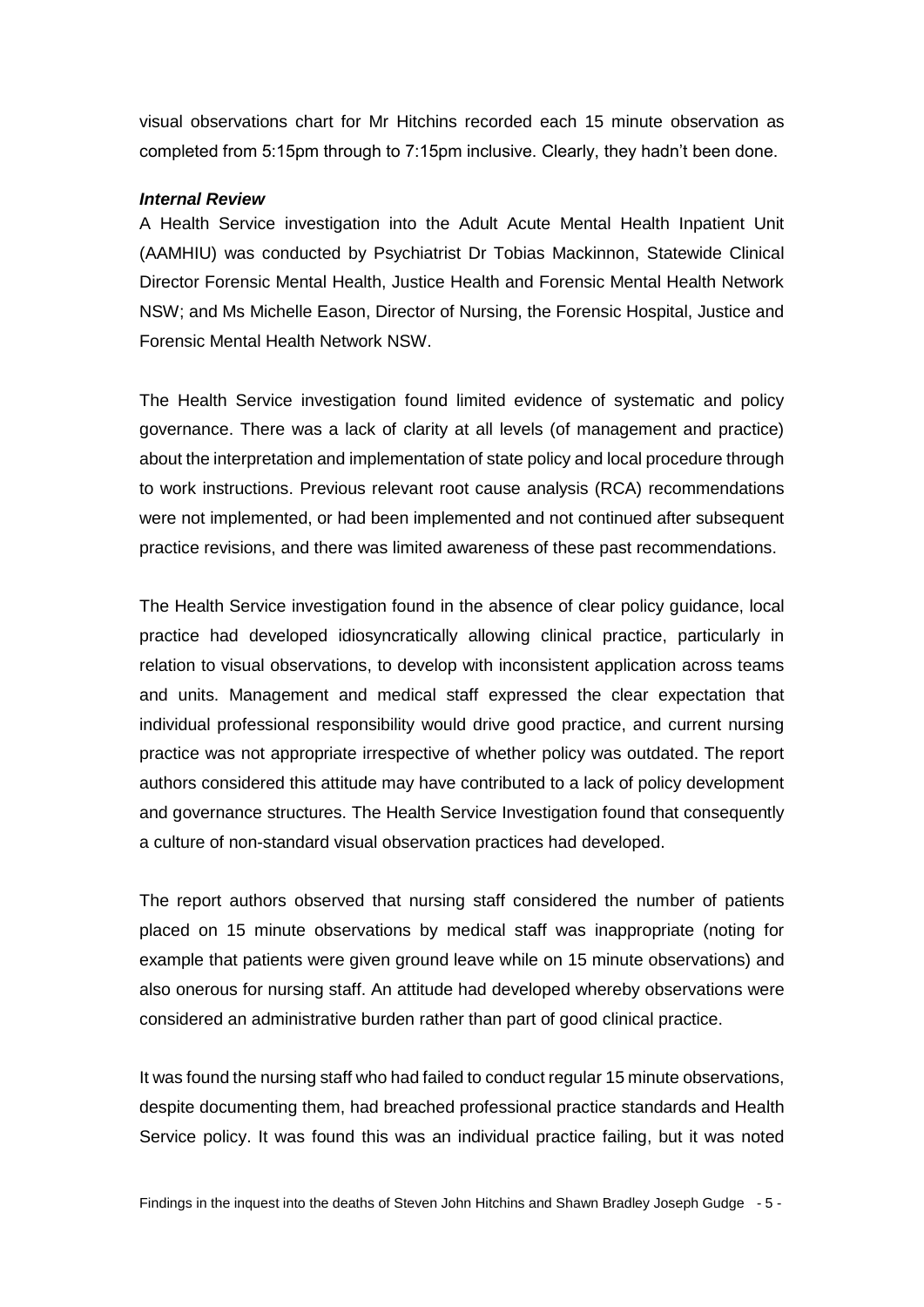visual observations chart for Mr Hitchins recorded each 15 minute observation as completed from 5:15pm through to 7:15pm inclusive. Clearly, they hadn't been done.

#### <span id="page-7-0"></span>*Internal Review*

A Health Service investigation into the Adult Acute Mental Health Inpatient Unit (AAMHIU) was conducted by Psychiatrist Dr Tobias Mackinnon, Statewide Clinical Director Forensic Mental Health, Justice Health and Forensic Mental Health Network NSW; and Ms Michelle Eason, Director of Nursing, the Forensic Hospital, Justice and Forensic Mental Health Network NSW.

The Health Service investigation found limited evidence of systematic and policy governance. There was a lack of clarity at all levels (of management and practice) about the interpretation and implementation of state policy and local procedure through to work instructions. Previous relevant root cause analysis (RCA) recommendations were not implemented, or had been implemented and not continued after subsequent practice revisions, and there was limited awareness of these past recommendations.

The Health Service investigation found in the absence of clear policy guidance, local practice had developed idiosyncratically allowing clinical practice, particularly in relation to visual observations, to develop with inconsistent application across teams and units. Management and medical staff expressed the clear expectation that individual professional responsibility would drive good practice, and current nursing practice was not appropriate irrespective of whether policy was outdated. The report authors considered this attitude may have contributed to a lack of policy development and governance structures. The Health Service Investigation found that consequently a culture of non-standard visual observation practices had developed.

The report authors observed that nursing staff considered the number of patients placed on 15 minute observations by medical staff was inappropriate (noting for example that patients were given ground leave while on 15 minute observations) and also onerous for nursing staff. An attitude had developed whereby observations were considered an administrative burden rather than part of good clinical practice.

It was found the nursing staff who had failed to conduct regular 15 minute observations, despite documenting them, had breached professional practice standards and Health Service policy. It was found this was an individual practice failing, but it was noted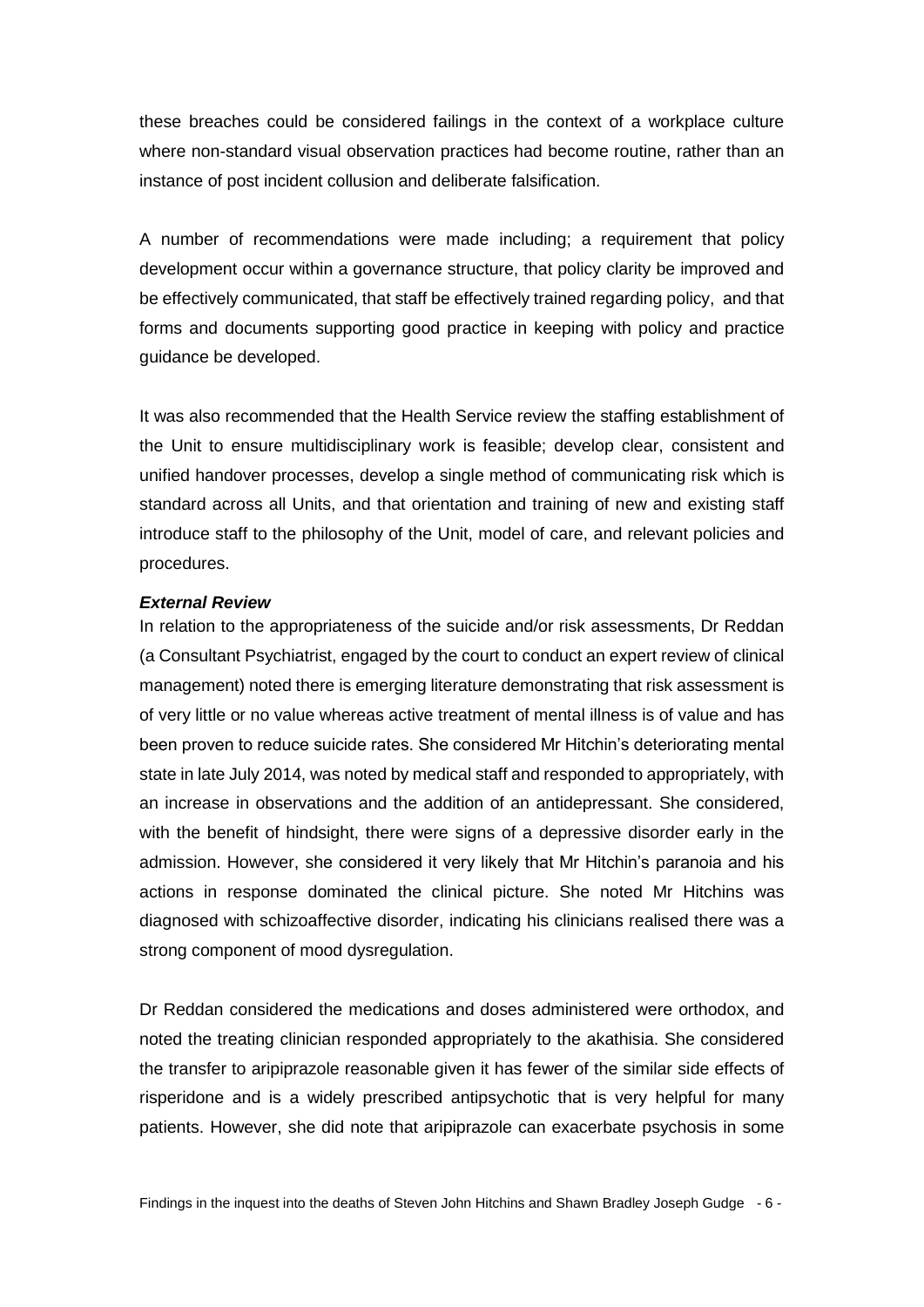these breaches could be considered failings in the context of a workplace culture where non-standard visual observation practices had become routine, rather than an instance of post incident collusion and deliberate falsification.

A number of recommendations were made including; a requirement that policy development occur within a governance structure, that policy clarity be improved and be effectively communicated, that staff be effectively trained regarding policy, and that forms and documents supporting good practice in keeping with policy and practice guidance be developed.

It was also recommended that the Health Service review the staffing establishment of the Unit to ensure multidisciplinary work is feasible; develop clear, consistent and unified handover processes, develop a single method of communicating risk which is standard across all Units, and that orientation and training of new and existing staff introduce staff to the philosophy of the Unit, model of care, and relevant policies and procedures.

#### <span id="page-8-0"></span>*External Review*

In relation to the appropriateness of the suicide and/or risk assessments, Dr Reddan (a Consultant Psychiatrist, engaged by the court to conduct an expert review of clinical management) noted there is emerging literature demonstrating that risk assessment is of very little or no value whereas active treatment of mental illness is of value and has been proven to reduce suicide rates. She considered Mr Hitchin's deteriorating mental state in late July 2014, was noted by medical staff and responded to appropriately, with an increase in observations and the addition of an antidepressant. She considered, with the benefit of hindsight, there were signs of a depressive disorder early in the admission. However, she considered it very likely that Mr Hitchin's paranoia and his actions in response dominated the clinical picture. She noted Mr Hitchins was diagnosed with schizoaffective disorder, indicating his clinicians realised there was a strong component of mood dysregulation.

Dr Reddan considered the medications and doses administered were orthodox, and noted the treating clinician responded appropriately to the akathisia. She considered the transfer to aripiprazole reasonable given it has fewer of the similar side effects of risperidone and is a widely prescribed antipsychotic that is very helpful for many patients. However, she did note that aripiprazole can exacerbate psychosis in some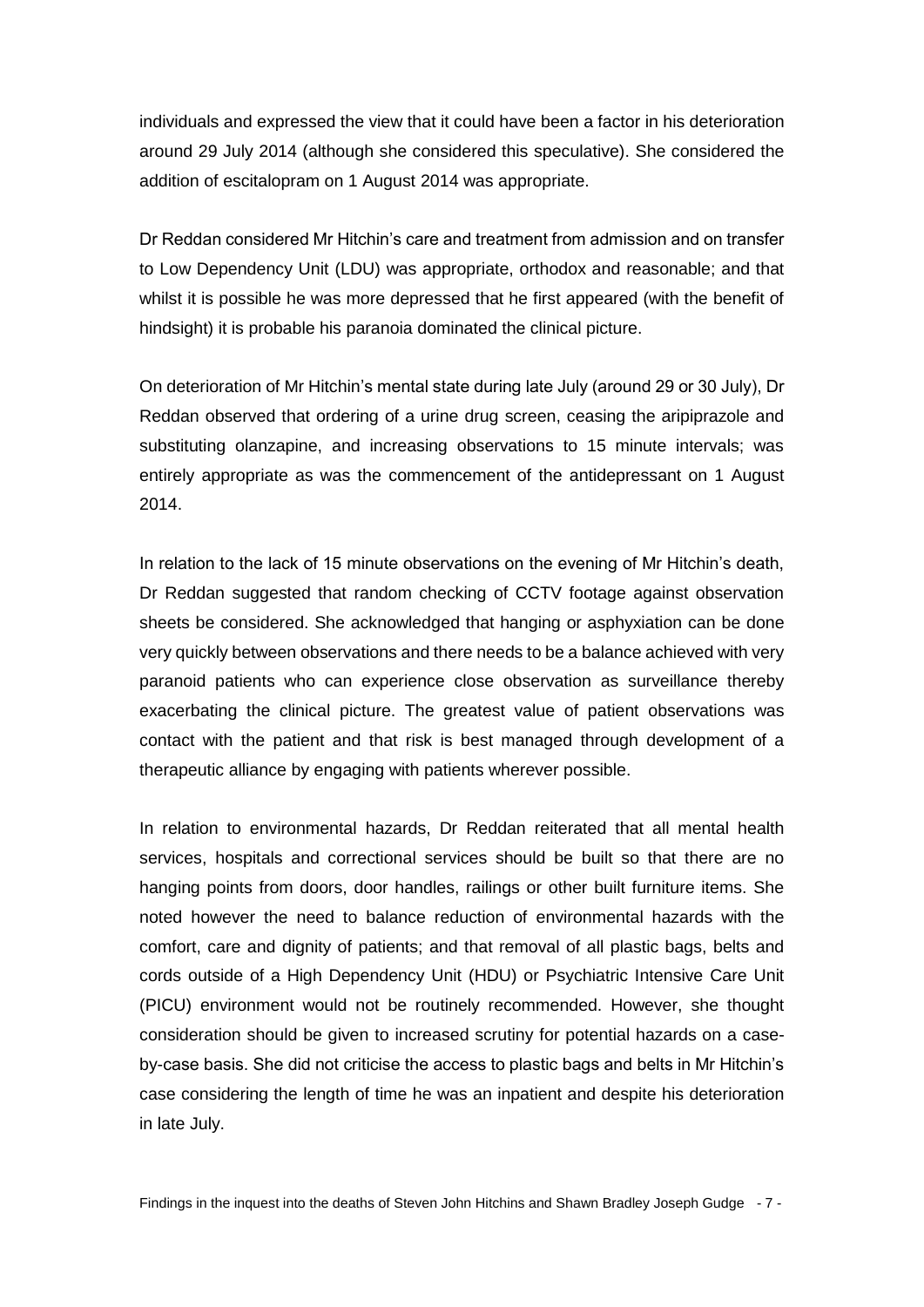individuals and expressed the view that it could have been a factor in his deterioration around 29 July 2014 (although she considered this speculative). She considered the addition of escitalopram on 1 August 2014 was appropriate.

Dr Reddan considered Mr Hitchin's care and treatment from admission and on transfer to Low Dependency Unit (LDU) was appropriate, orthodox and reasonable; and that whilst it is possible he was more depressed that he first appeared (with the benefit of hindsight) it is probable his paranoia dominated the clinical picture.

On deterioration of Mr Hitchin's mental state during late July (around 29 or 30 July), Dr Reddan observed that ordering of a urine drug screen, ceasing the aripiprazole and substituting olanzapine, and increasing observations to 15 minute intervals; was entirely appropriate as was the commencement of the antidepressant on 1 August 2014.

In relation to the lack of 15 minute observations on the evening of Mr Hitchin's death, Dr Reddan suggested that random checking of CCTV footage against observation sheets be considered. She acknowledged that hanging or asphyxiation can be done very quickly between observations and there needs to be a balance achieved with very paranoid patients who can experience close observation as surveillance thereby exacerbating the clinical picture. The greatest value of patient observations was contact with the patient and that risk is best managed through development of a therapeutic alliance by engaging with patients wherever possible.

In relation to environmental hazards, Dr Reddan reiterated that all mental health services, hospitals and correctional services should be built so that there are no hanging points from doors, door handles, railings or other built furniture items. She noted however the need to balance reduction of environmental hazards with the comfort, care and dignity of patients; and that removal of all plastic bags, belts and cords outside of a High Dependency Unit (HDU) or Psychiatric Intensive Care Unit (PICU) environment would not be routinely recommended. However, she thought consideration should be given to increased scrutiny for potential hazards on a caseby-case basis. She did not criticise the access to plastic bags and belts in Mr Hitchin's case considering the length of time he was an inpatient and despite his deterioration in late July.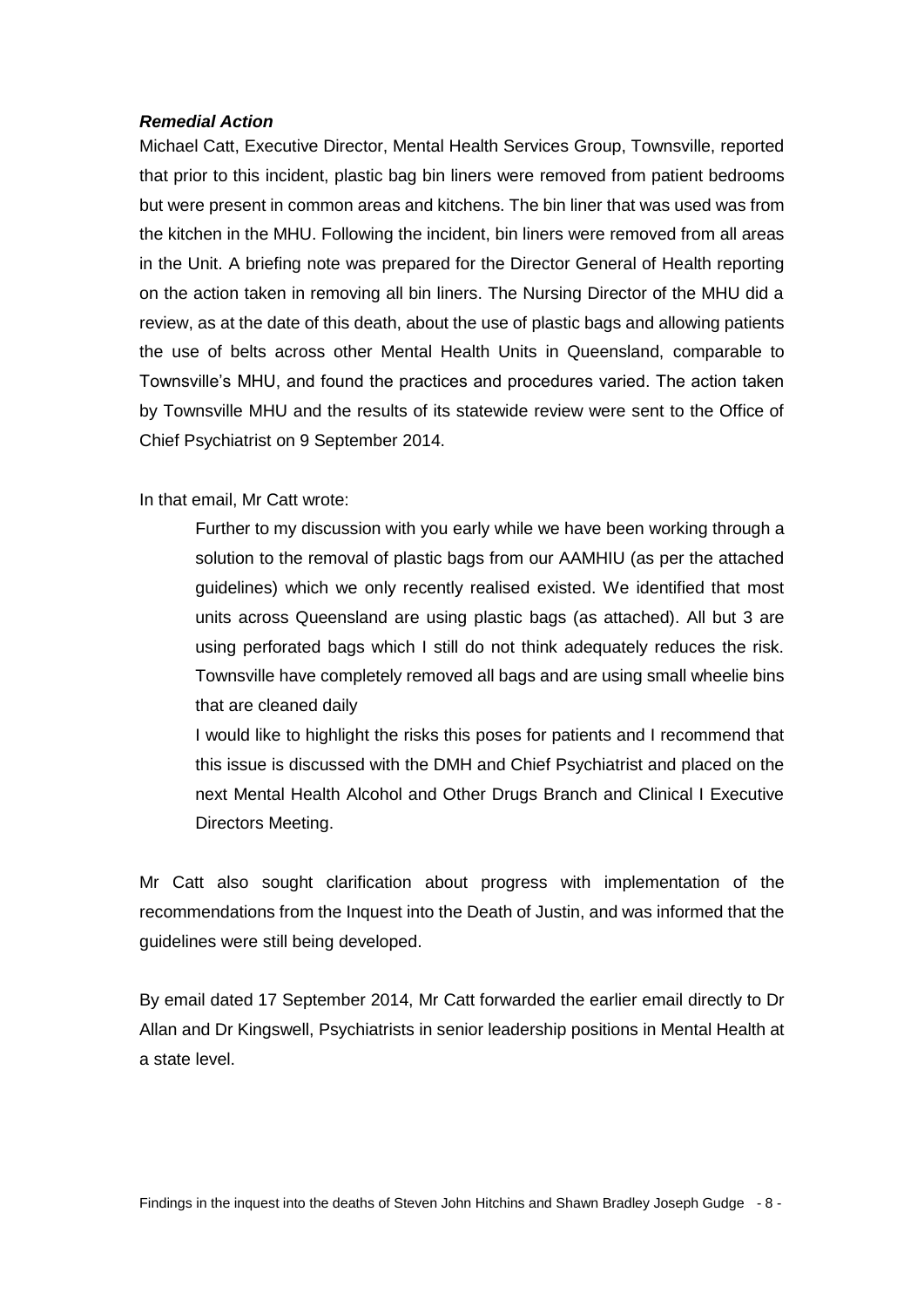#### <span id="page-10-0"></span>*Remedial Action*

Michael Catt, Executive Director, Mental Health Services Group, Townsville, reported that prior to this incident, plastic bag bin liners were removed from patient bedrooms but were present in common areas and kitchens. The bin liner that was used was from the kitchen in the MHU. Following the incident, bin liners were removed from all areas in the Unit. A briefing note was prepared for the Director General of Health reporting on the action taken in removing all bin liners. The Nursing Director of the MHU did a review, as at the date of this death, about the use of plastic bags and allowing patients the use of belts across other Mental Health Units in Queensland, comparable to Townsville's MHU, and found the practices and procedures varied. The action taken by Townsville MHU and the results of its statewide review were sent to the Office of Chief Psychiatrist on 9 September 2014.

In that email, Mr Catt wrote:

Further to my discussion with you early while we have been working through a solution to the removal of plastic bags from our AAMHIU (as per the attached guidelines) which we only recently realised existed. We identified that most units across Queensland are using plastic bags (as attached). All but 3 are using perforated bags which I still do not think adequately reduces the risk. Townsville have completely removed all bags and are using small wheelie bins that are cleaned daily

I would like to highlight the risks this poses for patients and I recommend that this issue is discussed with the DMH and Chief Psychiatrist and placed on the next Mental Health Alcohol and Other Drugs Branch and Clinical I Executive Directors Meeting.

Mr Catt also sought clarification about progress with implementation of the recommendations from the Inquest into the Death of Justin, and was informed that the guidelines were still being developed.

By email dated 17 September 2014, Mr Catt forwarded the earlier email directly to Dr Allan and Dr Kingswell, Psychiatrists in senior leadership positions in Mental Health at a state level.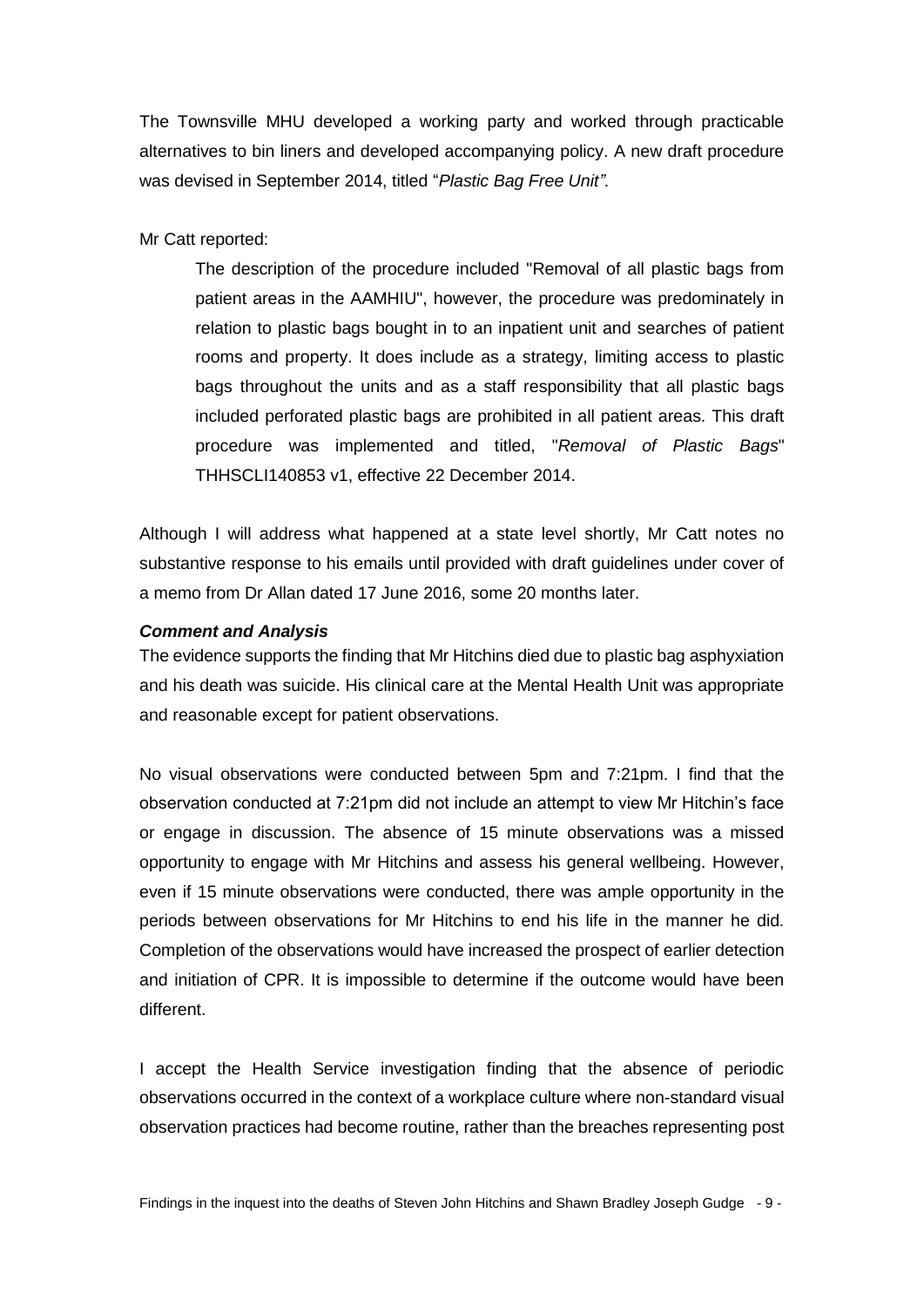The Townsville MHU developed a working party and worked through practicable alternatives to bin liners and developed accompanying policy. A new draft procedure was devised in September 2014, titled "*Plastic Bag Free Unit"*.

Mr Catt reported:

The description of the procedure included "Removal of all plastic bags from patient areas in the AAMHIU", however, the procedure was predominately in relation to plastic bags bought in to an inpatient unit and searches of patient rooms and property. It does include as a strategy, limiting access to plastic bags throughout the units and as a staff responsibility that all plastic bags included perforated plastic bags are prohibited in all patient areas. This draft procedure was implemented and titled, "*Removal of Plastic Bags*" THHSCLI140853 v1, effective 22 December 2014.

Although I will address what happened at a state level shortly, Mr Catt notes no substantive response to his emails until provided with draft guidelines under cover of a memo from Dr Allan dated 17 June 2016, some 20 months later.

#### <span id="page-11-0"></span>*Comment and Analysis*

The evidence supports the finding that Mr Hitchins died due to plastic bag asphyxiation and his death was suicide. His clinical care at the Mental Health Unit was appropriate and reasonable except for patient observations.

No visual observations were conducted between 5pm and 7:21pm. I find that the observation conducted at 7:21pm did not include an attempt to view Mr Hitchin's face or engage in discussion. The absence of 15 minute observations was a missed opportunity to engage with Mr Hitchins and assess his general wellbeing. However, even if 15 minute observations were conducted, there was ample opportunity in the periods between observations for Mr Hitchins to end his life in the manner he did. Completion of the observations would have increased the prospect of earlier detection and initiation of CPR. It is impossible to determine if the outcome would have been different.

I accept the Health Service investigation finding that the absence of periodic observations occurred in the context of a workplace culture where non-standard visual observation practices had become routine, rather than the breaches representing post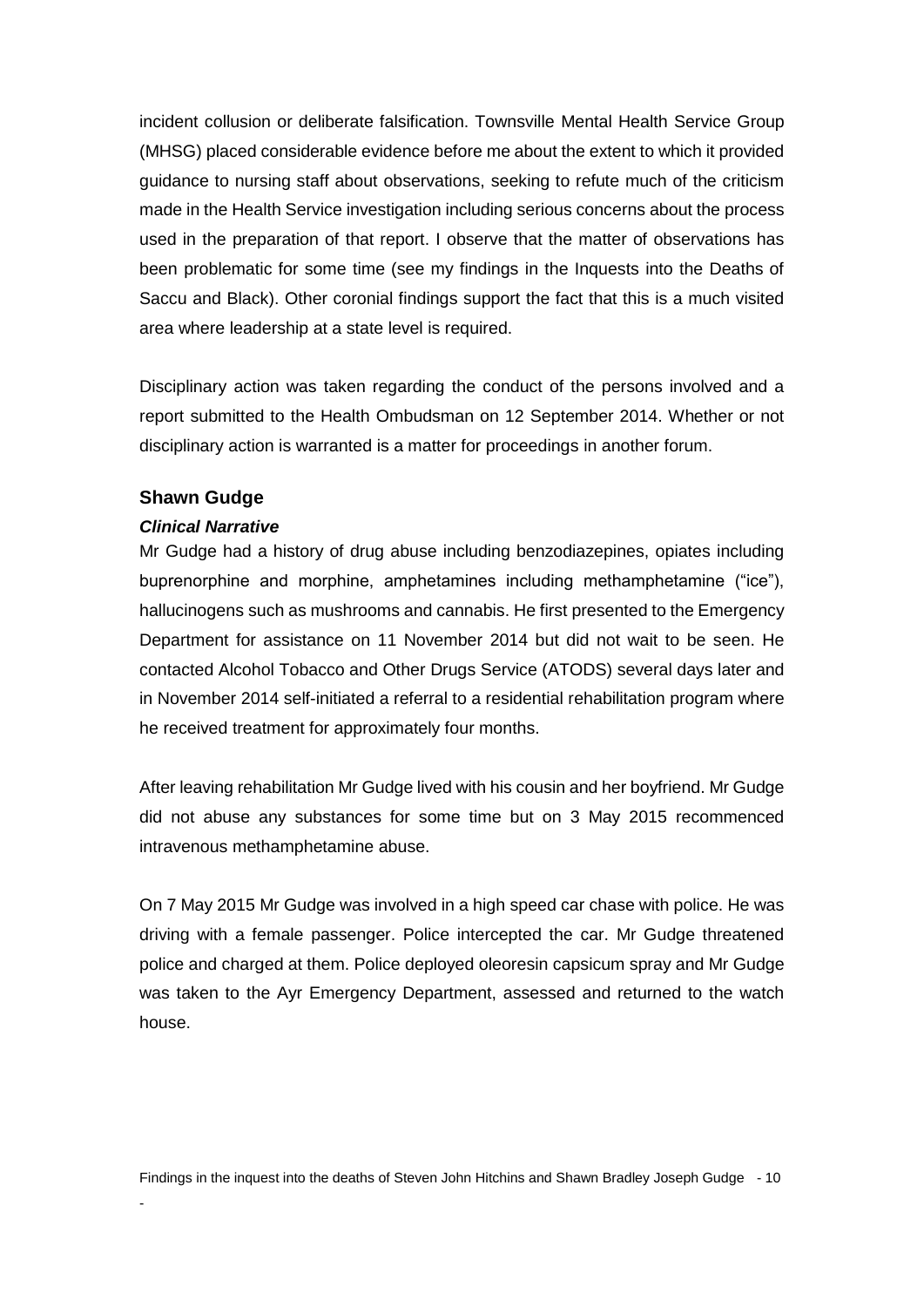incident collusion or deliberate falsification. Townsville Mental Health Service Group (MHSG) placed considerable evidence before me about the extent to which it provided guidance to nursing staff about observations, seeking to refute much of the criticism made in the Health Service investigation including serious concerns about the process used in the preparation of that report. I observe that the matter of observations has been problematic for some time (see my findings in the Inquests into the Deaths of Saccu and Black). Other coronial findings support the fact that this is a much visited area where leadership at a state level is required.

Disciplinary action was taken regarding the conduct of the persons involved and a report submitted to the Health Ombudsman on 12 September 2014. Whether or not disciplinary action is warranted is a matter for proceedings in another forum.

# <span id="page-12-0"></span>**Shawn Gudge**

-

# <span id="page-12-1"></span>*Clinical Narrative*

Mr Gudge had a history of drug abuse including benzodiazepines, opiates including buprenorphine and morphine, amphetamines including methamphetamine ("ice"), hallucinogens such as mushrooms and cannabis. He first presented to the Emergency Department for assistance on 11 November 2014 but did not wait to be seen. He contacted Alcohol Tobacco and Other Drugs Service (ATODS) several days later and in November 2014 self-initiated a referral to a residential rehabilitation program where he received treatment for approximately four months.

After leaving rehabilitation Mr Gudge lived with his cousin and her boyfriend. Mr Gudge did not abuse any substances for some time but on 3 May 2015 recommenced intravenous methamphetamine abuse.

On 7 May 2015 Mr Gudge was involved in a high speed car chase with police. He was driving with a female passenger. Police intercepted the car. Mr Gudge threatened police and charged at them. Police deployed oleoresin capsicum spray and Mr Gudge was taken to the Ayr Emergency Department, assessed and returned to the watch house.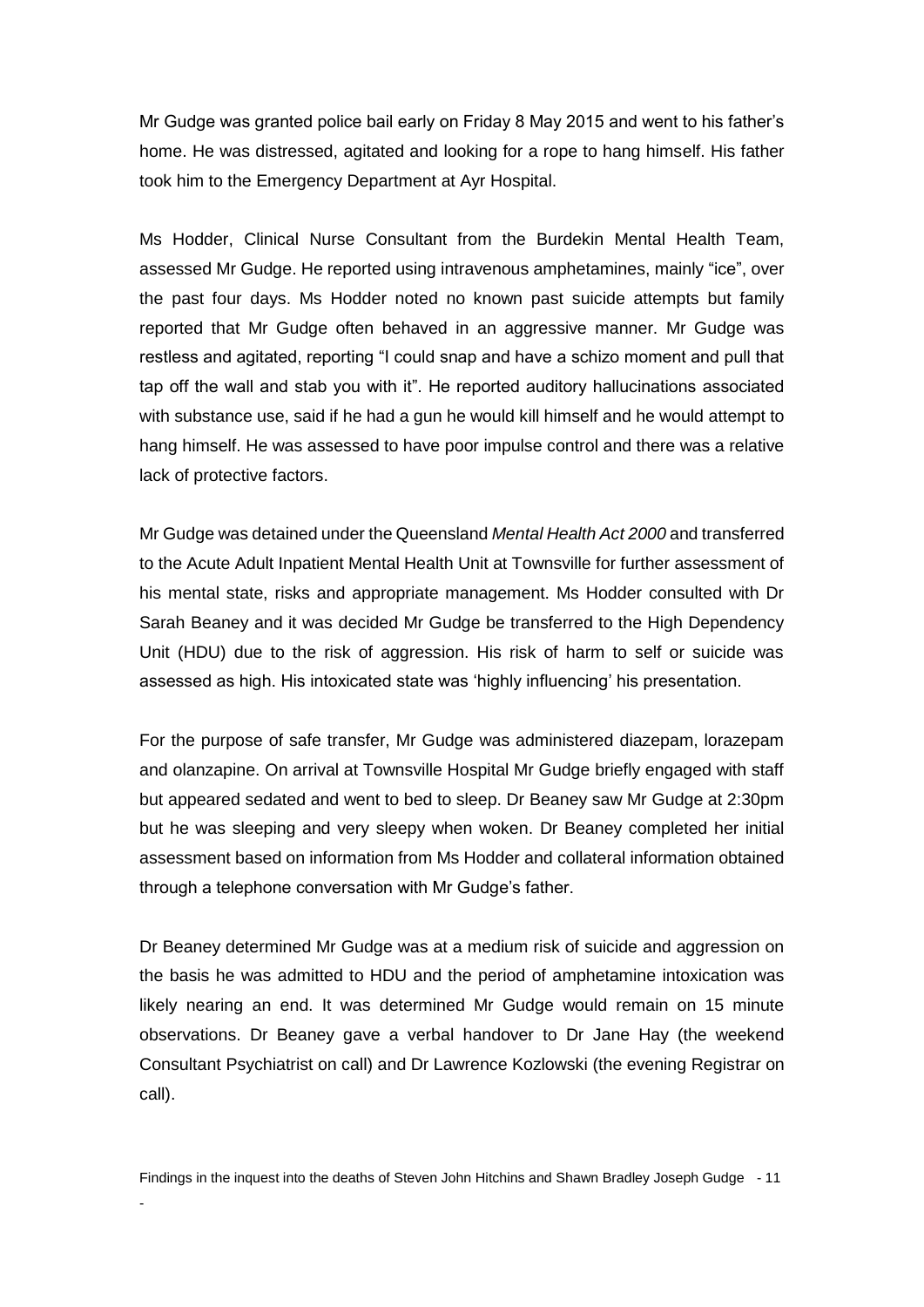Mr Gudge was granted police bail early on Friday 8 May 2015 and went to his father's home. He was distressed, agitated and looking for a rope to hang himself. His father took him to the Emergency Department at Ayr Hospital.

Ms Hodder, Clinical Nurse Consultant from the Burdekin Mental Health Team, assessed Mr Gudge. He reported using intravenous amphetamines, mainly "ice", over the past four days. Ms Hodder noted no known past suicide attempts but family reported that Mr Gudge often behaved in an aggressive manner. Mr Gudge was restless and agitated, reporting "I could snap and have a schizo moment and pull that tap off the wall and stab you with it". He reported auditory hallucinations associated with substance use, said if he had a gun he would kill himself and he would attempt to hang himself. He was assessed to have poor impulse control and there was a relative lack of protective factors.

Mr Gudge was detained under the Queensland *Mental Health Act 2000* and transferred to the Acute Adult Inpatient Mental Health Unit at Townsville for further assessment of his mental state, risks and appropriate management. Ms Hodder consulted with Dr Sarah Beaney and it was decided Mr Gudge be transferred to the High Dependency Unit (HDU) due to the risk of aggression. His risk of harm to self or suicide was assessed as high. His intoxicated state was 'highly influencing' his presentation.

For the purpose of safe transfer, Mr Gudge was administered diazepam, lorazepam and olanzapine. On arrival at Townsville Hospital Mr Gudge briefly engaged with staff but appeared sedated and went to bed to sleep. Dr Beaney saw Mr Gudge at 2:30pm but he was sleeping and very sleepy when woken. Dr Beaney completed her initial assessment based on information from Ms Hodder and collateral information obtained through a telephone conversation with Mr Gudge's father.

Dr Beaney determined Mr Gudge was at a medium risk of suicide and aggression on the basis he was admitted to HDU and the period of amphetamine intoxication was likely nearing an end. It was determined Mr Gudge would remain on 15 minute observations. Dr Beaney gave a verbal handover to Dr Jane Hay (the weekend Consultant Psychiatrist on call) and Dr Lawrence Kozlowski (the evening Registrar on call).

Findings in the inquest into the deaths of Steven John Hitchins and Shawn Bradley Joseph Gudge - 11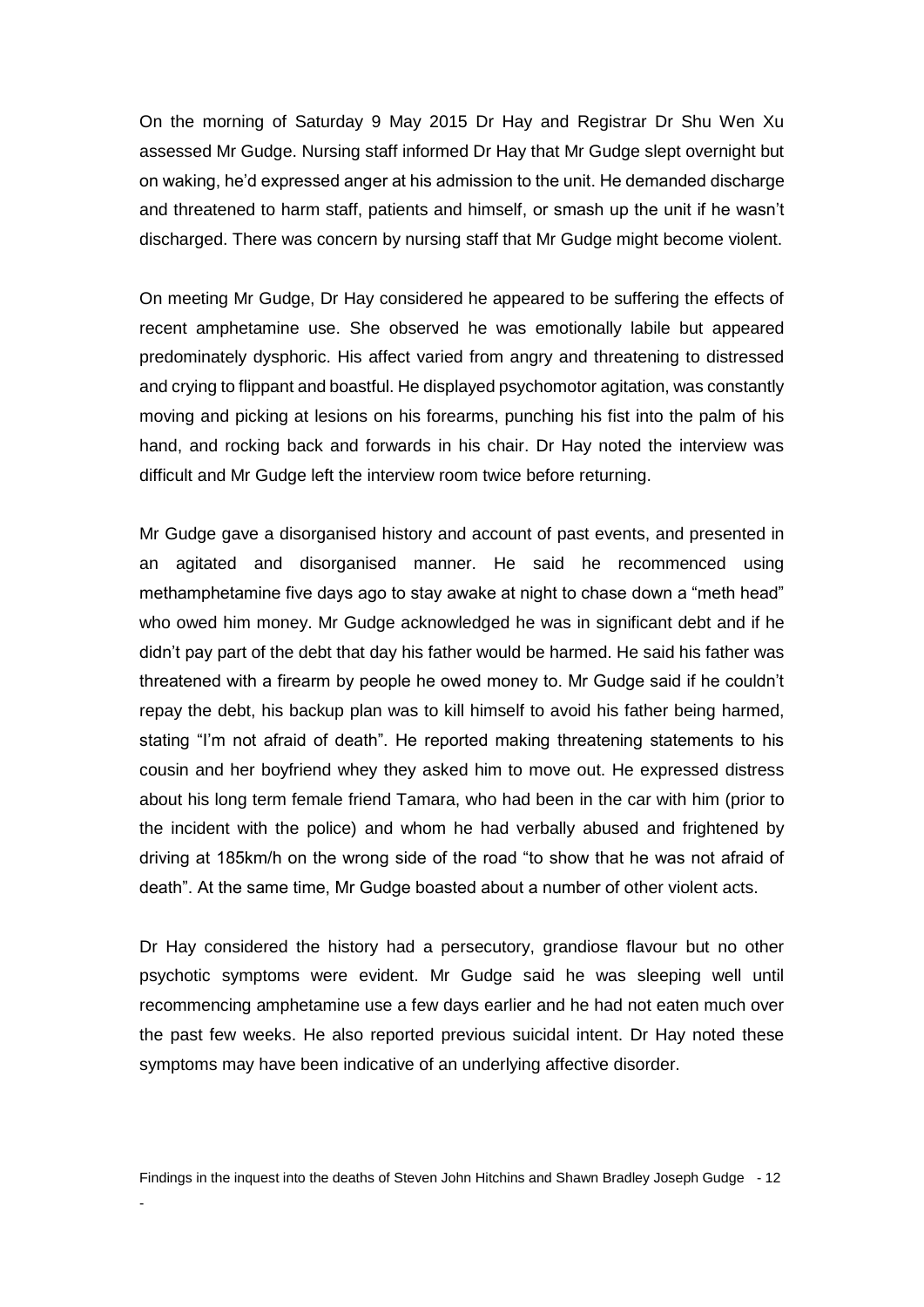On the morning of Saturday 9 May 2015 Dr Hay and Registrar Dr Shu Wen Xu assessed Mr Gudge. Nursing staff informed Dr Hay that Mr Gudge slept overnight but on waking, he'd expressed anger at his admission to the unit. He demanded discharge and threatened to harm staff, patients and himself, or smash up the unit if he wasn't discharged. There was concern by nursing staff that Mr Gudge might become violent.

On meeting Mr Gudge, Dr Hay considered he appeared to be suffering the effects of recent amphetamine use. She observed he was emotionally labile but appeared predominately dysphoric. His affect varied from angry and threatening to distressed and crying to flippant and boastful. He displayed psychomotor agitation, was constantly moving and picking at lesions on his forearms, punching his fist into the palm of his hand, and rocking back and forwards in his chair. Dr Hay noted the interview was difficult and Mr Gudge left the interview room twice before returning.

Mr Gudge gave a disorganised history and account of past events, and presented in an agitated and disorganised manner. He said he recommenced using methamphetamine five days ago to stay awake at night to chase down a "meth head" who owed him money. Mr Gudge acknowledged he was in significant debt and if he didn't pay part of the debt that day his father would be harmed. He said his father was threatened with a firearm by people he owed money to. Mr Gudge said if he couldn't repay the debt, his backup plan was to kill himself to avoid his father being harmed, stating "I'm not afraid of death". He reported making threatening statements to his cousin and her boyfriend whey they asked him to move out. He expressed distress about his long term female friend Tamara, who had been in the car with him (prior to the incident with the police) and whom he had verbally abused and frightened by driving at 185km/h on the wrong side of the road "to show that he was not afraid of death". At the same time, Mr Gudge boasted about a number of other violent acts.

Dr Hay considered the history had a persecutory, grandiose flavour but no other psychotic symptoms were evident. Mr Gudge said he was sleeping well until recommencing amphetamine use a few days earlier and he had not eaten much over the past few weeks. He also reported previous suicidal intent. Dr Hay noted these symptoms may have been indicative of an underlying affective disorder.

Findings in the inquest into the deaths of Steven John Hitchins and Shawn Bradley Joseph Gudge - 12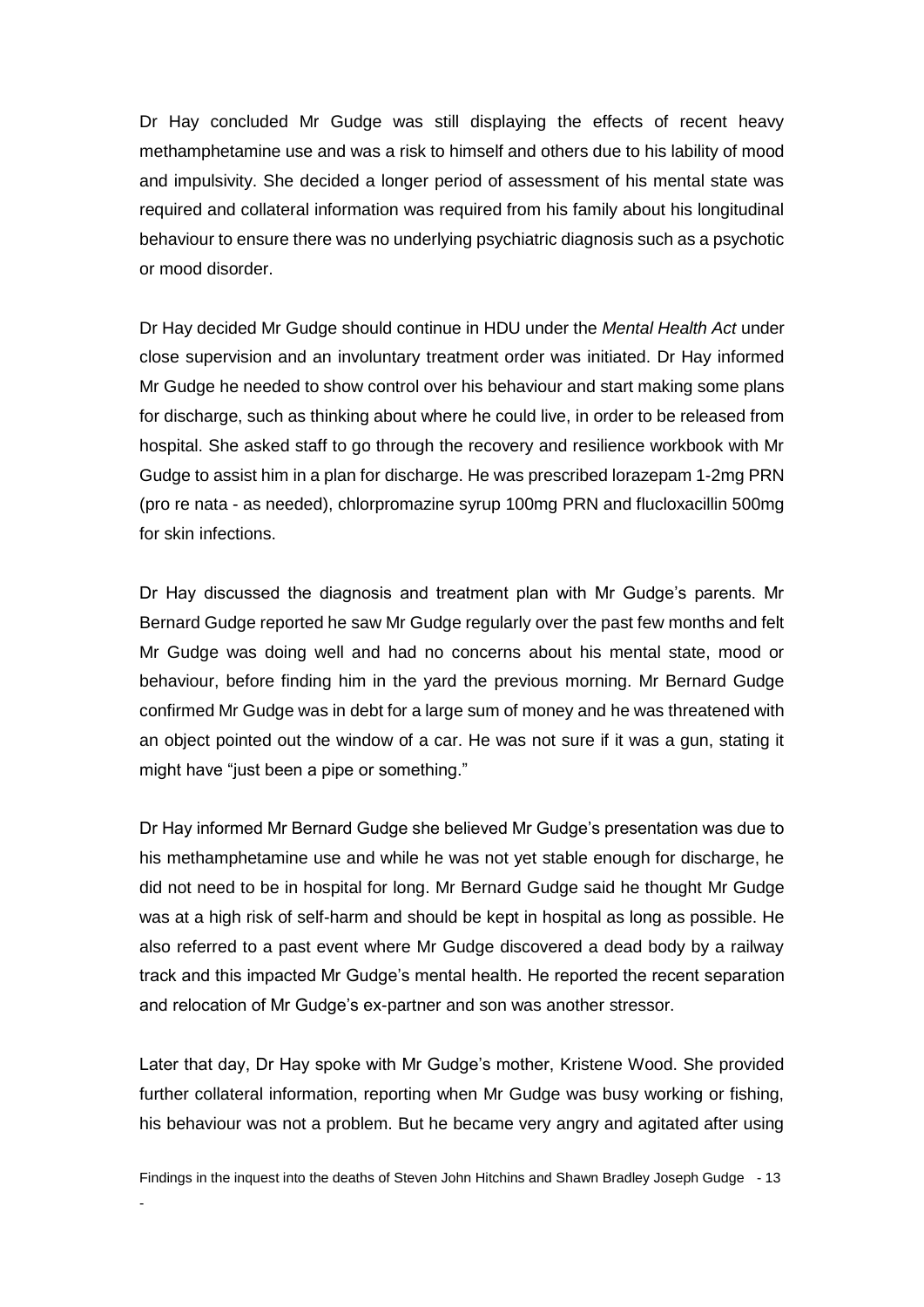Dr Hay concluded Mr Gudge was still displaying the effects of recent heavy methamphetamine use and was a risk to himself and others due to his lability of mood and impulsivity. She decided a longer period of assessment of his mental state was required and collateral information was required from his family about his longitudinal behaviour to ensure there was no underlying psychiatric diagnosis such as a psychotic or mood disorder.

Dr Hay decided Mr Gudge should continue in HDU under the *Mental Health Act* under close supervision and an involuntary treatment order was initiated. Dr Hay informed Mr Gudge he needed to show control over his behaviour and start making some plans for discharge, such as thinking about where he could live, in order to be released from hospital. She asked staff to go through the recovery and resilience workbook with Mr Gudge to assist him in a plan for discharge. He was prescribed lorazepam 1-2mg PRN (pro re nata - as needed), chlorpromazine syrup 100mg PRN and flucloxacillin 500mg for skin infections.

Dr Hay discussed the diagnosis and treatment plan with Mr Gudge's parents. Mr Bernard Gudge reported he saw Mr Gudge regularly over the past few months and felt Mr Gudge was doing well and had no concerns about his mental state, mood or behaviour, before finding him in the yard the previous morning. Mr Bernard Gudge confirmed Mr Gudge was in debt for a large sum of money and he was threatened with an object pointed out the window of a car. He was not sure if it was a gun, stating it might have "just been a pipe or something."

Dr Hay informed Mr Bernard Gudge she believed Mr Gudge's presentation was due to his methamphetamine use and while he was not yet stable enough for discharge, he did not need to be in hospital for long. Mr Bernard Gudge said he thought Mr Gudge was at a high risk of self-harm and should be kept in hospital as long as possible. He also referred to a past event where Mr Gudge discovered a dead body by a railway track and this impacted Mr Gudge's mental health. He reported the recent separation and relocation of Mr Gudge's ex-partner and son was another stressor.

Later that day, Dr Hay spoke with Mr Gudge's mother, Kristene Wood. She provided further collateral information, reporting when Mr Gudge was busy working or fishing, his behaviour was not a problem. But he became very angry and agitated after using

Findings in the inquest into the deaths of Steven John Hitchins and Shawn Bradley Joseph Gudge - 13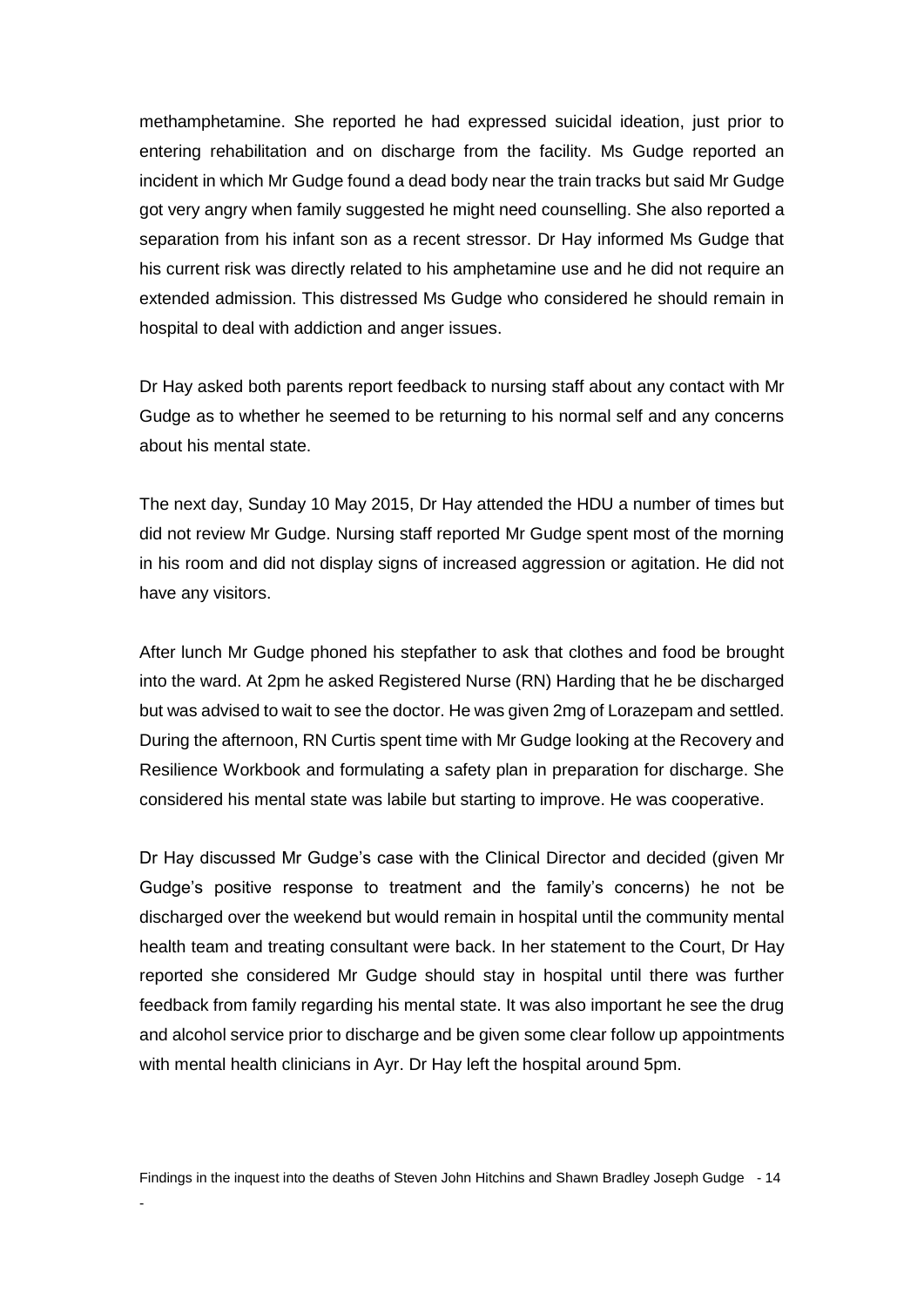methamphetamine. She reported he had expressed suicidal ideation, just prior to entering rehabilitation and on discharge from the facility. Ms Gudge reported an incident in which Mr Gudge found a dead body near the train tracks but said Mr Gudge got very angry when family suggested he might need counselling. She also reported a separation from his infant son as a recent stressor. Dr Hay informed Ms Gudge that his current risk was directly related to his amphetamine use and he did not require an extended admission. This distressed Ms Gudge who considered he should remain in hospital to deal with addiction and anger issues.

Dr Hay asked both parents report feedback to nursing staff about any contact with Mr Gudge as to whether he seemed to be returning to his normal self and any concerns about his mental state.

The next day, Sunday 10 May 2015, Dr Hay attended the HDU a number of times but did not review Mr Gudge. Nursing staff reported Mr Gudge spent most of the morning in his room and did not display signs of increased aggression or agitation. He did not have any visitors.

After lunch Mr Gudge phoned his stepfather to ask that clothes and food be brought into the ward. At 2pm he asked Registered Nurse (RN) Harding that he be discharged but was advised to wait to see the doctor. He was given 2mg of Lorazepam and settled. During the afternoon, RN Curtis spent time with Mr Gudge looking at the Recovery and Resilience Workbook and formulating a safety plan in preparation for discharge. She considered his mental state was labile but starting to improve. He was cooperative.

Dr Hay discussed Mr Gudge's case with the Clinical Director and decided (given Mr Gudge's positive response to treatment and the family's concerns) he not be discharged over the weekend but would remain in hospital until the community mental health team and treating consultant were back. In her statement to the Court, Dr Hay reported she considered Mr Gudge should stay in hospital until there was further feedback from family regarding his mental state. It was also important he see the drug and alcohol service prior to discharge and be given some clear follow up appointments with mental health clinicians in Ayr. Dr Hay left the hospital around 5pm.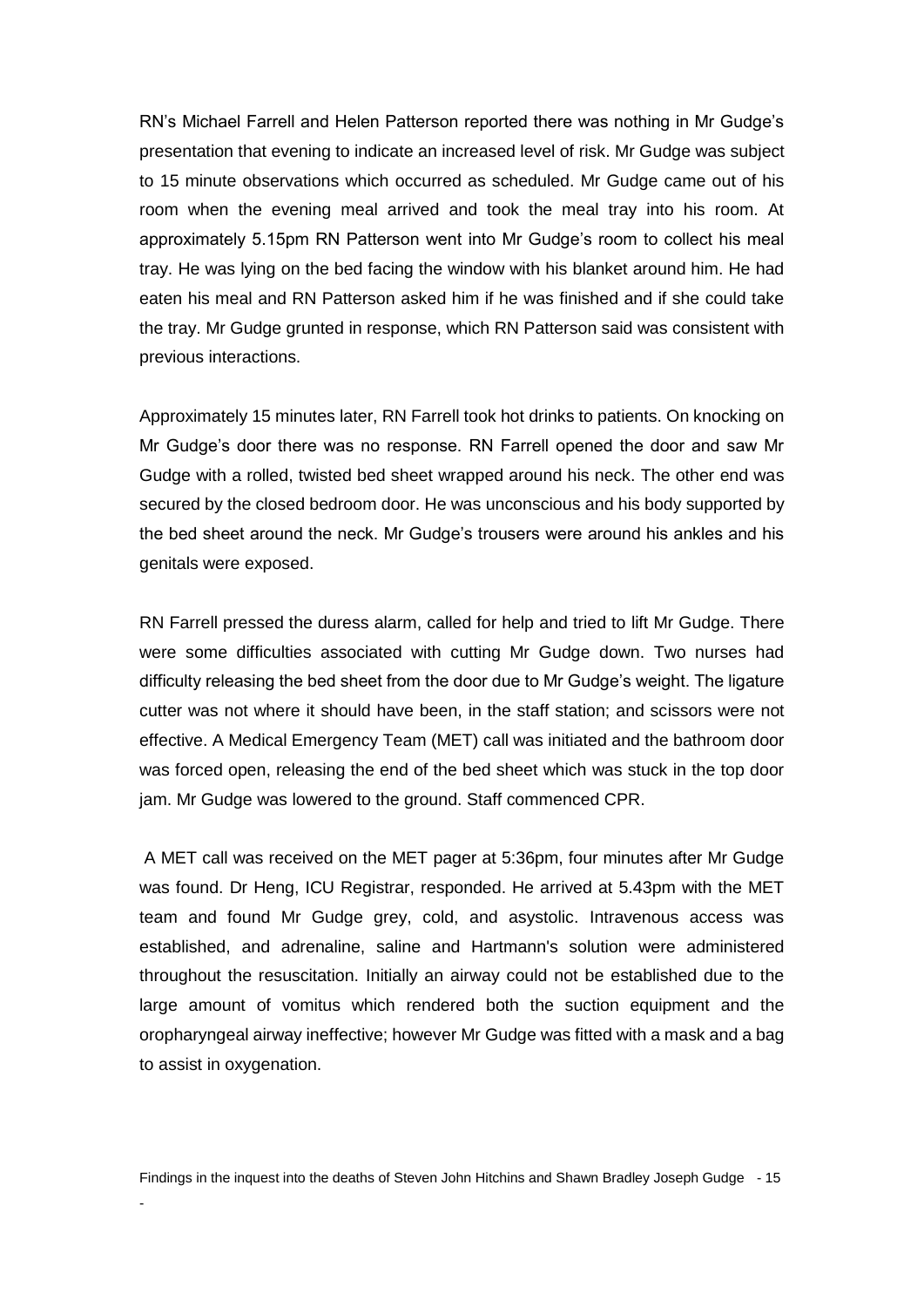RN's Michael Farrell and Helen Patterson reported there was nothing in Mr Gudge's presentation that evening to indicate an increased level of risk. Mr Gudge was subject to 15 minute observations which occurred as scheduled. Mr Gudge came out of his room when the evening meal arrived and took the meal tray into his room. At approximately 5.15pm RN Patterson went into Mr Gudge's room to collect his meal tray. He was lying on the bed facing the window with his blanket around him. He had eaten his meal and RN Patterson asked him if he was finished and if she could take the tray. Mr Gudge grunted in response, which RN Patterson said was consistent with previous interactions.

Approximately 15 minutes later, RN Farrell took hot drinks to patients. On knocking on Mr Gudge's door there was no response. RN Farrell opened the door and saw Mr Gudge with a rolled, twisted bed sheet wrapped around his neck. The other end was secured by the closed bedroom door. He was unconscious and his body supported by the bed sheet around the neck. Mr Gudge's trousers were around his ankles and his genitals were exposed.

RN Farrell pressed the duress alarm, called for help and tried to lift Mr Gudge. There were some difficulties associated with cutting Mr Gudge down. Two nurses had difficulty releasing the bed sheet from the door due to Mr Gudge's weight. The ligature cutter was not where it should have been, in the staff station; and scissors were not effective. A Medical Emergency Team (MET) call was initiated and the bathroom door was forced open, releasing the end of the bed sheet which was stuck in the top door jam. Mr Gudge was lowered to the ground. Staff commenced CPR.

A MET call was received on the MET pager at 5:36pm, four minutes after Mr Gudge was found. Dr Heng, ICU Registrar, responded. He arrived at 5.43pm with the MET team and found Mr Gudge grey, cold, and asystolic. Intravenous access was established, and adrenaline, saline and Hartmann's solution were administered throughout the resuscitation. Initially an airway could not be established due to the large amount of vomitus which rendered both the suction equipment and the oropharyngeal airway ineffective; however Mr Gudge was fitted with a mask and a bag to assist in oxygenation.

Findings in the inquest into the deaths of Steven John Hitchins and Shawn Bradley Joseph Gudge - 15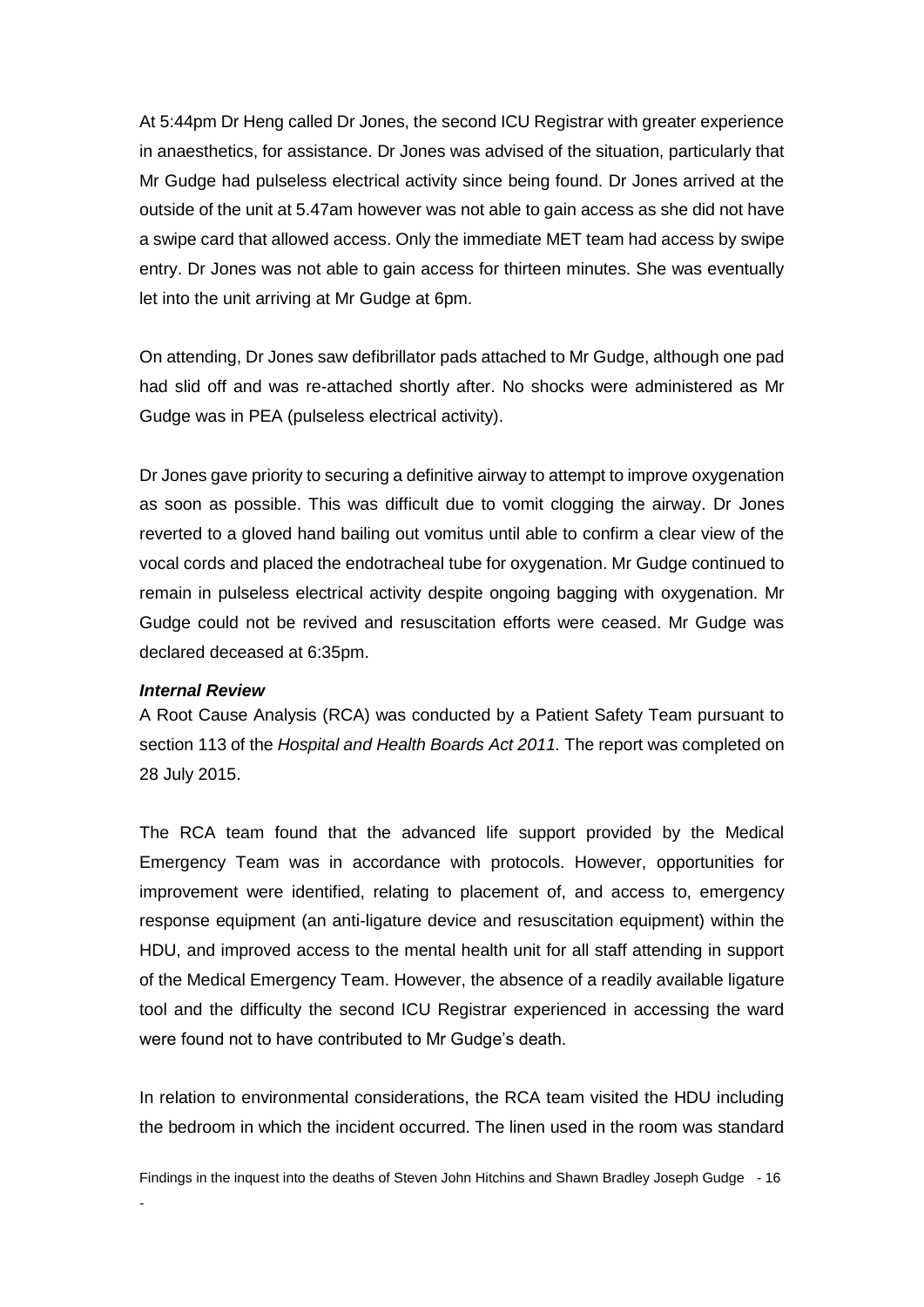At 5:44pm Dr Heng called Dr Jones, the second ICU Registrar with greater experience in anaesthetics, for assistance. Dr Jones was advised of the situation, particularly that Mr Gudge had pulseless electrical activity since being found. Dr Jones arrived at the outside of the unit at 5.47am however was not able to gain access as she did not have a swipe card that allowed access. Only the immediate MET team had access by swipe entry. Dr Jones was not able to gain access for thirteen minutes. She was eventually let into the unit arriving at Mr Gudge at 6pm.

On attending, Dr Jones saw defibrillator pads attached to Mr Gudge, although one pad had slid off and was re-attached shortly after. No shocks were administered as Mr Gudge was in PEA (pulseless electrical activity).

Dr Jones gave priority to securing a definitive airway to attempt to improve oxygenation as soon as possible. This was difficult due to vomit clogging the airway. Dr Jones reverted to a gloved hand bailing out vomitus until able to confirm a clear view of the vocal cords and placed the endotracheal tube for oxygenation. Mr Gudge continued to remain in pulseless electrical activity despite ongoing bagging with oxygenation. Mr Gudge could not be revived and resuscitation efforts were ceased. Mr Gudge was declared deceased at 6:35pm.

#### <span id="page-18-0"></span>*Internal Review*

-

A Root Cause Analysis (RCA) was conducted by a Patient Safety Team pursuant to section 113 of the *Hospital and Health Boards Act 2011.* The report was completed on 28 July 2015.

The RCA team found that the advanced life support provided by the Medical Emergency Team was in accordance with protocols. However, opportunities for improvement were identified, relating to placement of, and access to, emergency response equipment (an anti-ligature device and resuscitation equipment) within the HDU, and improved access to the mental health unit for all staff attending in support of the Medical Emergency Team. However, the absence of a readily available ligature tool and the difficulty the second ICU Registrar experienced in accessing the ward were found not to have contributed to Mr Gudge's death.

In relation to environmental considerations, the RCA team visited the HDU including the bedroom in which the incident occurred. The linen used in the room was standard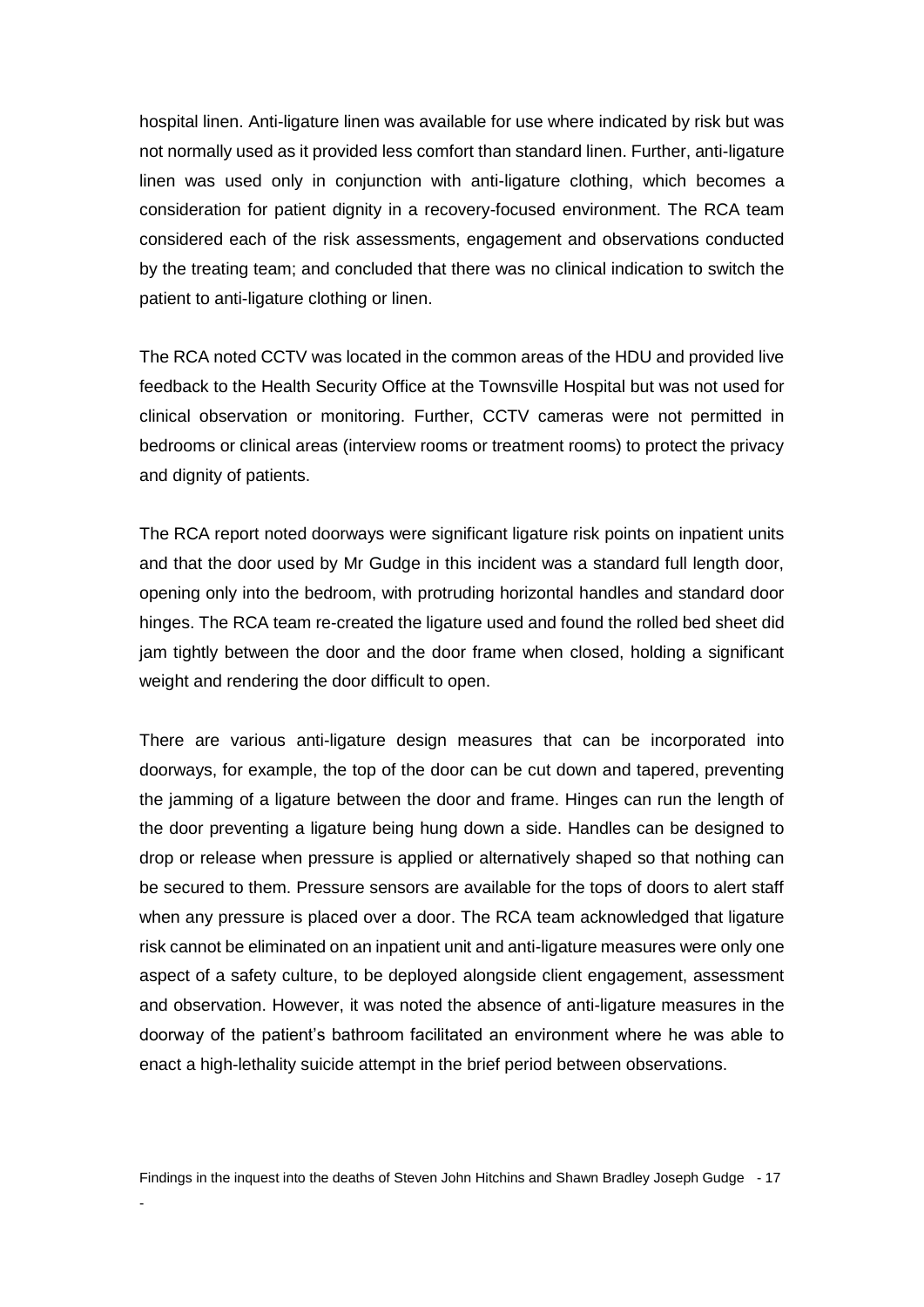hospital linen. Anti-ligature linen was available for use where indicated by risk but was not normally used as it provided less comfort than standard linen. Further, anti-ligature linen was used only in conjunction with anti-ligature clothing, which becomes a consideration for patient dignity in a recovery-focused environment. The RCA team considered each of the risk assessments, engagement and observations conducted by the treating team; and concluded that there was no clinical indication to switch the patient to anti-ligature clothing or linen.

The RCA noted CCTV was located in the common areas of the HDU and provided live feedback to the Health Security Office at the Townsville Hospital but was not used for clinical observation or monitoring. Further, CCTV cameras were not permitted in bedrooms or clinical areas (interview rooms or treatment rooms) to protect the privacy and dignity of patients.

The RCA report noted doorways were significant ligature risk points on inpatient units and that the door used by Mr Gudge in this incident was a standard full length door, opening only into the bedroom, with protruding horizontal handles and standard door hinges. The RCA team re-created the ligature used and found the rolled bed sheet did jam tightly between the door and the door frame when closed, holding a significant weight and rendering the door difficult to open.

There are various anti-ligature design measures that can be incorporated into doorways, for example, the top of the door can be cut down and tapered, preventing the jamming of a ligature between the door and frame. Hinges can run the length of the door preventing a ligature being hung down a side. Handles can be designed to drop or release when pressure is applied or alternatively shaped so that nothing can be secured to them. Pressure sensors are available for the tops of doors to alert staff when any pressure is placed over a door. The RCA team acknowledged that ligature risk cannot be eliminated on an inpatient unit and anti-ligature measures were only one aspect of a safety culture, to be deployed alongside client engagement, assessment and observation. However, it was noted the absence of anti-ligature measures in the doorway of the patient's bathroom facilitated an environment where he was able to enact a high-lethality suicide attempt in the brief period between observations.

Findings in the inquest into the deaths of Steven John Hitchins and Shawn Bradley Joseph Gudge - 17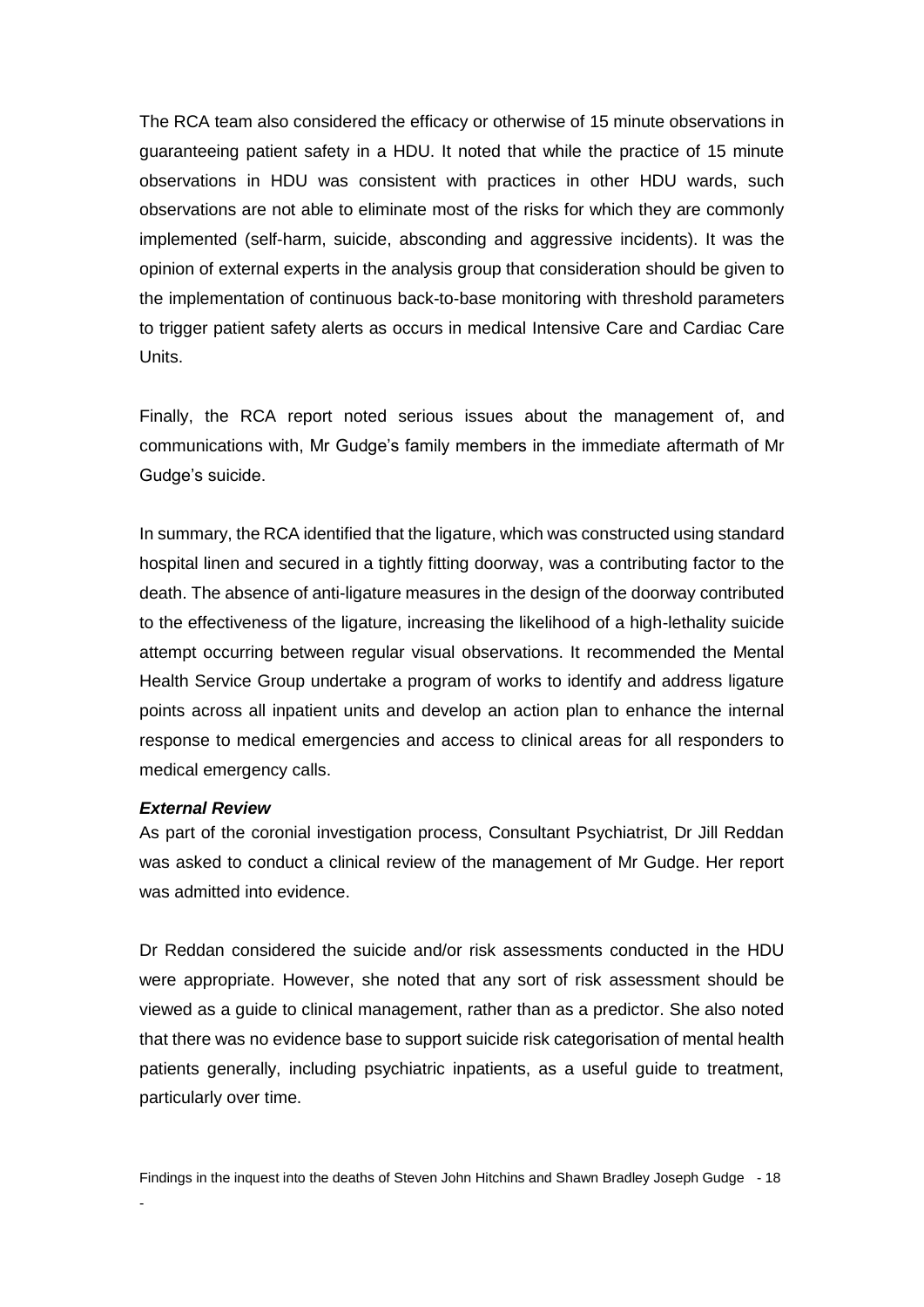The RCA team also considered the efficacy or otherwise of 15 minute observations in guaranteeing patient safety in a HDU. It noted that while the practice of 15 minute observations in HDU was consistent with practices in other HDU wards, such observations are not able to eliminate most of the risks for which they are commonly implemented (self-harm, suicide, absconding and aggressive incidents). It was the opinion of external experts in the analysis group that consideration should be given to the implementation of continuous back-to-base monitoring with threshold parameters to trigger patient safety alerts as occurs in medical Intensive Care and Cardiac Care Units.

Finally, the RCA report noted serious issues about the management of, and communications with, Mr Gudge's family members in the immediate aftermath of Mr Gudge's suicide.

In summary, the RCA identified that the ligature, which was constructed using standard hospital linen and secured in a tightly fitting doorway, was a contributing factor to the death. The absence of anti-ligature measures in the design of the doorway contributed to the effectiveness of the ligature, increasing the likelihood of a high-lethality suicide attempt occurring between regular visual observations. It recommended the Mental Health Service Group undertake a program of works to identify and address ligature points across all inpatient units and develop an action plan to enhance the internal response to medical emergencies and access to clinical areas for all responders to medical emergency calls.

#### <span id="page-20-0"></span>*External Review*

-

As part of the coronial investigation process, Consultant Psychiatrist, Dr Jill Reddan was asked to conduct a clinical review of the management of Mr Gudge. Her report was admitted into evidence.

Dr Reddan considered the suicide and/or risk assessments conducted in the HDU were appropriate. However, she noted that any sort of risk assessment should be viewed as a guide to clinical management, rather than as a predictor. She also noted that there was no evidence base to support suicide risk categorisation of mental health patients generally, including psychiatric inpatients, as a useful guide to treatment, particularly over time.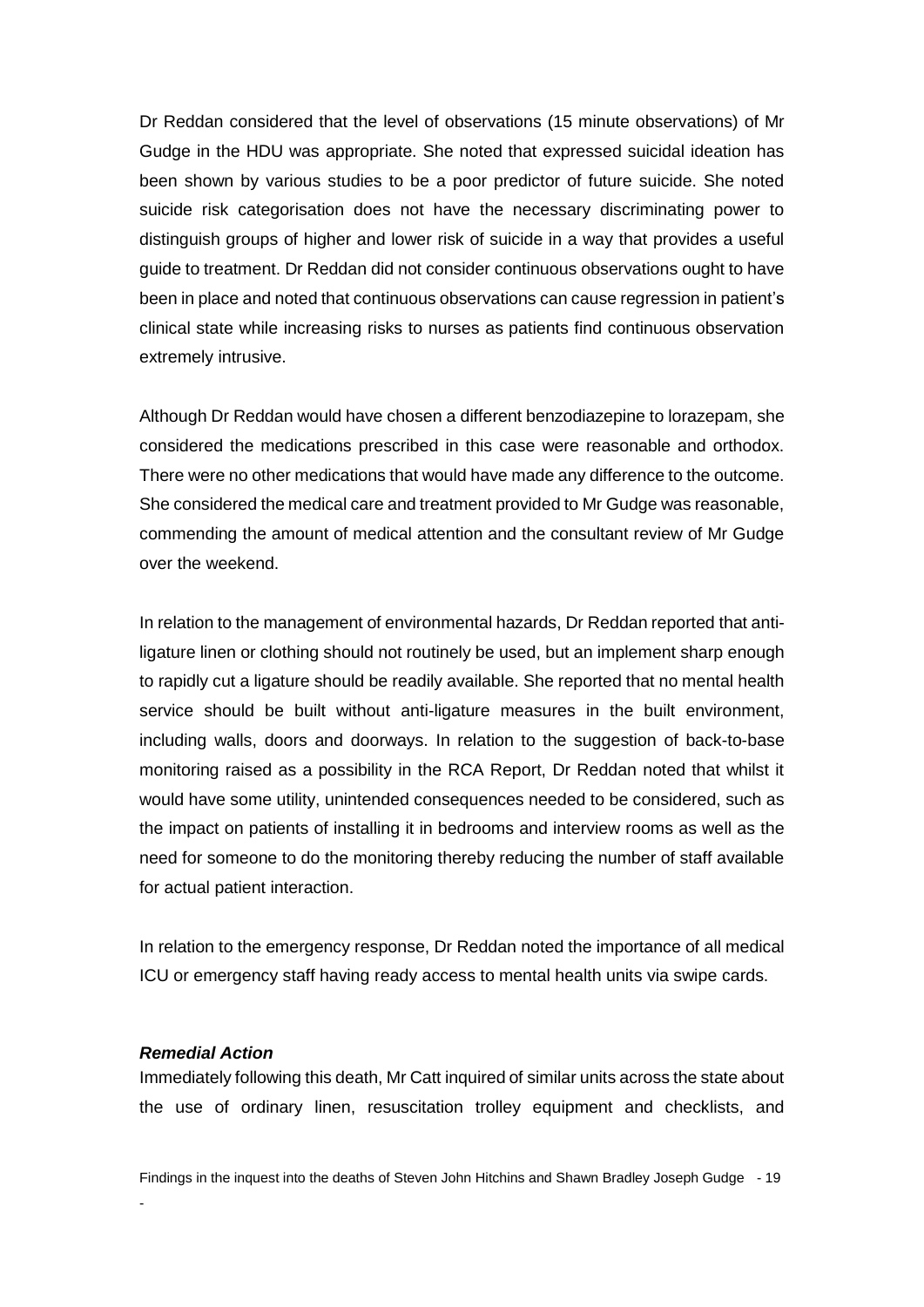Dr Reddan considered that the level of observations (15 minute observations) of Mr Gudge in the HDU was appropriate. She noted that expressed suicidal ideation has been shown by various studies to be a poor predictor of future suicide. She noted suicide risk categorisation does not have the necessary discriminating power to distinguish groups of higher and lower risk of suicide in a way that provides a useful guide to treatment. Dr Reddan did not consider continuous observations ought to have been in place and noted that continuous observations can cause regression in patient's clinical state while increasing risks to nurses as patients find continuous observation extremely intrusive.

Although Dr Reddan would have chosen a different benzodiazepine to lorazepam, she considered the medications prescribed in this case were reasonable and orthodox. There were no other medications that would have made any difference to the outcome. She considered the medical care and treatment provided to Mr Gudge was reasonable, commending the amount of medical attention and the consultant review of Mr Gudge over the weekend.

In relation to the management of environmental hazards, Dr Reddan reported that antiligature linen or clothing should not routinely be used, but an implement sharp enough to rapidly cut a ligature should be readily available. She reported that no mental health service should be built without anti-ligature measures in the built environment, including walls, doors and doorways. In relation to the suggestion of back-to-base monitoring raised as a possibility in the RCA Report, Dr Reddan noted that whilst it would have some utility, unintended consequences needed to be considered, such as the impact on patients of installing it in bedrooms and interview rooms as well as the need for someone to do the monitoring thereby reducing the number of staff available for actual patient interaction.

In relation to the emergency response, Dr Reddan noted the importance of all medical ICU or emergency staff having ready access to mental health units via swipe cards.

#### <span id="page-21-0"></span>*Remedial Action*

-

Immediately following this death, Mr Catt inquired of similar units across the state about the use of ordinary linen, resuscitation trolley equipment and checklists, and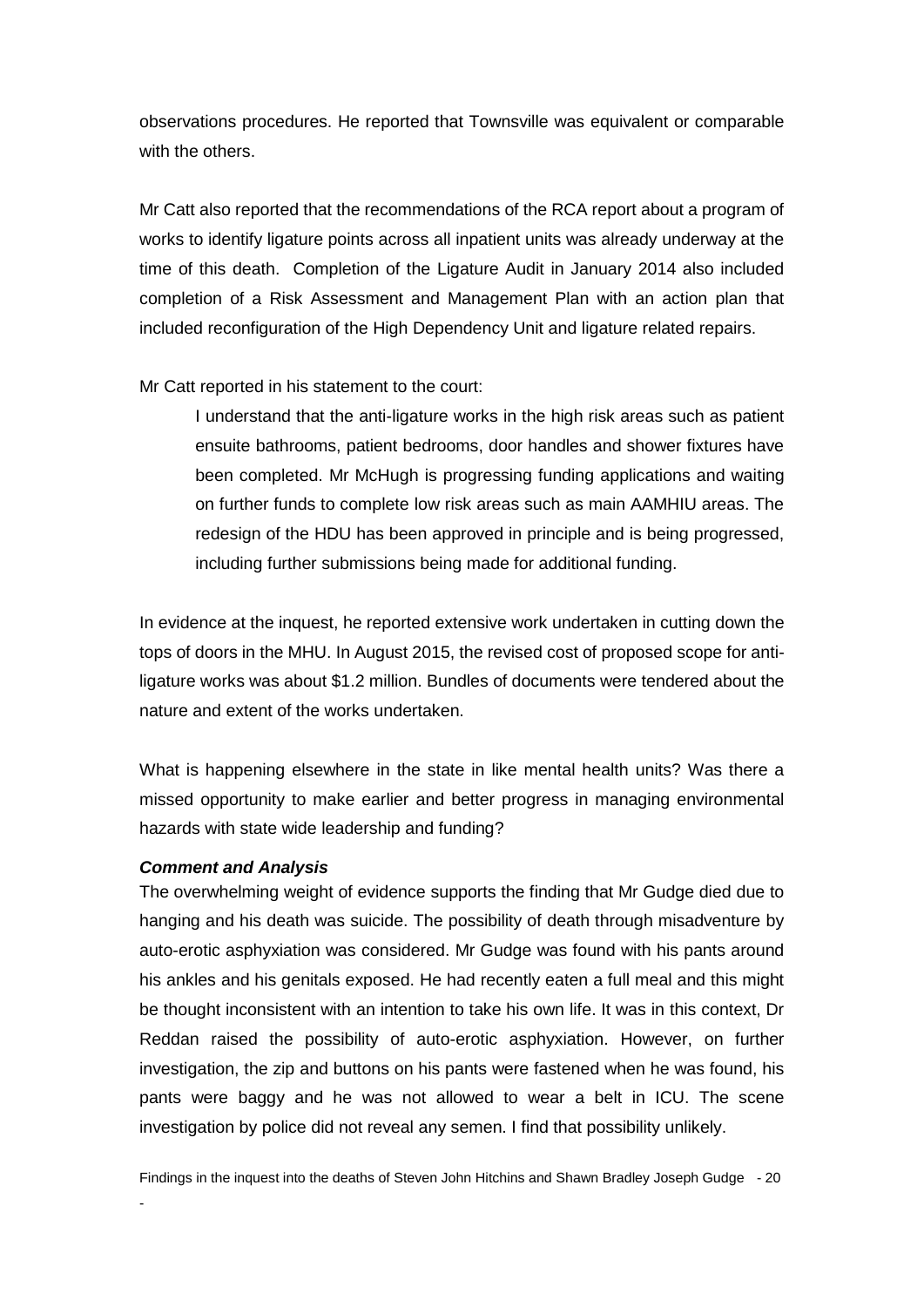observations procedures. He reported that Townsville was equivalent or comparable with the others.

Mr Catt also reported that the recommendations of the RCA report about a program of works to identify ligature points across all inpatient units was already underway at the time of this death. Completion of the Ligature Audit in January 2014 also included completion of a Risk Assessment and Management Plan with an action plan that included reconfiguration of the High Dependency Unit and ligature related repairs.

Mr Catt reported in his statement to the court:

I understand that the anti-ligature works in the high risk areas such as patient ensuite bathrooms, patient bedrooms, door handles and shower fixtures have been completed. Mr McHugh is progressing funding applications and waiting on further funds to complete low risk areas such as main AAMHIU areas. The redesign of the HDU has been approved in principle and is being progressed, including further submissions being made for additional funding.

In evidence at the inquest, he reported extensive work undertaken in cutting down the tops of doors in the MHU. In August 2015, the revised cost of proposed scope for antiligature works was about \$1.2 million. Bundles of documents were tendered about the nature and extent of the works undertaken.

What is happening elsewhere in the state in like mental health units? Was there a missed opportunity to make earlier and better progress in managing environmental hazards with state wide leadership and funding?

#### <span id="page-22-0"></span>*Comment and Analysis*

-

The overwhelming weight of evidence supports the finding that Mr Gudge died due to hanging and his death was suicide. The possibility of death through misadventure by auto-erotic asphyxiation was considered. Mr Gudge was found with his pants around his ankles and his genitals exposed. He had recently eaten a full meal and this might be thought inconsistent with an intention to take his own life. It was in this context, Dr Reddan raised the possibility of auto-erotic asphyxiation. However, on further investigation, the zip and buttons on his pants were fastened when he was found, his pants were baggy and he was not allowed to wear a belt in ICU. The scene investigation by police did not reveal any semen. I find that possibility unlikely.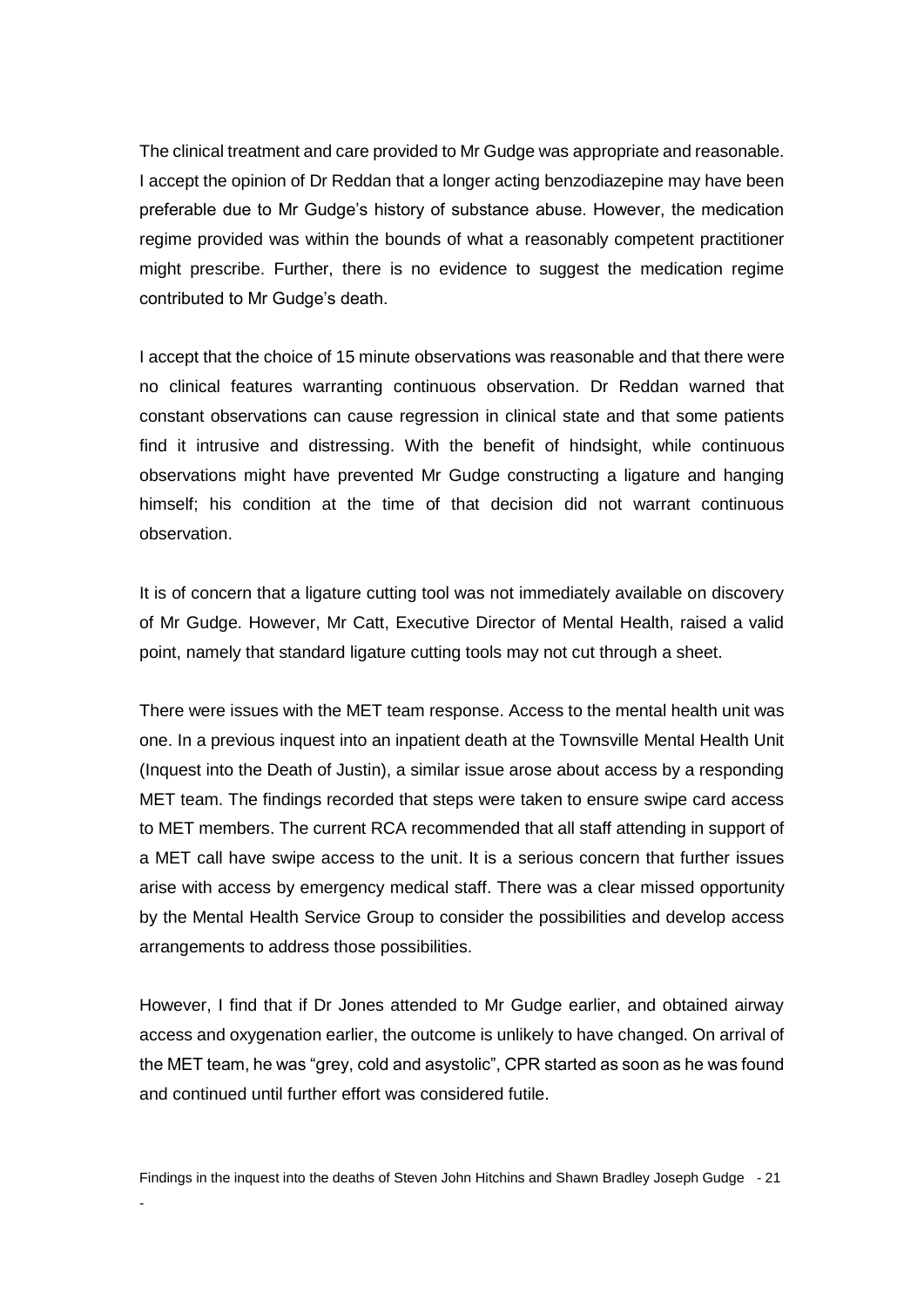The clinical treatment and care provided to Mr Gudge was appropriate and reasonable. I accept the opinion of Dr Reddan that a longer acting benzodiazepine may have been preferable due to Mr Gudge's history of substance abuse. However, the medication regime provided was within the bounds of what a reasonably competent practitioner might prescribe. Further, there is no evidence to suggest the medication regime contributed to Mr Gudge's death.

I accept that the choice of 15 minute observations was reasonable and that there were no clinical features warranting continuous observation. Dr Reddan warned that constant observations can cause regression in clinical state and that some patients find it intrusive and distressing. With the benefit of hindsight, while continuous observations might have prevented Mr Gudge constructing a ligature and hanging himself; his condition at the time of that decision did not warrant continuous observation.

It is of concern that a ligature cutting tool was not immediately available on discovery of Mr Gudge. However, Mr Catt, Executive Director of Mental Health, raised a valid point, namely that standard ligature cutting tools may not cut through a sheet.

There were issues with the MET team response. Access to the mental health unit was one. In a previous inquest into an inpatient death at the Townsville Mental Health Unit (Inquest into the Death of Justin), a similar issue arose about access by a responding MET team. The findings recorded that steps were taken to ensure swipe card access to MET members. The current RCA recommended that all staff attending in support of a MET call have swipe access to the unit. It is a serious concern that further issues arise with access by emergency medical staff. There was a clear missed opportunity by the Mental Health Service Group to consider the possibilities and develop access arrangements to address those possibilities.

However, I find that if Dr Jones attended to Mr Gudge earlier, and obtained airway access and oxygenation earlier, the outcome is unlikely to have changed. On arrival of the MET team, he was "grey, cold and asystolic", CPR started as soon as he was found and continued until further effort was considered futile.

Findings in the inquest into the deaths of Steven John Hitchins and Shawn Bradley Joseph Gudge - 21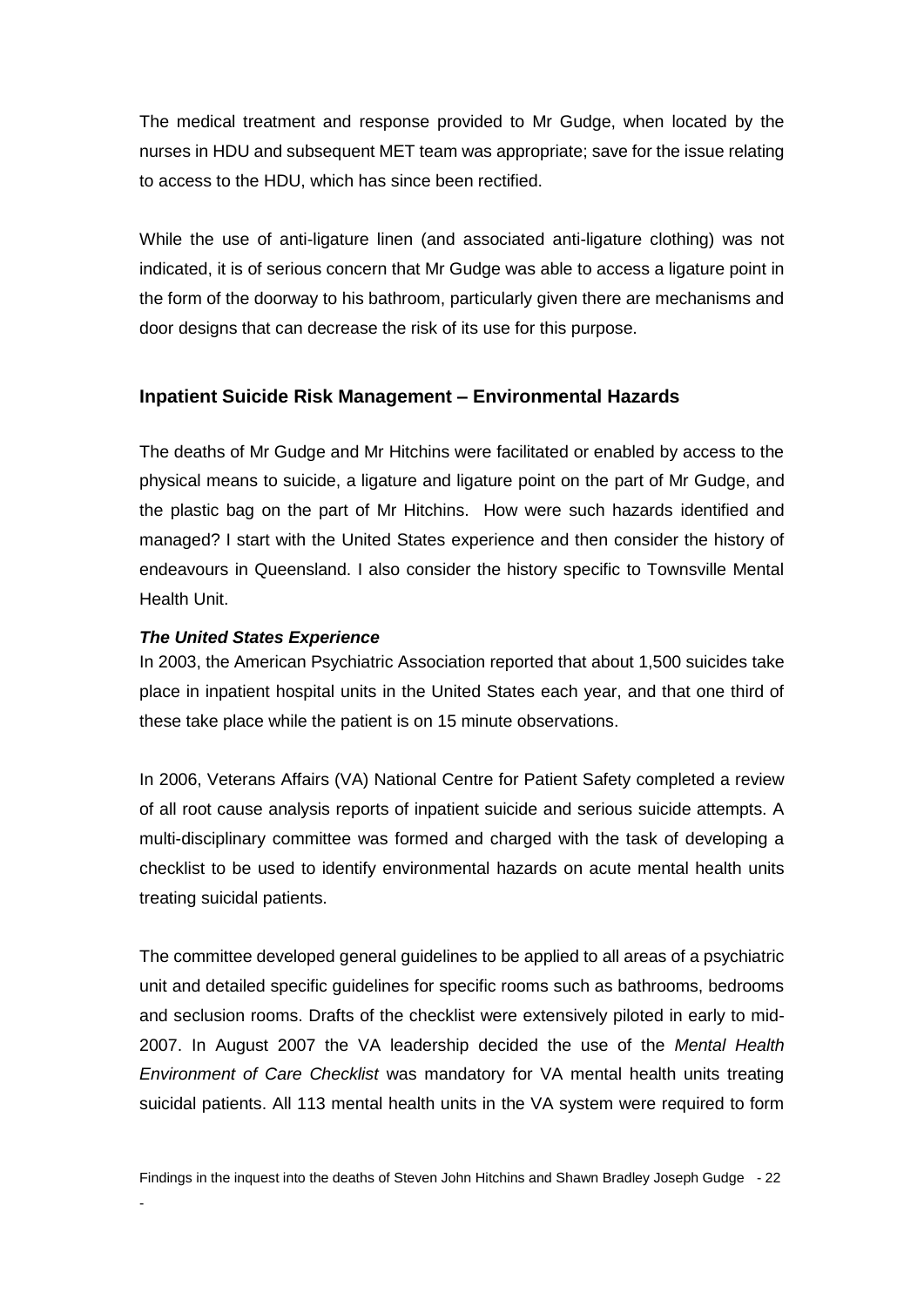The medical treatment and response provided to Mr Gudge, when located by the nurses in HDU and subsequent MET team was appropriate; save for the issue relating to access to the HDU, which has since been rectified.

While the use of anti-ligature linen (and associated anti-ligature clothing) was not indicated, it is of serious concern that Mr Gudge was able to access a ligature point in the form of the doorway to his bathroom, particularly given there are mechanisms and door designs that can decrease the risk of its use for this purpose.

# <span id="page-24-0"></span>**Inpatient Suicide Risk Management – Environmental Hazards**

The deaths of Mr Gudge and Mr Hitchins were facilitated or enabled by access to the physical means to suicide, a ligature and ligature point on the part of Mr Gudge, and the plastic bag on the part of Mr Hitchins. How were such hazards identified and managed? I start with the United States experience and then consider the history of endeavours in Queensland. I also consider the history specific to Townsville Mental Health Unit.

## <span id="page-24-1"></span>*The United States Experience*

-

In 2003, the American Psychiatric Association reported that about 1,500 suicides take place in inpatient hospital units in the United States each year, and that one third of these take place while the patient is on 15 minute observations.

In 2006, Veterans Affairs (VA) National Centre for Patient Safety completed a review of all root cause analysis reports of inpatient suicide and serious suicide attempts. A multi-disciplinary committee was formed and charged with the task of developing a checklist to be used to identify environmental hazards on acute mental health units treating suicidal patients.

The committee developed general guidelines to be applied to all areas of a psychiatric unit and detailed specific guidelines for specific rooms such as bathrooms, bedrooms and seclusion rooms. Drafts of the checklist were extensively piloted in early to mid-2007. In August 2007 the VA leadership decided the use of the *Mental Health Environment of Care Checklist* was mandatory for VA mental health units treating suicidal patients. All 113 mental health units in the VA system were required to form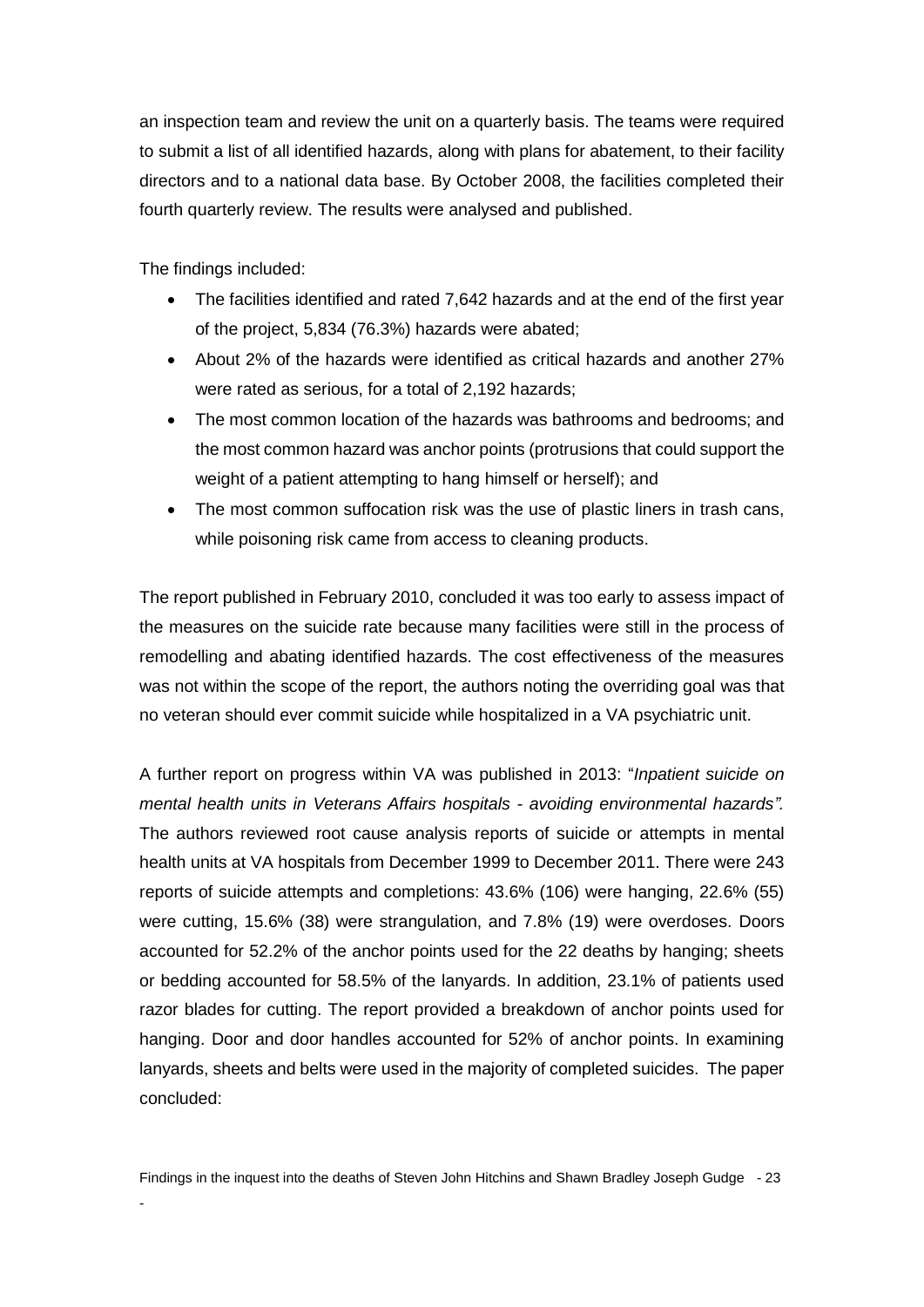an inspection team and review the unit on a quarterly basis. The teams were required to submit a list of all identified hazards, along with plans for abatement, to their facility directors and to a national data base. By October 2008, the facilities completed their fourth quarterly review. The results were analysed and published.

The findings included:

-

- The facilities identified and rated 7,642 hazards and at the end of the first year of the project, 5,834 (76.3%) hazards were abated;
- About 2% of the hazards were identified as critical hazards and another 27% were rated as serious, for a total of 2,192 hazards;
- The most common location of the hazards was bathrooms and bedrooms; and the most common hazard was anchor points (protrusions that could support the weight of a patient attempting to hang himself or herself); and
- The most common suffocation risk was the use of plastic liners in trash cans, while poisoning risk came from access to cleaning products.

The report published in February 2010, concluded it was too early to assess impact of the measures on the suicide rate because many facilities were still in the process of remodelling and abating identified hazards. The cost effectiveness of the measures was not within the scope of the report, the authors noting the overriding goal was that no veteran should ever commit suicide while hospitalized in a VA psychiatric unit.

A further report on progress within VA was published in 2013: "*Inpatient suicide on mental health units in Veterans Affairs hospitals - avoiding environmental hazards".* The authors reviewed root cause analysis reports of suicide or attempts in mental health units at VA hospitals from December 1999 to December 2011. There were 243 reports of suicide attempts and completions: 43.6% (106) were hanging, 22.6% (55) were cutting, 15.6% (38) were strangulation, and 7.8% (19) were overdoses. Doors accounted for 52.2% of the anchor points used for the 22 deaths by hanging; sheets or bedding accounted for 58.5% of the lanyards. In addition, 23.1% of patients used razor blades for cutting. The report provided a breakdown of anchor points used for hanging. Door and door handles accounted for 52% of anchor points. In examining lanyards, sheets and belts were used in the majority of completed suicides. The paper concluded: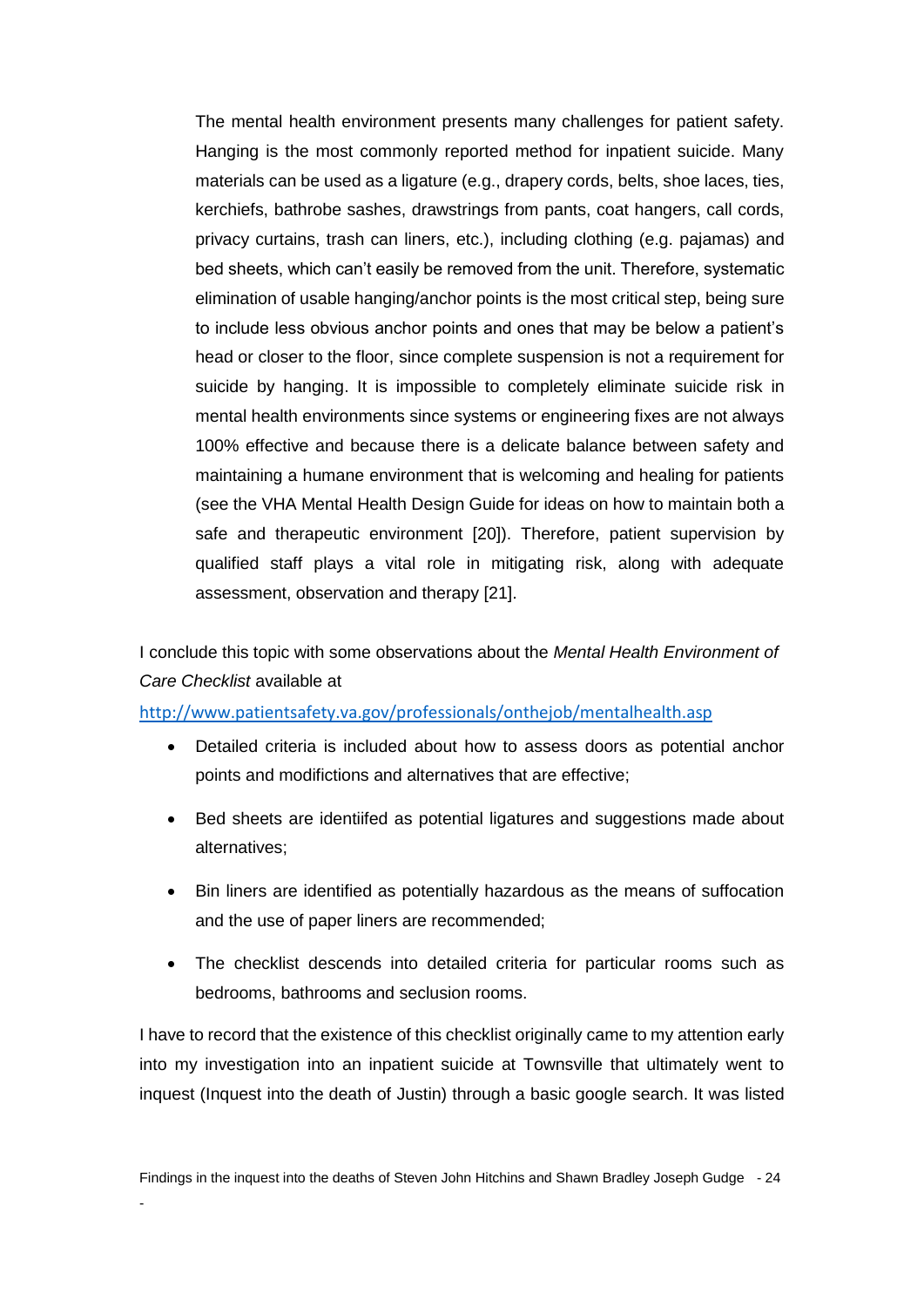The mental health environment presents many challenges for patient safety. Hanging is the most commonly reported method for inpatient suicide. Many materials can be used as a ligature (e.g., drapery cords, belts, shoe laces, ties, kerchiefs, bathrobe sashes, drawstrings from pants, coat hangers, call cords, privacy curtains, trash can liners, etc.), including clothing (e.g. pajamas) and bed sheets, which can't easily be removed from the unit. Therefore, systematic elimination of usable hanging/anchor points is the most critical step, being sure to include less obvious anchor points and ones that may be below a patient's head or closer to the floor, since complete suspension is not a requirement for suicide by hanging. It is impossible to completely eliminate suicide risk in mental health environments since systems or engineering fixes are not always 100% effective and because there is a delicate balance between safety and maintaining a humane environment that is welcoming and healing for patients (see the VHA Mental Health Design Guide for ideas on how to maintain both a safe and therapeutic environment [20]). Therefore, patient supervision by qualified staff plays a vital role in mitigating risk, along with adequate assessment, observation and therapy [21].

I conclude this topic with some observations about the *Mental Health Environment of Care Checklist* available at

<http://www.patientsafety.va.gov/professionals/onthejob/mentalhealth.asp>

- Detailed criteria is included about how to assess doors as potential anchor points and modifictions and alternatives that are effective;
- Bed sheets are identiifed as potential ligatures and suggestions made about alternatives;
- Bin liners are identified as potentially hazardous as the means of suffocation and the use of paper liners are recommended;
- The checklist descends into detailed criteria for particular rooms such as bedrooms, bathrooms and seclusion rooms.

I have to record that the existence of this checklist originally came to my attention early into my investigation into an inpatient suicide at Townsville that ultimately went to inquest (Inquest into the death of Justin) through a basic google search. It was listed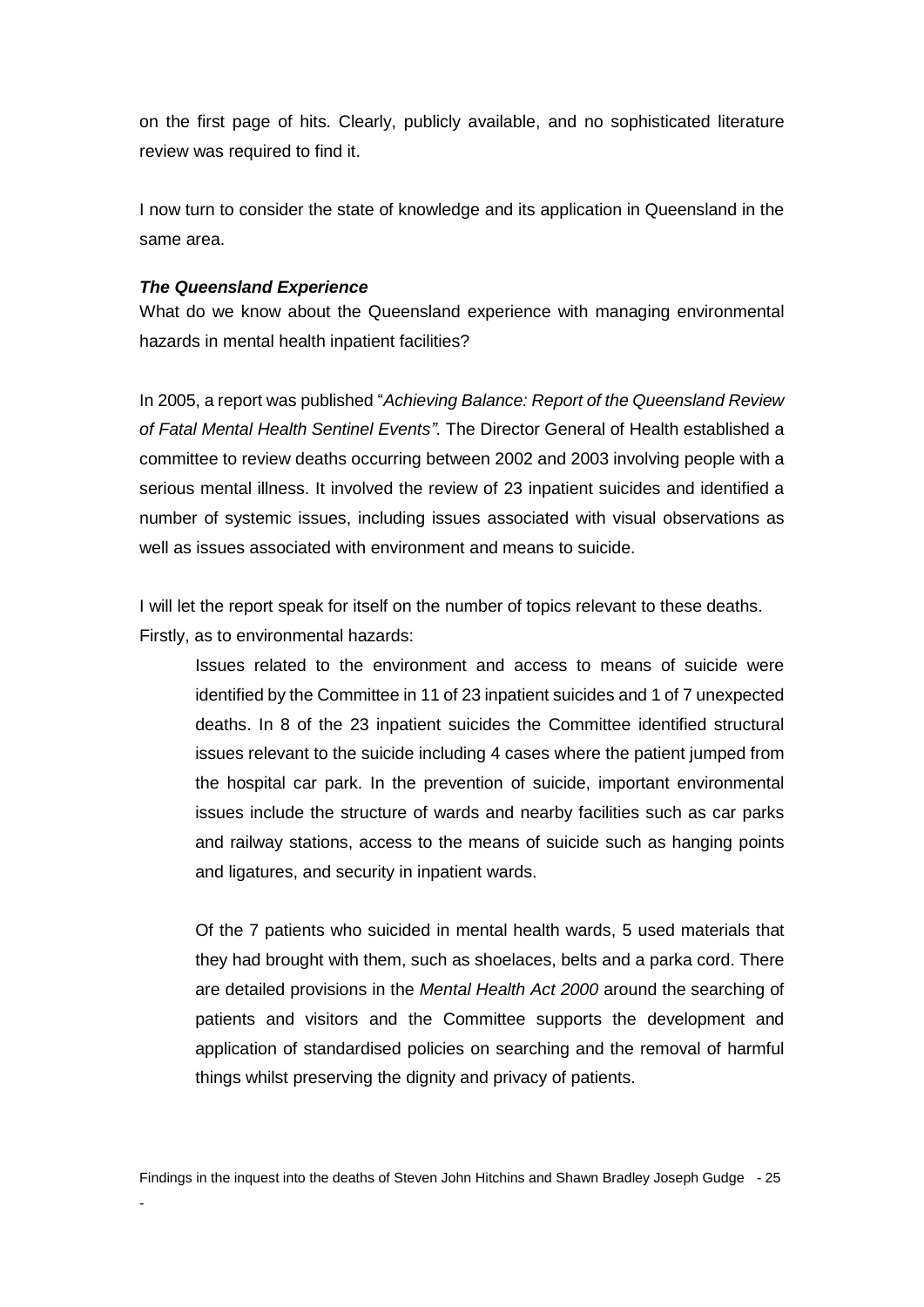on the first page of hits. Clearly, publicly available, and no sophisticated literature review was required to find it.

I now turn to consider the state of knowledge and its application in Queensland in the same area.

### <span id="page-27-0"></span>*The Queensland Experience*

-

What do we know about the Queensland experience with managing environmental hazards in mental health inpatient facilities?

In 2005, a report was published "*Achieving Balance: Report of the Queensland Review of Fatal Mental Health Sentinel Events"*. The Director General of Health established a committee to review deaths occurring between 2002 and 2003 involving people with a serious mental illness. It involved the review of 23 inpatient suicides and identified a number of systemic issues, including issues associated with visual observations as well as issues associated with environment and means to suicide.

I will let the report speak for itself on the number of topics relevant to these deaths. Firstly, as to environmental hazards:

Issues related to the environment and access to means of suicide were identified by the Committee in 11 of 23 inpatient suicides and 1 of 7 unexpected deaths. In 8 of the 23 inpatient suicides the Committee identified structural issues relevant to the suicide including 4 cases where the patient jumped from the hospital car park. In the prevention of suicide, important environmental issues include the structure of wards and nearby facilities such as car parks and railway stations, access to the means of suicide such as hanging points and ligatures, and security in inpatient wards.

Of the 7 patients who suicided in mental health wards, 5 used materials that they had brought with them, such as shoelaces, belts and a parka cord. There are detailed provisions in the *Mental Health Act 2000* around the searching of patients and visitors and the Committee supports the development and application of standardised policies on searching and the removal of harmful things whilst preserving the dignity and privacy of patients.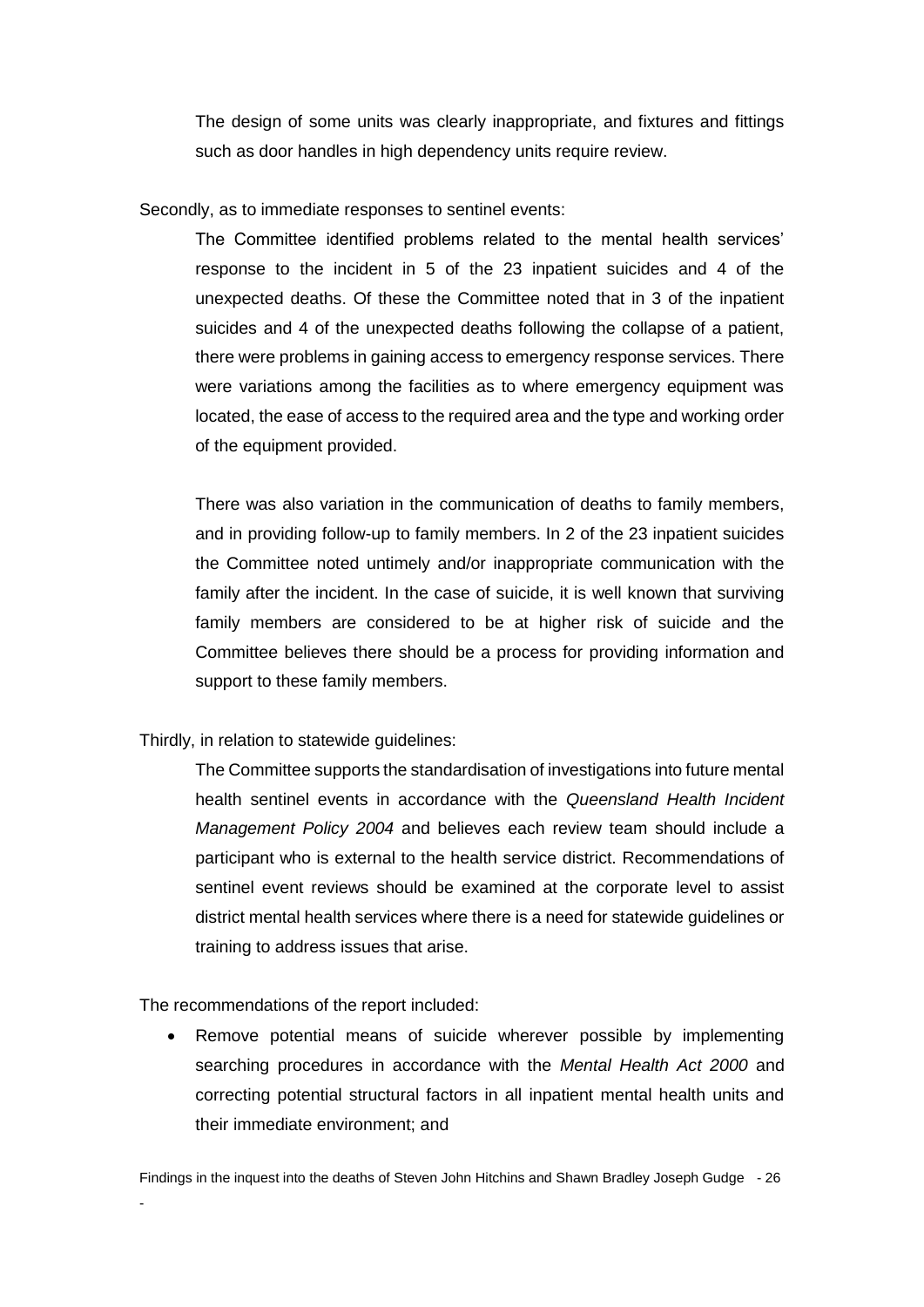The design of some units was clearly inappropriate, and fixtures and fittings such as door handles in high dependency units require review.

Secondly, as to immediate responses to sentinel events:

The Committee identified problems related to the mental health services' response to the incident in 5 of the 23 inpatient suicides and 4 of the unexpected deaths. Of these the Committee noted that in 3 of the inpatient suicides and 4 of the unexpected deaths following the collapse of a patient, there were problems in gaining access to emergency response services. There were variations among the facilities as to where emergency equipment was located, the ease of access to the required area and the type and working order of the equipment provided.

There was also variation in the communication of deaths to family members, and in providing follow-up to family members. In 2 of the 23 inpatient suicides the Committee noted untimely and/or inappropriate communication with the family after the incident. In the case of suicide, it is well known that surviving family members are considered to be at higher risk of suicide and the Committee believes there should be a process for providing information and support to these family members.

#### Thirdly, in relation to statewide guidelines:

The Committee supports the standardisation of investigations into future mental health sentinel events in accordance with the *Queensland Health Incident Management Policy 2004* and believes each review team should include a participant who is external to the health service district. Recommendations of sentinel event reviews should be examined at the corporate level to assist district mental health services where there is a need for statewide guidelines or training to address issues that arise.

The recommendations of the report included:

-

 Remove potential means of suicide wherever possible by implementing searching procedures in accordance with the *Mental Health Act 2000* and correcting potential structural factors in all inpatient mental health units and their immediate environment; and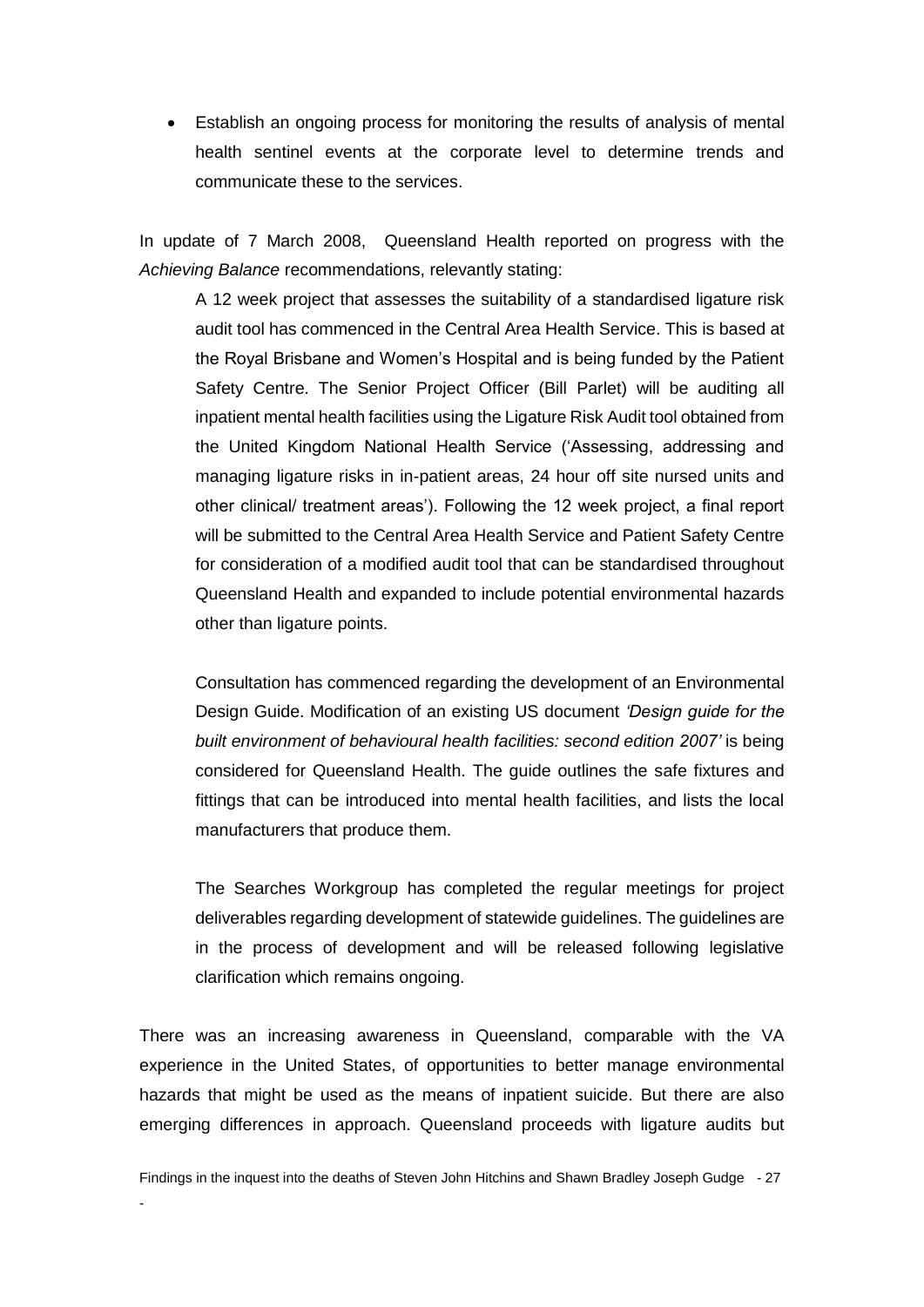Establish an ongoing process for monitoring the results of analysis of mental health sentinel events at the corporate level to determine trends and communicate these to the services.

In update of 7 March 2008, Queensland Health reported on progress with the *Achieving Balance* recommendations, relevantly stating:

A 12 week project that assesses the suitability of a standardised ligature risk audit tool has commenced in the Central Area Health Service. This is based at the Royal Brisbane and Women's Hospital and is being funded by the Patient Safety Centre. The Senior Project Officer (Bill Parlet) will be auditing all inpatient mental health facilities using the Ligature Risk Audit tool obtained from the United Kingdom National Health Service ('Assessing, addressing and managing ligature risks in in-patient areas, 24 hour off site nursed units and other clinical/ treatment areas'). Following the 12 week project, a final report will be submitted to the Central Area Health Service and Patient Safety Centre for consideration of a modified audit tool that can be standardised throughout Queensland Health and expanded to include potential environmental hazards other than ligature points.

Consultation has commenced regarding the development of an Environmental Design Guide. Modification of an existing US document *'Design guide for the built environment of behavioural health facilities: second edition 2007'* is being considered for Queensland Health. The guide outlines the safe fixtures and fittings that can be introduced into mental health facilities, and lists the local manufacturers that produce them.

The Searches Workgroup has completed the regular meetings for project deliverables regarding development of statewide guidelines. The guidelines are in the process of development and will be released following legislative clarification which remains ongoing.

There was an increasing awareness in Queensland, comparable with the VA experience in the United States, of opportunities to better manage environmental hazards that might be used as the means of inpatient suicide. But there are also emerging differences in approach. Queensland proceeds with ligature audits but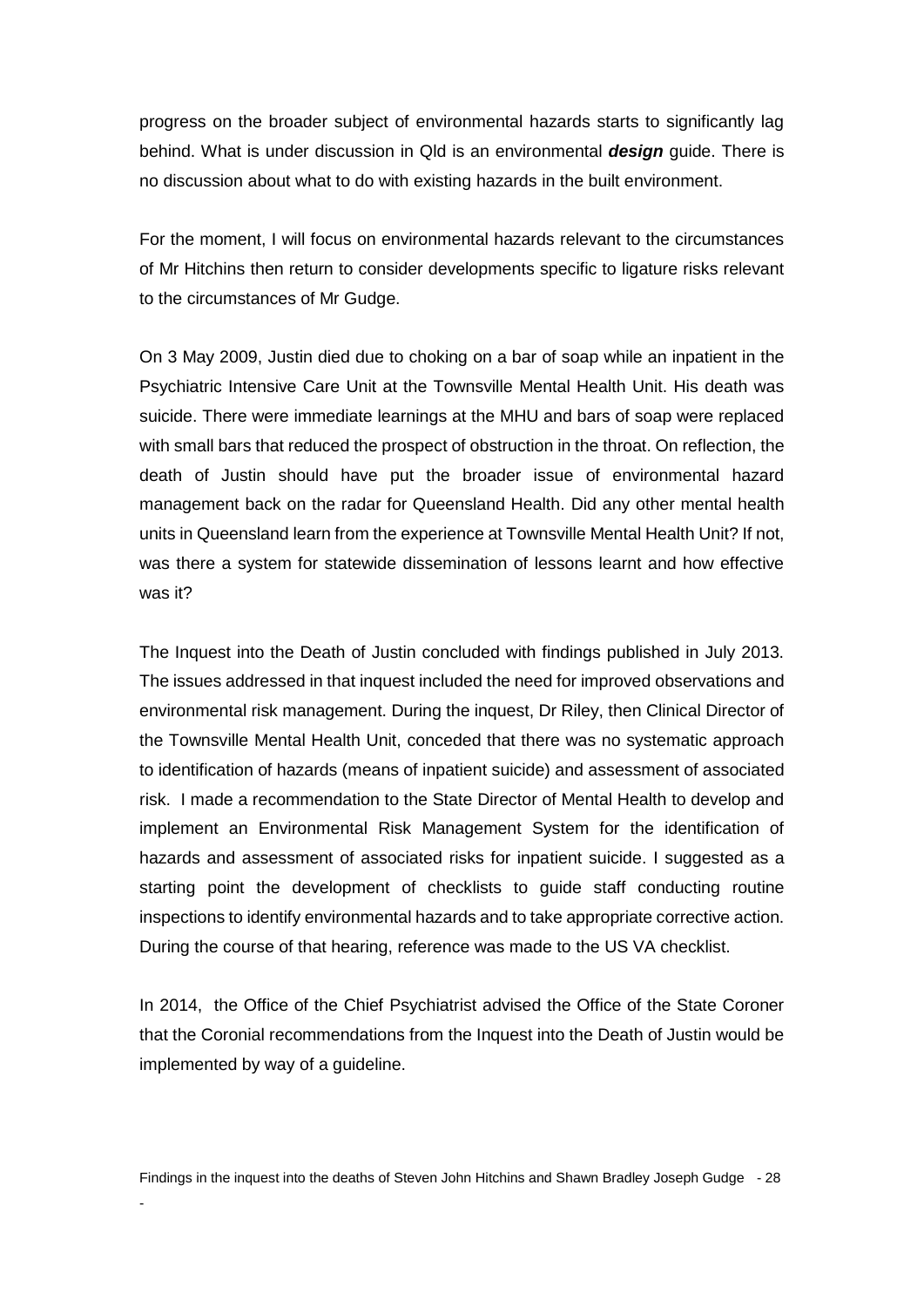progress on the broader subject of environmental hazards starts to significantly lag behind. What is under discussion in Qld is an environmental *design* guide. There is no discussion about what to do with existing hazards in the built environment.

For the moment, I will focus on environmental hazards relevant to the circumstances of Mr Hitchins then return to consider developments specific to ligature risks relevant to the circumstances of Mr Gudge.

On 3 May 2009, Justin died due to choking on a bar of soap while an inpatient in the Psychiatric Intensive Care Unit at the Townsville Mental Health Unit. His death was suicide. There were immediate learnings at the MHU and bars of soap were replaced with small bars that reduced the prospect of obstruction in the throat. On reflection, the death of Justin should have put the broader issue of environmental hazard management back on the radar for Queensland Health. Did any other mental health units in Queensland learn from the experience at Townsville Mental Health Unit? If not, was there a system for statewide dissemination of lessons learnt and how effective was it?

The Inquest into the Death of Justin concluded with findings published in July 2013. The issues addressed in that inquest included the need for improved observations and environmental risk management. During the inquest, Dr Riley, then Clinical Director of the Townsville Mental Health Unit, conceded that there was no systematic approach to identification of hazards (means of inpatient suicide) and assessment of associated risk. I made a recommendation to the State Director of Mental Health to develop and implement an Environmental Risk Management System for the identification of hazards and assessment of associated risks for inpatient suicide. I suggested as a starting point the development of checklists to guide staff conducting routine inspections to identify environmental hazards and to take appropriate corrective action. During the course of that hearing, reference was made to the US VA checklist.

In 2014, the Office of the Chief Psychiatrist advised the Office of the State Coroner that the Coronial recommendations from the Inquest into the Death of Justin would be implemented by way of a guideline.

Findings in the inquest into the deaths of Steven John Hitchins and Shawn Bradley Joseph Gudge - 28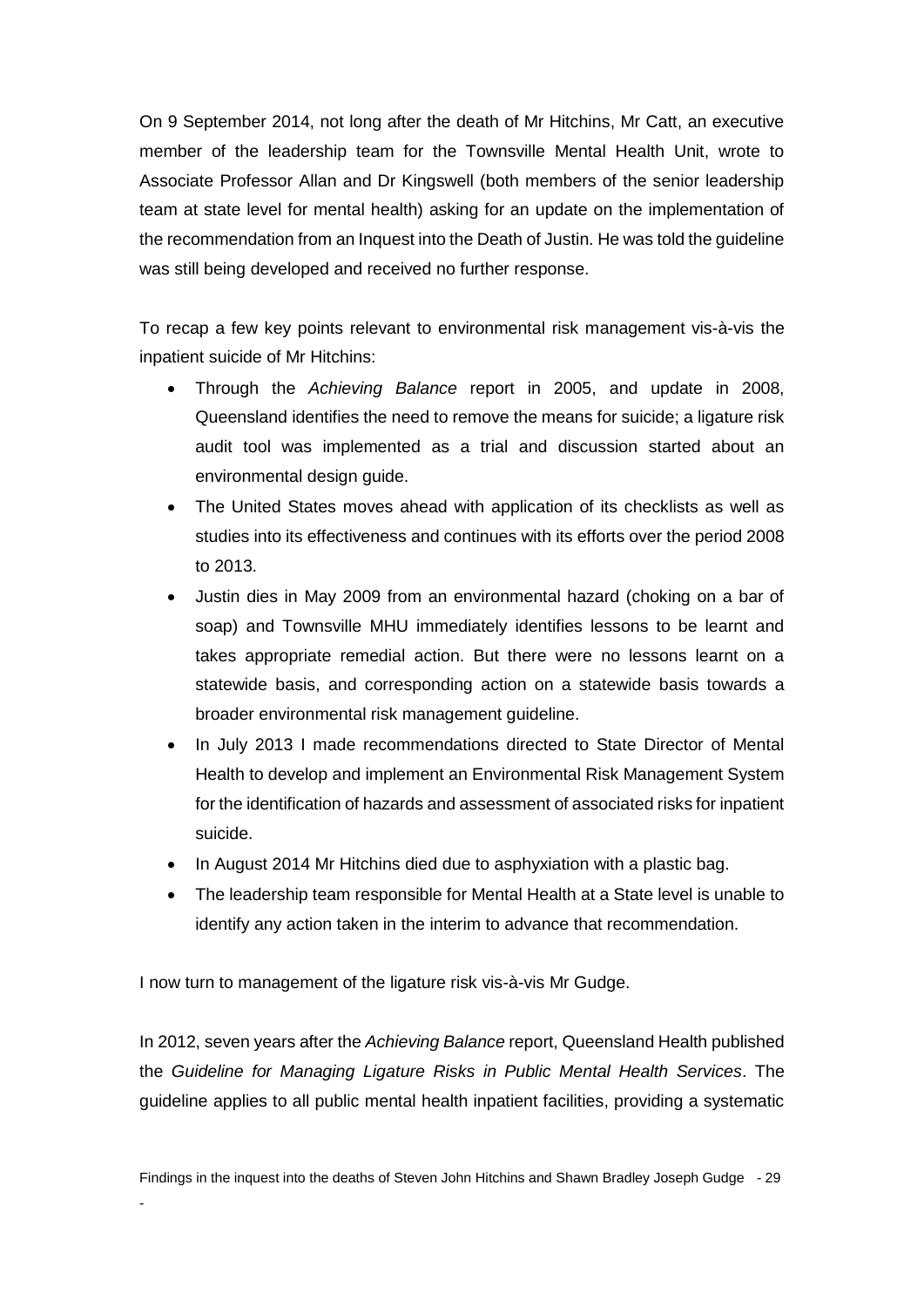On 9 September 2014, not long after the death of Mr Hitchins, Mr Catt, an executive member of the leadership team for the Townsville Mental Health Unit, wrote to Associate Professor Allan and Dr Kingswell (both members of the senior leadership team at state level for mental health) asking for an update on the implementation of the recommendation from an Inquest into the Death of Justin. He was told the guideline was still being developed and received no further response.

To recap a few key points relevant to environmental risk management vis-à-vis the inpatient suicide of Mr Hitchins:

- Through the *Achieving Balance* report in 2005, and update in 2008, Queensland identifies the need to remove the means for suicide; a ligature risk audit tool was implemented as a trial and discussion started about an environmental design guide.
- The United States moves ahead with application of its checklists as well as studies into its effectiveness and continues with its efforts over the period 2008 to 2013.
- Justin dies in May 2009 from an environmental hazard (choking on a bar of soap) and Townsville MHU immediately identifies lessons to be learnt and takes appropriate remedial action. But there were no lessons learnt on a statewide basis, and corresponding action on a statewide basis towards a broader environmental risk management guideline.
- In July 2013 I made recommendations directed to State Director of Mental Health to develop and implement an Environmental Risk Management System for the identification of hazards and assessment of associated risks for inpatient suicide.
- In August 2014 Mr Hitchins died due to asphyxiation with a plastic bag.
- The leadership team responsible for Mental Health at a State level is unable to identify any action taken in the interim to advance that recommendation.

I now turn to management of the ligature risk vis-à-vis Mr Gudge.

-

In 2012, seven years after the *Achieving Balance* report, Queensland Health published the *Guideline for Managing Ligature Risks in Public Mental Health Services*. The guideline applies to all public mental health inpatient facilities, providing a systematic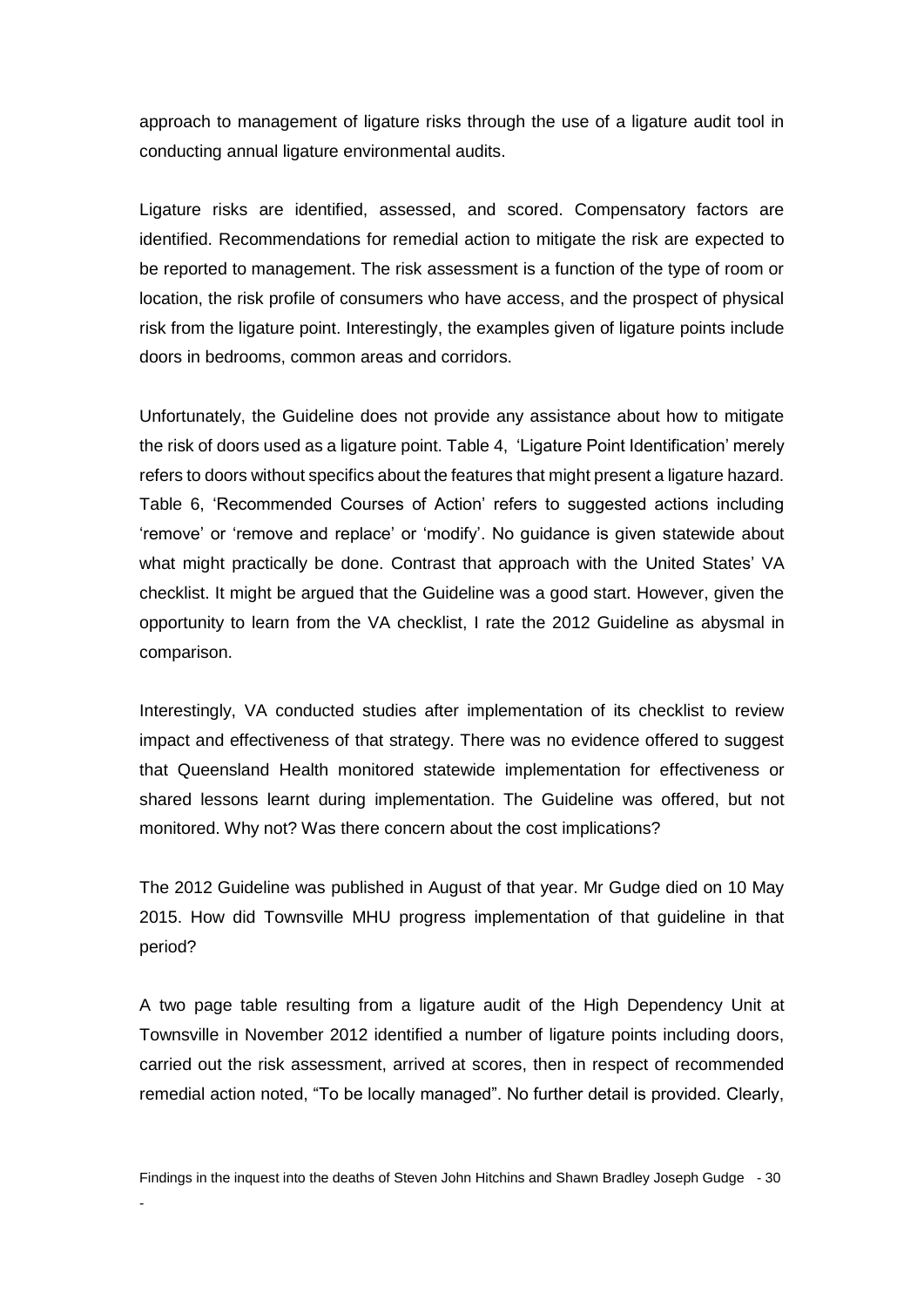approach to management of ligature risks through the use of a ligature audit tool in conducting annual ligature environmental audits.

Ligature risks are identified, assessed, and scored. Compensatory factors are identified. Recommendations for remedial action to mitigate the risk are expected to be reported to management. The risk assessment is a function of the type of room or location, the risk profile of consumers who have access, and the prospect of physical risk from the ligature point. Interestingly, the examples given of ligature points include doors in bedrooms, common areas and corridors.

Unfortunately, the Guideline does not provide any assistance about how to mitigate the risk of doors used as a ligature point. Table 4, 'Ligature Point Identification' merely refers to doors without specifics about the features that might present a ligature hazard. Table 6, 'Recommended Courses of Action' refers to suggested actions including 'remove' or 'remove and replace' or 'modify'. No guidance is given statewide about what might practically be done. Contrast that approach with the United States' VA checklist. It might be argued that the Guideline was a good start. However, given the opportunity to learn from the VA checklist, I rate the 2012 Guideline as abysmal in comparison.

Interestingly, VA conducted studies after implementation of its checklist to review impact and effectiveness of that strategy. There was no evidence offered to suggest that Queensland Health monitored statewide implementation for effectiveness or shared lessons learnt during implementation. The Guideline was offered, but not monitored. Why not? Was there concern about the cost implications?

The 2012 Guideline was published in August of that year. Mr Gudge died on 10 May 2015. How did Townsville MHU progress implementation of that guideline in that period?

A two page table resulting from a ligature audit of the High Dependency Unit at Townsville in November 2012 identified a number of ligature points including doors, carried out the risk assessment, arrived at scores, then in respect of recommended remedial action noted, "To be locally managed". No further detail is provided. Clearly,

Findings in the inquest into the deaths of Steven John Hitchins and Shawn Bradley Joseph Gudge - 30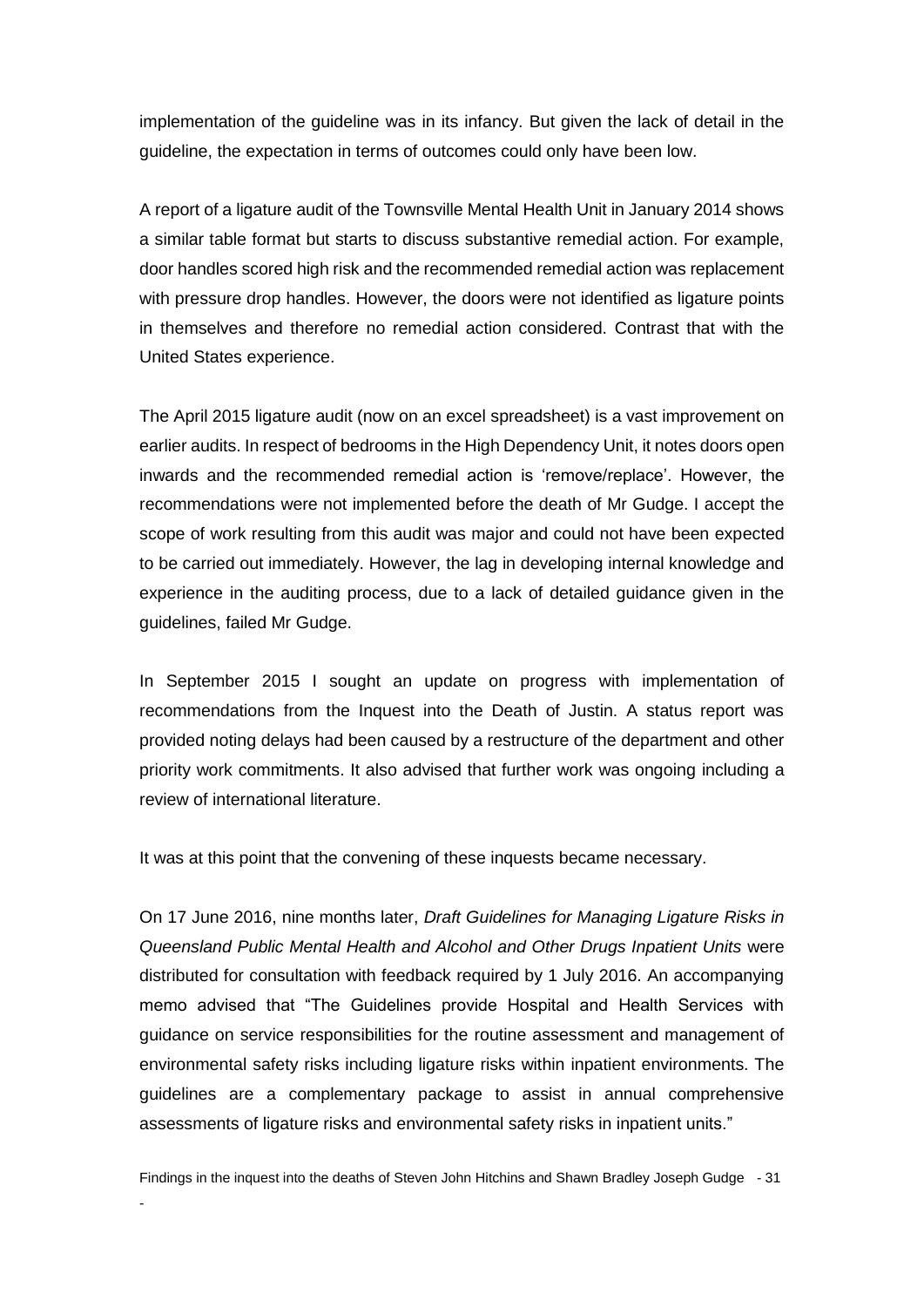implementation of the guideline was in its infancy. But given the lack of detail in the guideline, the expectation in terms of outcomes could only have been low.

A report of a ligature audit of the Townsville Mental Health Unit in January 2014 shows a similar table format but starts to discuss substantive remedial action. For example, door handles scored high risk and the recommended remedial action was replacement with pressure drop handles. However, the doors were not identified as ligature points in themselves and therefore no remedial action considered. Contrast that with the United States experience.

The April 2015 ligature audit (now on an excel spreadsheet) is a vast improvement on earlier audits. In respect of bedrooms in the High Dependency Unit, it notes doors open inwards and the recommended remedial action is 'remove/replace'. However, the recommendations were not implemented before the death of Mr Gudge. I accept the scope of work resulting from this audit was major and could not have been expected to be carried out immediately. However, the lag in developing internal knowledge and experience in the auditing process, due to a lack of detailed guidance given in the guidelines, failed Mr Gudge.

In September 2015 I sought an update on progress with implementation of recommendations from the Inquest into the Death of Justin. A status report was provided noting delays had been caused by a restructure of the department and other priority work commitments. It also advised that further work was ongoing including a review of international literature.

It was at this point that the convening of these inquests became necessary.

On 17 June 2016, nine months later, *Draft Guidelines for Managing Ligature Risks in Queensland Public Mental Health and Alcohol and Other Drugs Inpatient Units* were distributed for consultation with feedback required by 1 July 2016. An accompanying memo advised that "The Guidelines provide Hospital and Health Services with guidance on service responsibilities for the routine assessment and management of environmental safety risks including ligature risks within inpatient environments. The guidelines are a complementary package to assist in annual comprehensive assessments of ligature risks and environmental safety risks in inpatient units."

Findings in the inquest into the deaths of Steven John Hitchins and Shawn Bradley Joseph Gudge - 31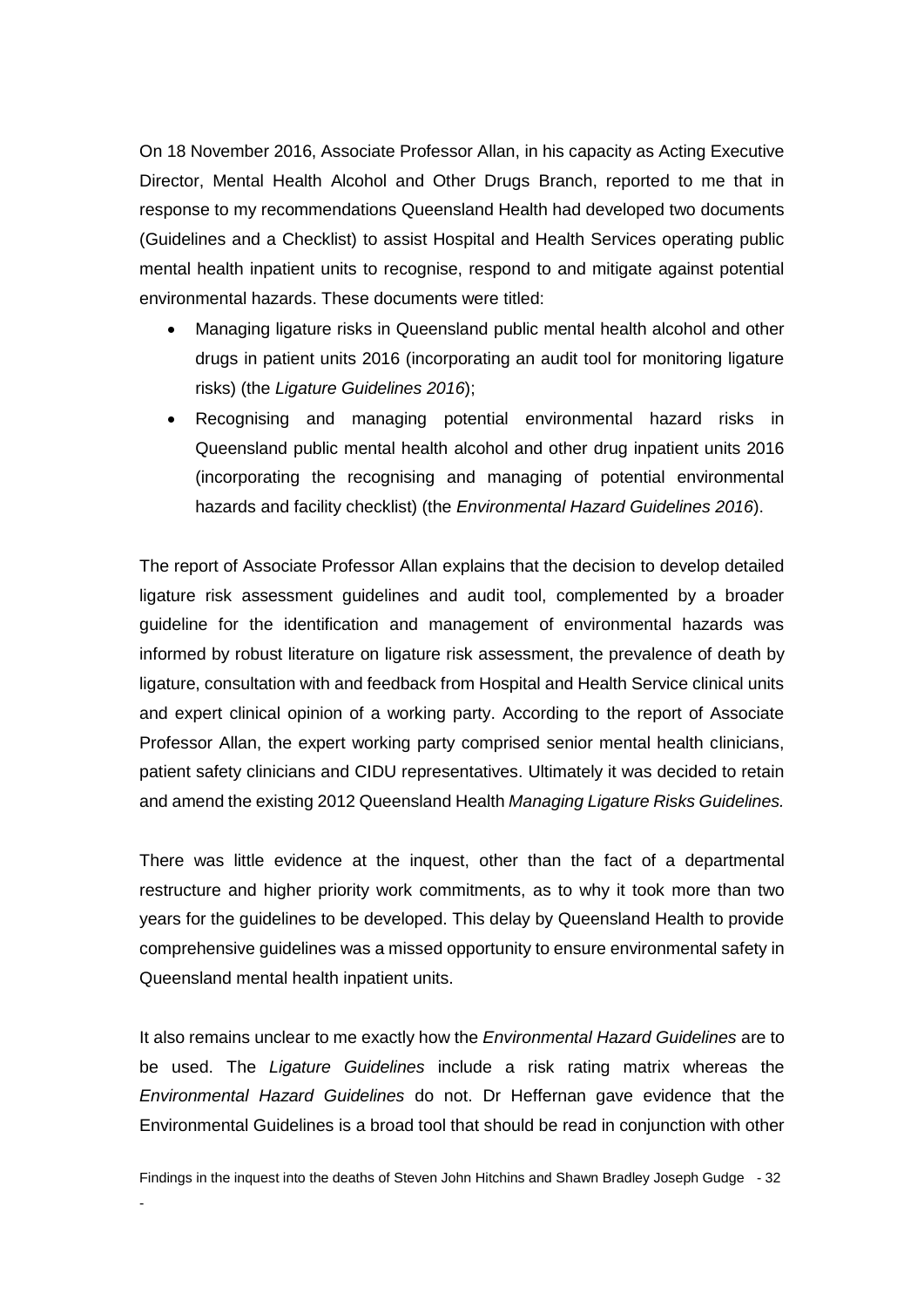On 18 November 2016, Associate Professor Allan, in his capacity as Acting Executive Director, Mental Health Alcohol and Other Drugs Branch, reported to me that in response to my recommendations Queensland Health had developed two documents (Guidelines and a Checklist) to assist Hospital and Health Services operating public mental health inpatient units to recognise, respond to and mitigate against potential environmental hazards. These documents were titled:

- Managing ligature risks in Queensland public mental health alcohol and other drugs in patient units 2016 (incorporating an audit tool for monitoring ligature risks) (the *Ligature Guidelines 2016*);
- Recognising and managing potential environmental hazard risks in Queensland public mental health alcohol and other drug inpatient units 2016 (incorporating the recognising and managing of potential environmental hazards and facility checklist) (the *Environmental Hazard Guidelines 2016*).

The report of Associate Professor Allan explains that the decision to develop detailed ligature risk assessment guidelines and audit tool, complemented by a broader guideline for the identification and management of environmental hazards was informed by robust literature on ligature risk assessment, the prevalence of death by ligature, consultation with and feedback from Hospital and Health Service clinical units and expert clinical opinion of a working party. According to the report of Associate Professor Allan, the expert working party comprised senior mental health clinicians, patient safety clinicians and CIDU representatives. Ultimately it was decided to retain and amend the existing 2012 Queensland Health *Managing Ligature Risks Guidelines.* 

There was little evidence at the inquest, other than the fact of a departmental restructure and higher priority work commitments, as to why it took more than two years for the guidelines to be developed. This delay by Queensland Health to provide comprehensive guidelines was a missed opportunity to ensure environmental safety in Queensland mental health inpatient units.

It also remains unclear to me exactly how the *Environmental Hazard Guidelines* are to be used. The *Ligature Guidelines* include a risk rating matrix whereas the *Environmental Hazard Guidelines* do not. Dr Heffernan gave evidence that the Environmental Guidelines is a broad tool that should be read in conjunction with other

Findings in the inquest into the deaths of Steven John Hitchins and Shawn Bradley Joseph Gudge - 32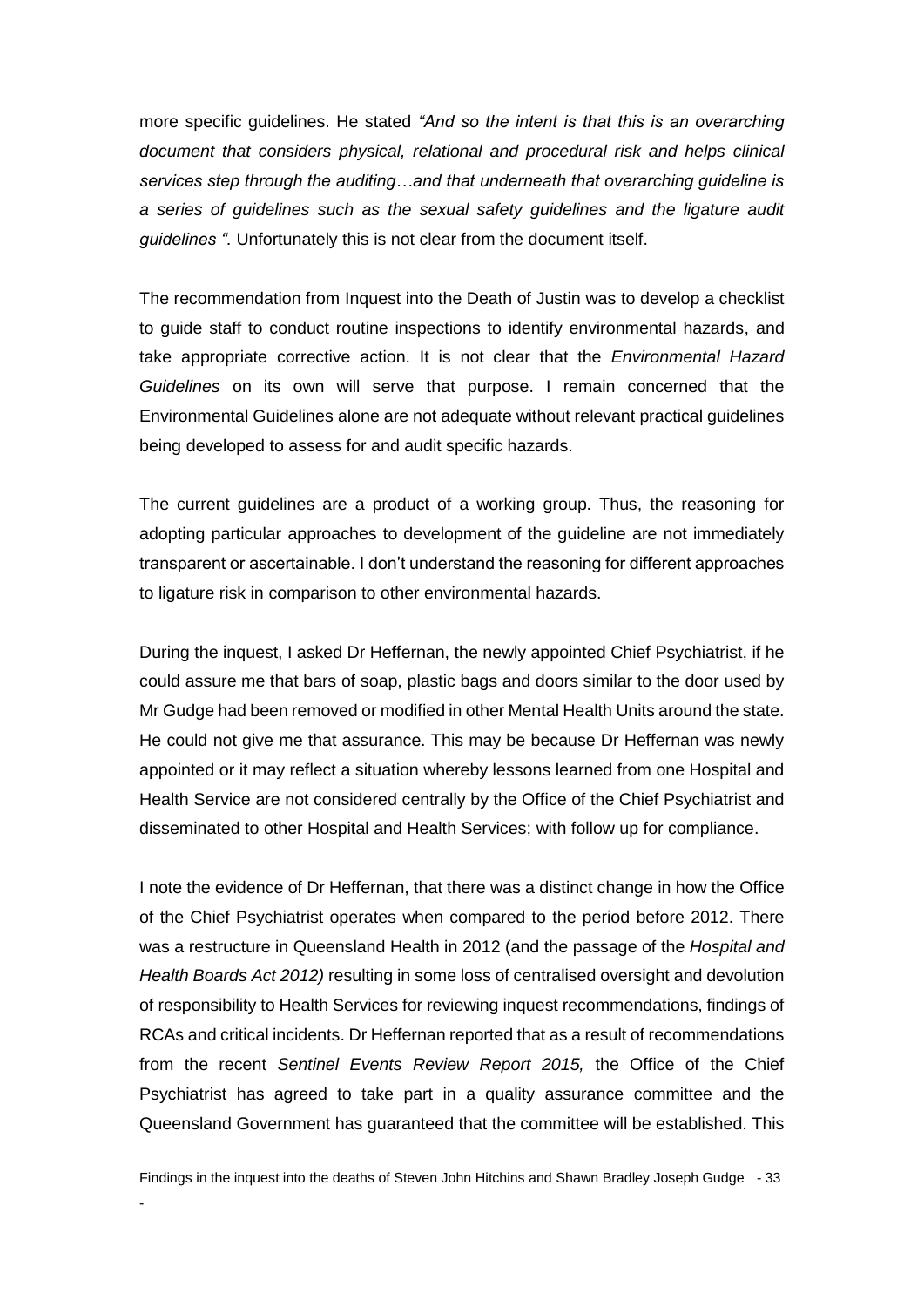more specific guidelines. He stated *"And so the intent is that this is an overarching document that considers physical, relational and procedural risk and helps clinical services step through the auditing…and that underneath that overarching guideline is a series of guidelines such as the sexual safety guidelines and the ligature audit guidelines ".* Unfortunately this is not clear from the document itself.

The recommendation from Inquest into the Death of Justin was to develop a checklist to guide staff to conduct routine inspections to identify environmental hazards, and take appropriate corrective action. It is not clear that the *Environmental Hazard Guidelines* on its own will serve that purpose. I remain concerned that the Environmental Guidelines alone are not adequate without relevant practical guidelines being developed to assess for and audit specific hazards.

The current guidelines are a product of a working group. Thus, the reasoning for adopting particular approaches to development of the guideline are not immediately transparent or ascertainable. I don't understand the reasoning for different approaches to ligature risk in comparison to other environmental hazards.

During the inquest, I asked Dr Heffernan, the newly appointed Chief Psychiatrist, if he could assure me that bars of soap, plastic bags and doors similar to the door used by Mr Gudge had been removed or modified in other Mental Health Units around the state. He could not give me that assurance. This may be because Dr Heffernan was newly appointed or it may reflect a situation whereby lessons learned from one Hospital and Health Service are not considered centrally by the Office of the Chief Psychiatrist and disseminated to other Hospital and Health Services; with follow up for compliance.

I note the evidence of Dr Heffernan, that there was a distinct change in how the Office of the Chief Psychiatrist operates when compared to the period before 2012. There was a restructure in Queensland Health in 2012 (and the passage of the *Hospital and Health Boards Act 2012)* resulting in some loss of centralised oversight and devolution of responsibility to Health Services for reviewing inquest recommendations, findings of RCAs and critical incidents. Dr Heffernan reported that as a result of recommendations from the recent *Sentinel Events Review Report 2015,* the Office of the Chief Psychiatrist has agreed to take part in a quality assurance committee and the Queensland Government has guaranteed that the committee will be established. This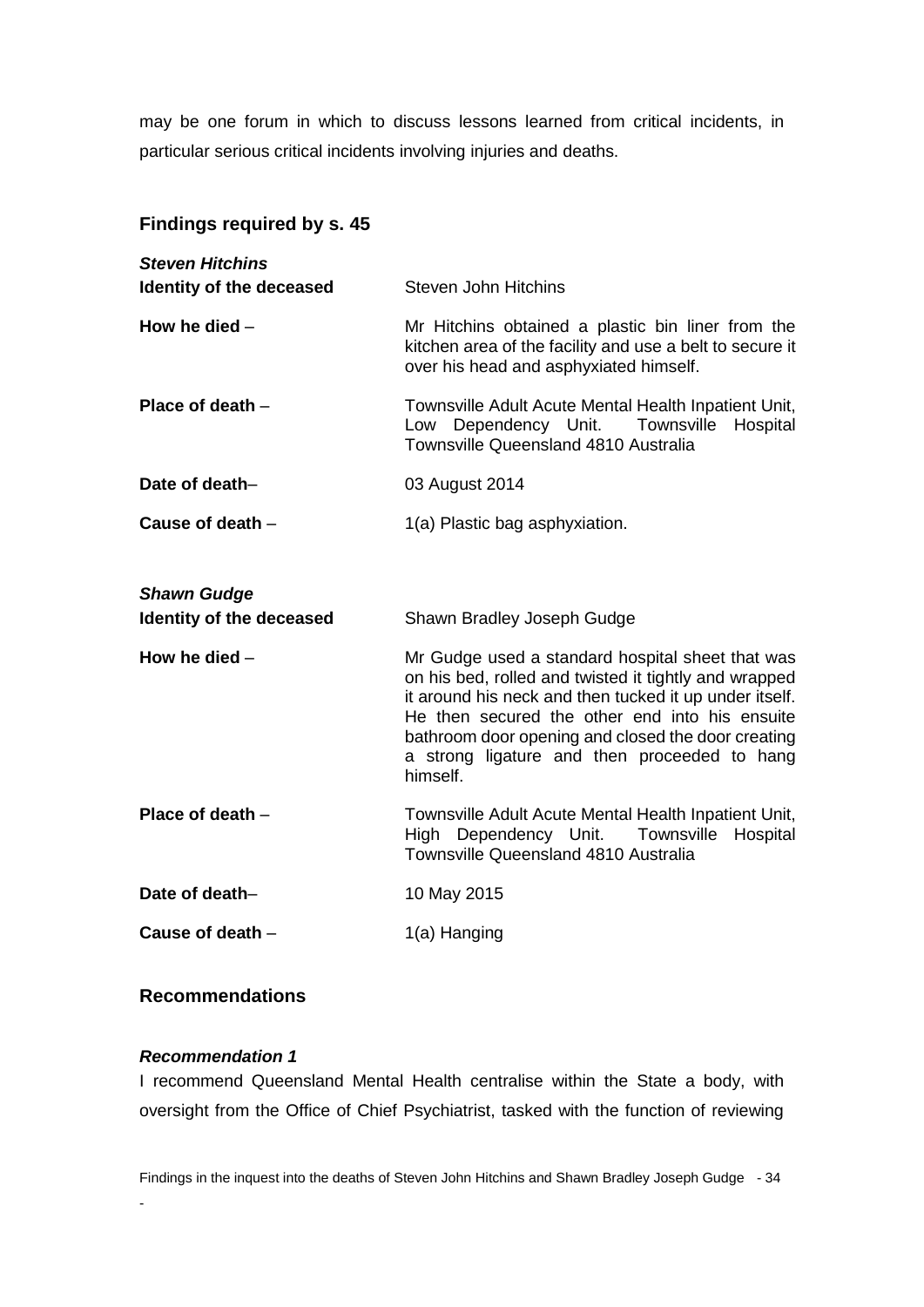may be one forum in which to discuss lessons learned from critical incidents, in particular serious critical incidents involving injuries and deaths.

# <span id="page-36-0"></span>**Findings required by s. 45**

<span id="page-36-8"></span><span id="page-36-7"></span><span id="page-36-6"></span><span id="page-36-5"></span><span id="page-36-4"></span><span id="page-36-3"></span><span id="page-36-2"></span><span id="page-36-1"></span>

| <b>Steven Hitchins</b>          |                                                                                                                                                                                                                                                                                                                                         |
|---------------------------------|-----------------------------------------------------------------------------------------------------------------------------------------------------------------------------------------------------------------------------------------------------------------------------------------------------------------------------------------|
| <b>Identity of the deceased</b> | <b>Steven John Hitchins</b>                                                                                                                                                                                                                                                                                                             |
| How he died $-$                 | Mr Hitchins obtained a plastic bin liner from the<br>kitchen area of the facility and use a belt to secure it<br>over his head and asphyxiated himself.                                                                                                                                                                                 |
| Place of death $-$              | Townsville Adult Acute Mental Health Inpatient Unit,<br>Dependency Unit.<br>Townsville<br>Hospital<br>Low<br>Townsville Queensland 4810 Australia                                                                                                                                                                                       |
| Date of death-                  | 03 August 2014                                                                                                                                                                                                                                                                                                                          |
| Cause of death -                | 1(a) Plastic bag asphyxiation.                                                                                                                                                                                                                                                                                                          |
|                                 |                                                                                                                                                                                                                                                                                                                                         |
| <b>Shawn Gudge</b>              |                                                                                                                                                                                                                                                                                                                                         |
| <b>Identity of the deceased</b> | Shawn Bradley Joseph Gudge                                                                                                                                                                                                                                                                                                              |
| How he died $-$                 | Mr Gudge used a standard hospital sheet that was<br>on his bed, rolled and twisted it tightly and wrapped<br>it around his neck and then tucked it up under itself.<br>He then secured the other end into his ensuite<br>bathroom door opening and closed the door creating<br>a strong ligature and then proceeded to hang<br>himself. |
| Place of death -                | Townsville Adult Acute Mental Health Inpatient Unit,<br>High Dependency Unit. Townsville<br>Hospital<br>Townsville Queensland 4810 Australia                                                                                                                                                                                            |
| Date of death-                  | 10 May 2015                                                                                                                                                                                                                                                                                                                             |
| Cause of death -                | 1(a) Hanging                                                                                                                                                                                                                                                                                                                            |

# <span id="page-36-13"></span><span id="page-36-12"></span><span id="page-36-11"></span><span id="page-36-10"></span><span id="page-36-9"></span>**Recommendations**

#### <span id="page-36-14"></span>*Recommendation 1*

-

I recommend Queensland Mental Health centralise within the State a body, with oversight from the Office of Chief Psychiatrist, tasked with the function of reviewing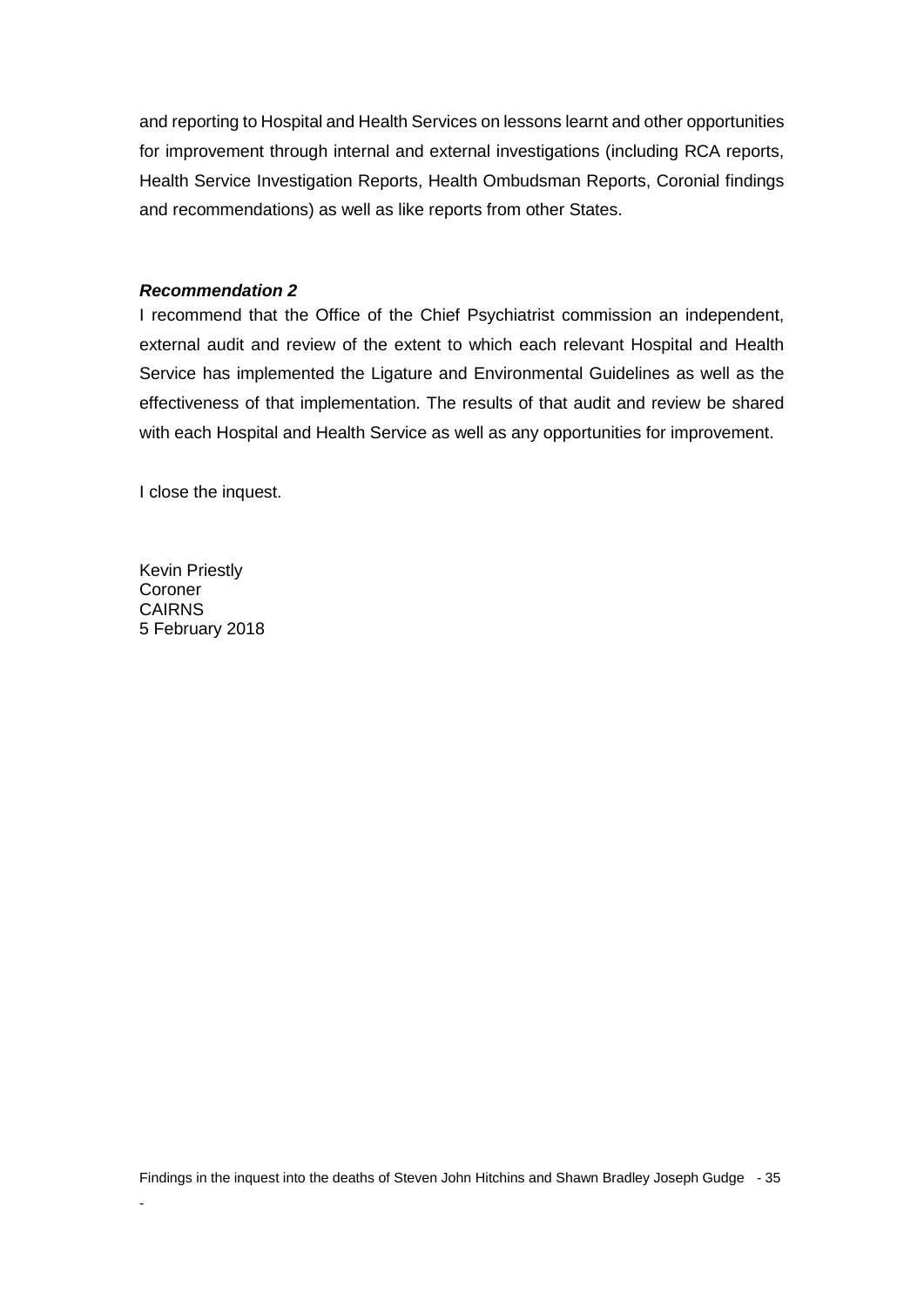and reporting to Hospital and Health Services on lessons learnt and other opportunities for improvement through internal and external investigations (including RCA reports, Health Service Investigation Reports, Health Ombudsman Reports, Coronial findings and recommendations) as well as like reports from other States.

#### <span id="page-37-0"></span>*Recommendation 2*

I recommend that the Office of the Chief Psychiatrist commission an independent, external audit and review of the extent to which each relevant Hospital and Health Service has implemented the Ligature and Environmental Guidelines as well as the effectiveness of that implementation. The results of that audit and review be shared with each Hospital and Health Service as well as any opportunities for improvement.

I close the inquest.

Kevin Priestly Coroner **CAIRNS** 5 February 2018

-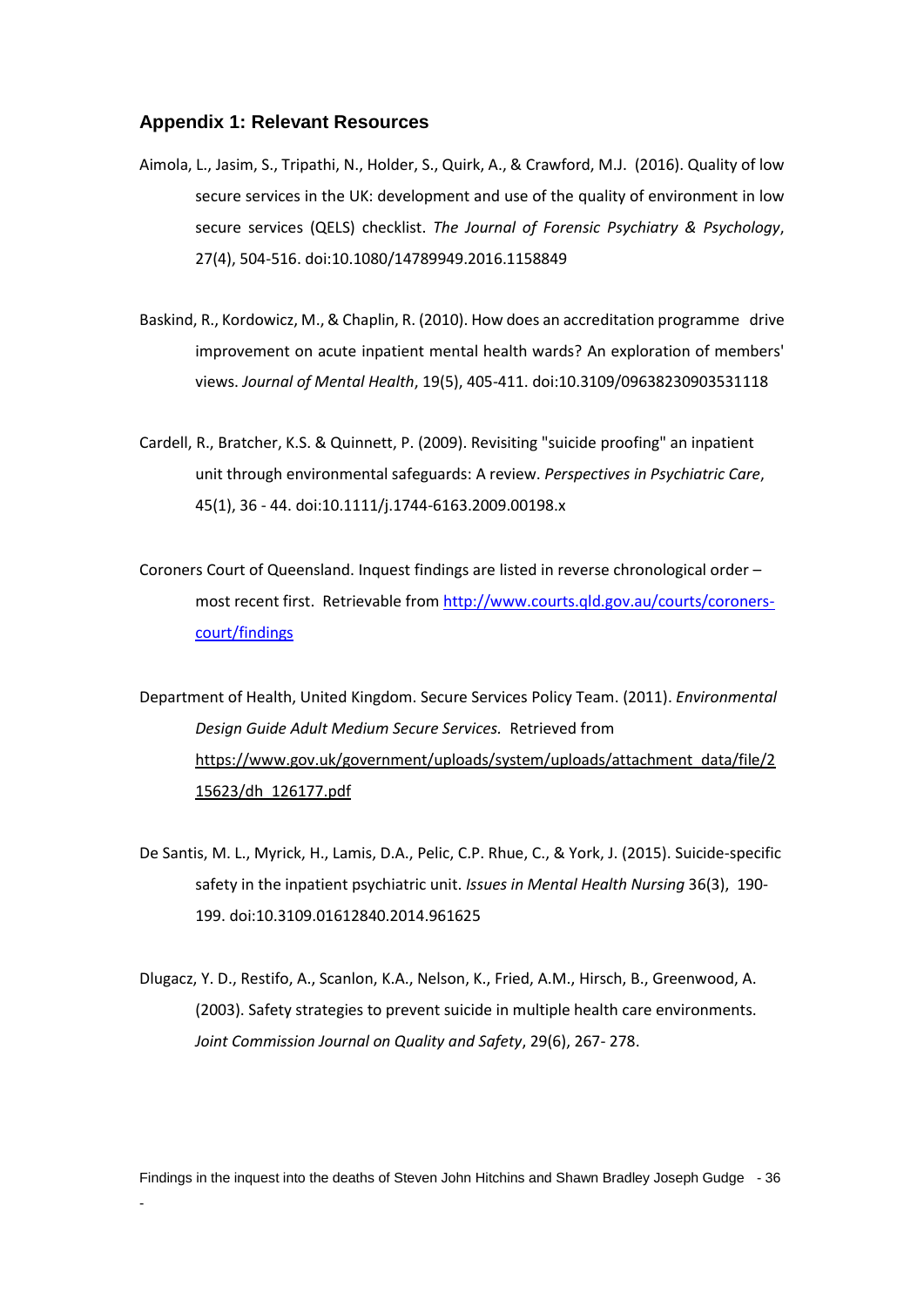#### <span id="page-38-0"></span>**Appendix 1: Relevant Resources**

- Aimola, L., Jasim, S., Tripathi, N., Holder, S., Quirk, A., & Crawford, M.J. (2016). Quality of low secure services in the UK: development and use of the quality of environment in low secure services (QELS) checklist. *The Journal of Forensic Psychiatry & Psychology*, 27(4), 504-516. doi:10.1080/14789949.2016.1158849
- Baskind, R., Kordowicz, M., & Chaplin, R. (2010). How does an accreditation programme drive improvement on acute inpatient mental health wards? An exploration of members' views. *Journal of Mental Health*, 19(5), 405-411. doi:10.3109/09638230903531118
- Cardell, R., Bratcher, K.S. & Quinnett, P. (2009). Revisiting "suicide proofing" an inpatient unit through environmental safeguards: A review. *Perspectives in Psychiatric Care*, 45(1), 36 - 44. doi:10.1111/j.1744-6163.2009.00198.x
- Coroners Court of Queensland. Inquest findings are listed in reverse chronological order most recent first. Retrievable fro[m http://www.courts.qld.gov.au/courts/coroners](http://www.courts.qld.gov.au/courts/coroners-court/findings)[court/findings](http://www.courts.qld.gov.au/courts/coroners-court/findings)

Department of Health, United Kingdom. Secure Services Policy Team. (2011). *Environmental Design Guide Adult Medium Secure Services.* Retrieved from [https://www.gov.uk/government/uploads/system/uploads/attachment\\_data/file/2](https://www.gov.uk/government/uploads/system/uploads/attachment_data/file/215623/dh_126177.pdf) [15623/dh\\_126177.pdf](https://www.gov.uk/government/uploads/system/uploads/attachment_data/file/215623/dh_126177.pdf)

- De Santis, M. L., Myrick, H., Lamis, D.A., Pelic, C.P. Rhue, C., & York, J. (2015). Suicide-specific safety in the inpatient psychiatric unit. *Issues in Mental Health Nursing* 36(3), 190- 199. doi:10.3109.01612840.2014.961625
- Dlugacz, Y. D., Restifo, A., Scanlon, K.A., Nelson, K., Fried, A.M., Hirsch, B., Greenwood, A. (2003). Safety strategies to prevent suicide in multiple health care environments. *Joint Commission Journal on Quality and Safety*, 29(6), 267- 278.

Findings in the inquest into the deaths of Steven John Hitchins and Shawn Bradley Joseph Gudge - 36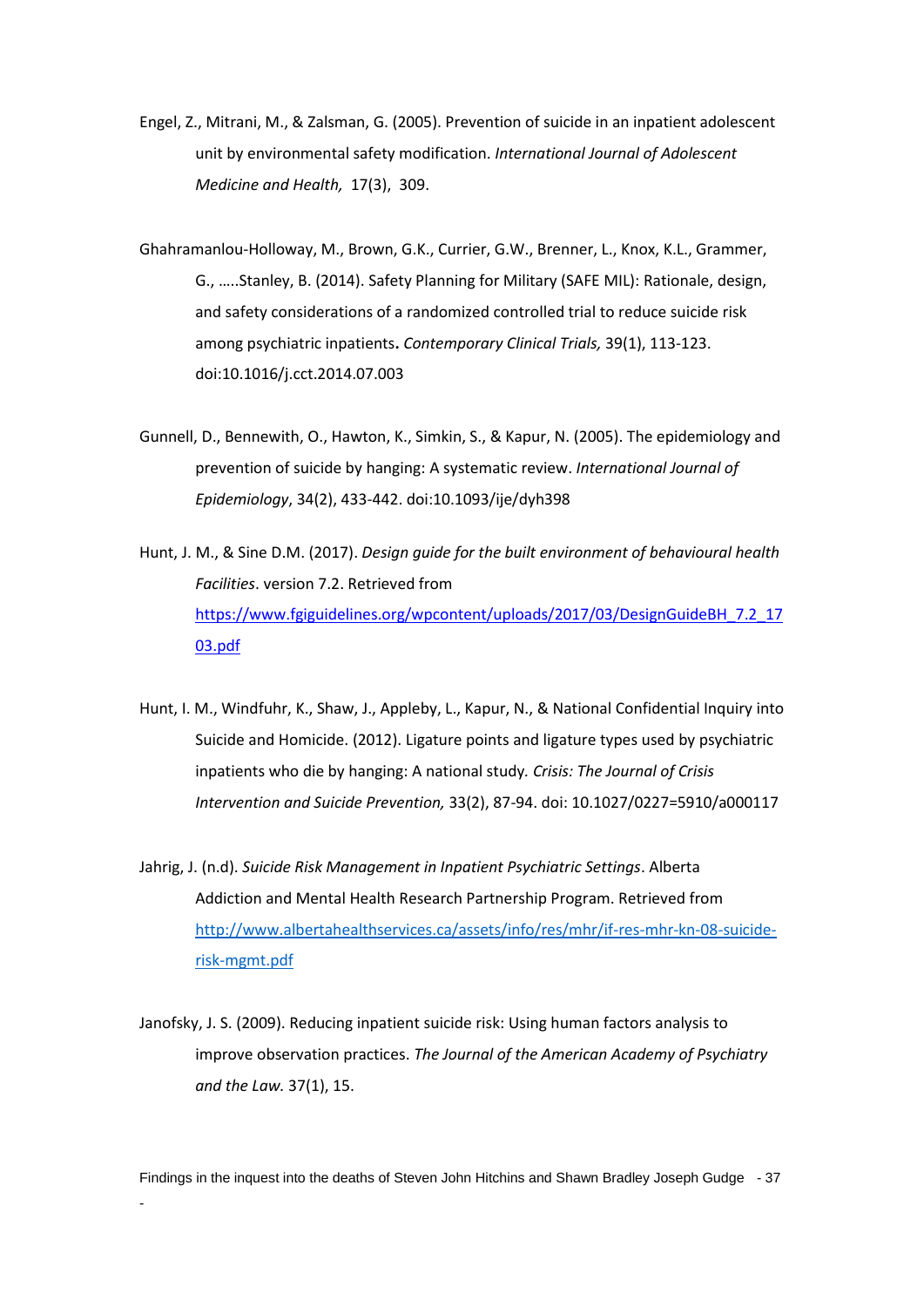- Engel, Z., Mitrani, M., & Zalsman, G. (2005). Prevention of suicide in an inpatient adolescent unit by environmental safety modification. *International Journal of Adolescent Medicine and Health,* 17(3), 309.
- Ghahramanlou-Holloway, M., Brown, G.K., Currier, G.W., Brenner, L., Knox, K.L., Grammer, G., …..Stanley, B. (2014). Safety Planning for Military (SAFE MIL): Rationale, design, and safety considerations of a randomized controlled trial to reduce suicide risk among psychiatric inpatients**.** *Contemporary Clinical Trials,* 39(1), 113-123. doi:10.1016/j.cct.2014.07.003
- Gunnell, D., Bennewith, O., Hawton, K., Simkin, S., & Kapur, N. (2005). The epidemiology and prevention of suicide by hanging: A systematic review. *International Journal of Epidemiology*, 34(2), 433-442. doi:10.1093/ije/dyh398
- Hunt, J. M., & Sine D.M. (2017). *Design guide for the built environment of behavioural health Facilities*. version 7.2. Retrieved from [https://www.fgiguidelines.org/wpcontent/uploads/2017/03/DesignGuideBH\\_7.2\\_17](https://www.fgiguidelines.org/wpcontent/uploads/2017/03/DesignGuideBH_7.2_1703.pdf) [03.pdf](https://www.fgiguidelines.org/wpcontent/uploads/2017/03/DesignGuideBH_7.2_1703.pdf)
- Hunt, I. M., Windfuhr, K., Shaw, J., Appleby, L., Kapur, N., & National Confidential Inquiry into Suicide and Homicide. (2012). Ligature points and ligature types used by psychiatric inpatients who die by hanging: A national study*. Crisis: The Journal of Crisis Intervention and Suicide Prevention,* 33(2), 87-94. doi: 10.1027/0227=5910/a000117
- Jahrig, J. (n.d). *Suicide Risk Management in Inpatient Psychiatric Settings*. Alberta Addiction and Mental Health Research Partnership Program. Retrieved from [http://www.albertahealthservices.ca/assets/info/res/mhr/if-res-mhr-kn-08-suicide](http://www.albertahealthservices.ca/assets/info/res/mhr/if-res-mhr-kn-08-suicide-risk-mgmt.pdf)[risk-mgmt.pdf](http://www.albertahealthservices.ca/assets/info/res/mhr/if-res-mhr-kn-08-suicide-risk-mgmt.pdf)
- Janofsky, J. S. (2009). Reducing inpatient suicide risk: Using human factors analysis to improve observation practices. *The Journal of the American Academy of Psychiatry and the Law.* 37(1), 15.

Findings in the inquest into the deaths of Steven John Hitchins and Shawn Bradley Joseph Gudge - 37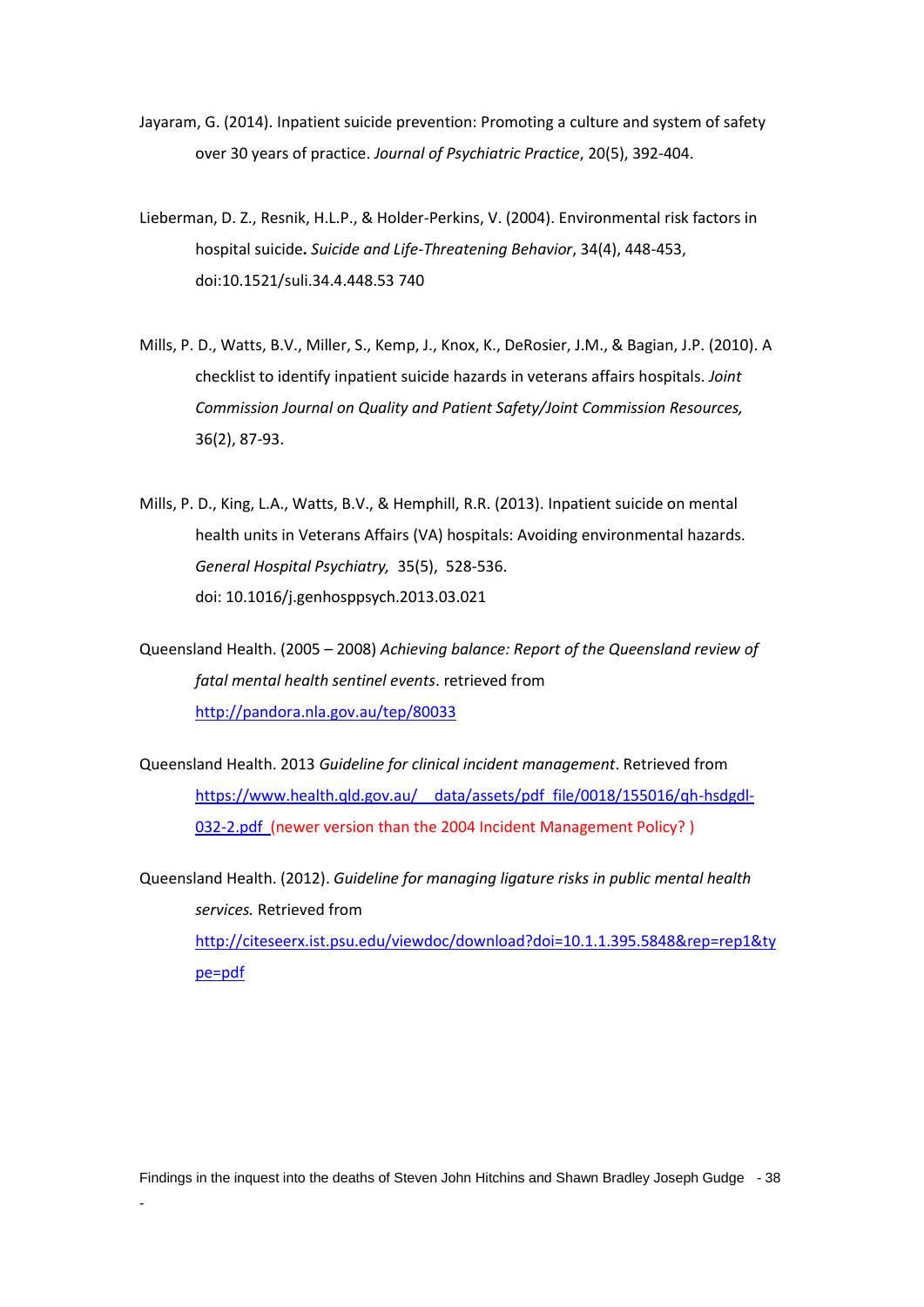- Jayaram, G. (2014). Inpatient suicide prevention: Promoting a culture and system of safety over 30 years of practice. *Journal of Psychiatric Practice*, 20(5), 392-404.
- Lieberman, D. Z., Resnik, H.L.P., & Holder-Perkins, V. (2004). Environmental risk factors in hospital suicide**.** *Suicide and Life-Threatening Behavior*, 34(4), 448-453, doi:10.1521/suli.34.4.448.53 740
- Mills, P. D., Watts, B.V., Miller, S., Kemp, J., Knox, K., DeRosier, J.M., & Bagian, J.P. (2010). A checklist to identify inpatient suicide hazards in veterans affairs hospitals. *Joint Commission Journal on Quality and Patient Safety/Joint Commission Resources,* 36(2), 87-93.
- Mills, P. D., King, L.A., Watts, B.V., & Hemphill, R.R. (2013). Inpatient suicide on mental health units in Veterans Affairs (VA) hospitals: Avoiding environmental hazards. *General Hospital Psychiatry,* 35(5), 528-536. doi: 10.1016/j.genhosppsych.2013.03.021
- Queensland Health. (2005 2008) *Achieving balance: Report of the Queensland review of fatal mental health sentinel events*. retrieved from <http://pandora.nla.gov.au/tep/80033>
- Queensland Health. 2013 *Guideline for clinical incident management*. Retrieved from https://www.health.qld.gov.au/ data/assets/pdf file/0018/155016/qh-hsdgdl-[032-2.pdf](https://www.health.qld.gov.au/__data/assets/pdf_file/0018/155016/qh-hsdgdl-032-2.pdf) (newer version than the 2004 Incident Management Policy? )

Queensland Health. (2012). *Guideline for managing ligature risks in public mental health services.* Retrieved from [http://citeseerx.ist.psu.edu/viewdoc/download?doi=10.1.1.395.5848&rep=rep1&ty](http://citeseerx.ist.psu.edu/viewdoc/download?doi=10.1.1.395.5848&rep=rep1&type=pdf) [pe=pdf](http://citeseerx.ist.psu.edu/viewdoc/download?doi=10.1.1.395.5848&rep=rep1&type=pdf)

Findings in the inquest into the deaths of Steven John Hitchins and Shawn Bradley Joseph Gudge - 38